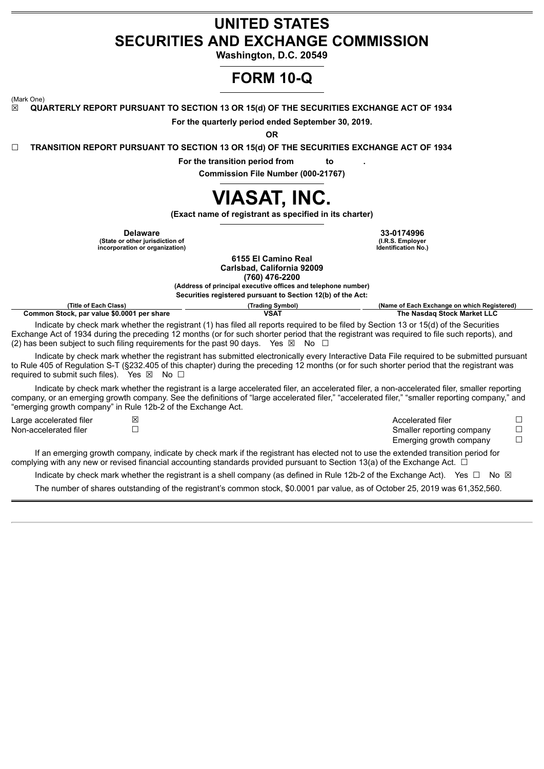# **UNITED STATES SECURITIES AND EXCHANGE COMMISSION**

**Washington, D.C. 20549**

# **FORM 10-Q**

(Mark One)

☒ **QUARTERLY REPORT PURSUANT TO SECTION 13 OR 15(d) OF THE SECURITIES EXCHANGE ACT OF 1934**

**For the quarterly period ended September 30, 2019.**

**OR**

☐ **TRANSITION REPORT PURSUANT TO SECTION 13 OR 15(d) OF THE SECURITIES EXCHANGE ACT OF 1934**

**For the transition period from to .**

**Commission File Number (000-21767)**

# **VIASAT, INC.**

**(Exact name of registrant as specified in its charter)**

**(State or other jurisdiction of incorporation or organization)**

**Delaware 33-0174996 (I.R.S. Employer Identification No.)**

> **6155 El Camino Real Carlsbad, California 92009 (760) 476-2200**

**(Address of principal executive offices and telephone number)**

**Securities registered pursuant to Section 12(b) of the Act: (Title of Each Class) (Trading Symbol) (Name of Each Exchange on which Registered) Common Stock, par value \$0.0001 per share** Indicate by check mark whether the registrant (1) has filed all reports required to be filed by Section 13 or 15(d) of the Securities Exchange Act of 1934 during the preceding 12 months (or for such shorter period that the registrant was required to file such reports), and (2) has been subject to such filing requirements for the past 90 days. Yes  $\boxtimes$  No  $\Box$ 

Indicate by check mark whether the registrant has submitted electronically every Interactive Data File required to be submitted pursuant to Rule 405 of Regulation S-T (§232.405 of this chapter) during the preceding 12 months (or for such shorter period that the registrant was required to submit such files). Yes  $\boxtimes$  No  $\Box$ 

Indicate by check mark whether the registrant is a large accelerated filer, an accelerated filer, a non-accelerated filer, smaller reporting company, or an emerging growth company. See the definitions of "large accelerated filer," "accelerated filer," "smaller reporting company," and "emerging growth company" in Rule 12b-2 of the Exchange Act.

Large accelerated filer ☒ Accelerated filer ☐ Non-accelerated filer ☐ Smaller reporting company ☐

Emerging growth company  $\Box$ If an emerging growth company, indicate by check mark if the registrant has elected not to use the extended transition period for complying with any new or revised financial accounting standards provided pursuant to Section 13(a) of the Exchange Act.  $\Box$ 

Indicate by check mark whether the registrant is a shell company (as defined in Rule 12b-2 of the Exchange Act). Yes  $\Box$  No  $\boxtimes$ 

The number of shares outstanding of the registrant's common stock, \$0.0001 par value, as of October 25, 2019 was 61,352,560.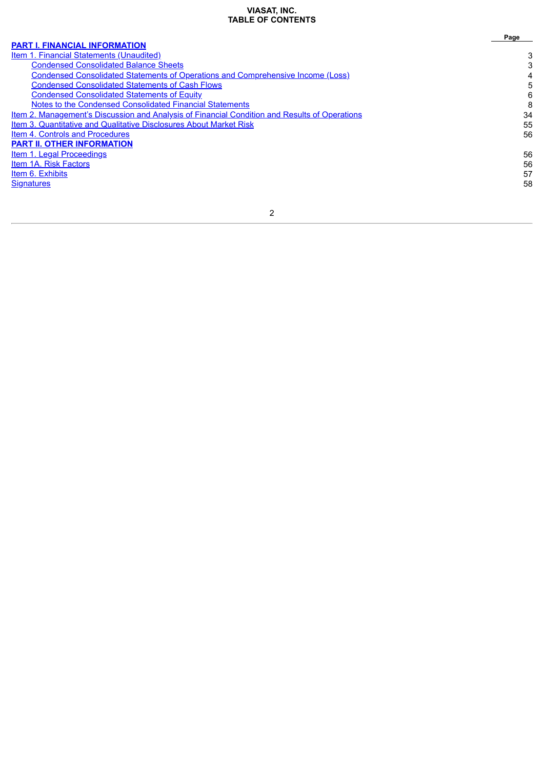#### **VIASAT, INC. TABLE OF CONTENTS**

|                                                                                               | Page |
|-----------------------------------------------------------------------------------------------|------|
| <b>PART I. FINANCIAL INFORMATION</b>                                                          |      |
| <b>Item 1. Financial Statements (Unaudited)</b>                                               | 3    |
| <b>Condensed Consolidated Balance Sheets</b>                                                  |      |
| <u>Condensed Consolidated Statements of Operations and Comprehensive Income (Loss)</u>        |      |
| <b>Condensed Consolidated Statements of Cash Flows</b>                                        | 5    |
| <b>Condensed Consolidated Statements of Equity</b>                                            | 6    |
| Notes to the Condensed Consolidated Financial Statements                                      | 8    |
| Item 2. Management's Discussion and Analysis of Financial Condition and Results of Operations | 34   |
| Item 3. Quantitative and Qualitative Disclosures About Market Risk                            | 55   |
| Item 4. Controls and Procedures                                                               | 56   |
| <b>PART II. OTHER INFORMATION</b>                                                             |      |
| <b>Item 1. Legal Proceedings</b>                                                              | 56   |
| Item 1A. Risk Factors                                                                         | 56   |
| Item 6. Exhibits                                                                              | 57   |
| <b>Signatures</b>                                                                             | 58   |
|                                                                                               |      |
|                                                                                               |      |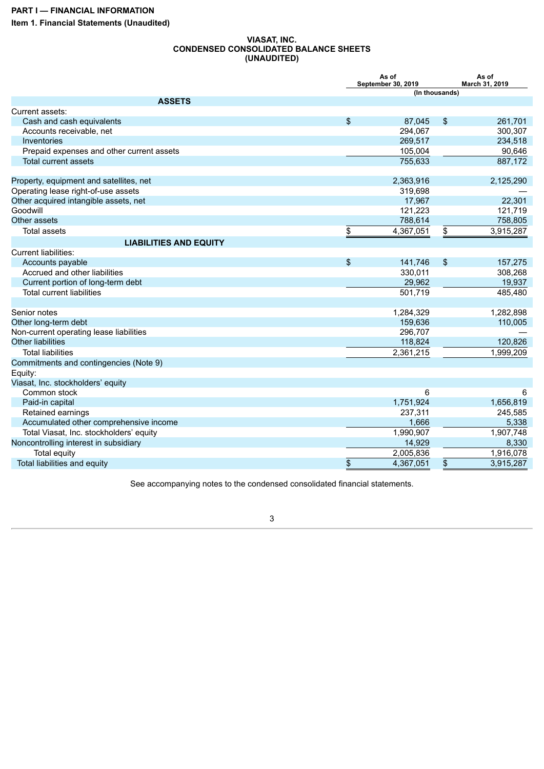# **VIASAT, INC. CONDENSED CONSOLIDATED BALANCE SHEETS (UNAUDITED)**

<span id="page-2-2"></span><span id="page-2-1"></span><span id="page-2-0"></span>

|                                           |               | As of<br>September 30, 2019 |                | As of<br>March 31, 2019 |  |  |
|-------------------------------------------|---------------|-----------------------------|----------------|-------------------------|--|--|
|                                           |               |                             | (In thousands) |                         |  |  |
| <b>ASSETS</b>                             |               |                             |                |                         |  |  |
| Current assets:                           |               |                             |                |                         |  |  |
| Cash and cash equivalents                 | \$            | 87.045                      | $\mathfrak{S}$ | 261.701                 |  |  |
| Accounts receivable, net                  |               | 294,067                     |                | 300,307                 |  |  |
| Inventories                               |               | 269,517                     |                | 234,518                 |  |  |
| Prepaid expenses and other current assets |               | 105,004                     |                | 90,646                  |  |  |
| Total current assets                      |               | 755,633                     |                | 887,172                 |  |  |
| Property, equipment and satellites, net   |               | 2,363,916                   |                | 2,125,290               |  |  |
| Operating lease right-of-use assets       |               | 319,698                     |                |                         |  |  |
| Other acquired intangible assets, net     |               | 17,967                      |                | 22,301                  |  |  |
| Goodwill                                  |               | 121,223                     |                | 121,719                 |  |  |
| Other assets                              |               | 788,614                     |                | 758,805                 |  |  |
| <b>Total assets</b>                       | \$            | 4,367,051                   | \$             | 3,915,287               |  |  |
| <b>LIABILITIES AND EQUITY</b>             |               |                             |                |                         |  |  |
| <b>Current liabilities:</b>               |               |                             |                |                         |  |  |
| Accounts payable                          | $\frac{3}{2}$ | 141,746                     | \$             | 157,275                 |  |  |
| Accrued and other liabilities             |               | 330,011                     |                | 308,268                 |  |  |
| Current portion of long-term debt         |               | 29,962                      |                | 19,937                  |  |  |
| <b>Total current liabilities</b>          |               | 501,719                     |                | 485,480                 |  |  |
|                                           |               |                             |                |                         |  |  |
| Senior notes                              |               | 1,284,329                   |                | 1,282,898               |  |  |
| Other long-term debt                      |               | 159,636                     |                | 110,005                 |  |  |
| Non-current operating lease liabilities   |               | 296,707                     |                |                         |  |  |
| <b>Other liabilities</b>                  |               | 118,824                     |                | 120,826                 |  |  |
| <b>Total liabilities</b>                  |               | 2,361,215                   |                | 1,999,209               |  |  |
| Commitments and contingencies (Note 9)    |               |                             |                |                         |  |  |
| Equity:                                   |               |                             |                |                         |  |  |
| Viasat, Inc. stockholders' equity         |               |                             |                |                         |  |  |
| Common stock                              |               | 6                           |                | 6                       |  |  |
| Paid-in capital                           |               | 1,751,924                   |                | 1,656,819               |  |  |
| Retained earnings                         |               | 237,311                     |                | 245,585                 |  |  |
| Accumulated other comprehensive income    |               | 1,666                       |                | 5,338                   |  |  |
| Total Viasat, Inc. stockholders' equity   |               | 1,990,907                   |                | 1,907,748               |  |  |
| Noncontrolling interest in subsidiary     |               | 14,929                      |                | 8,330                   |  |  |
| Total equity                              |               | 2,005,836                   |                | 1,916,078               |  |  |
| Total liabilities and equity              | \$            | 4,367,051                   | \$             | 3,915,287               |  |  |

See accompanying notes to the condensed consolidated financial statements.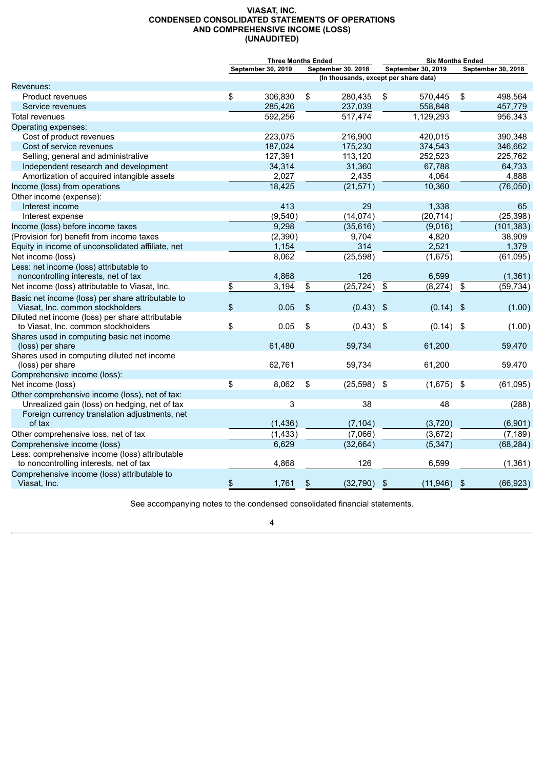# **VIASAT, INC. CONDENSED CONSOLIDATED STATEMENTS OF OPERATIONS AND COMPREHENSIVE INCOME (LOSS) (UNAUDITED)**

<span id="page-3-0"></span>

|                                                   | <b>Three Months Ended</b> |                |                                       | <b>Six Months Ended</b> |                    |                    |            |
|---------------------------------------------------|---------------------------|----------------|---------------------------------------|-------------------------|--------------------|--------------------|------------|
|                                                   | September 30, 2019        |                | September 30, 2018                    |                         | September 30, 2019 | September 30, 2018 |            |
|                                                   |                           |                | (In thousands, except per share data) |                         |                    |                    |            |
| Revenues:                                         |                           |                |                                       |                         |                    |                    |            |
| <b>Product revenues</b>                           | \$<br>306,830             | \$             | 280,435                               | \$                      | 570,445            | \$                 | 498,564    |
| Service revenues                                  | 285,426                   |                | 237,039                               |                         | 558,848            |                    | 457,779    |
| Total revenues                                    | 592,256                   |                | 517,474                               |                         | 1,129,293          |                    | 956,343    |
| Operating expenses:                               |                           |                |                                       |                         |                    |                    |            |
| Cost of product revenues                          | 223,075                   |                | 216,900                               |                         | 420,015            |                    | 390,348    |
| Cost of service revenues                          | 187,024                   |                | 175,230                               |                         | 374,543            |                    | 346,662    |
| Selling, general and administrative               | 127,391                   |                | 113,120                               |                         | 252,523            |                    | 225,762    |
| Independent research and development              | 34,314                    |                | 31,360                                |                         | 67,788             |                    | 64,733     |
| Amortization of acquired intangible assets        | 2,027                     |                | 2,435                                 |                         | 4,064              |                    | 4,888      |
| Income (loss) from operations                     | 18,425                    |                | (21, 571)                             |                         | 10,360             |                    | (76,050)   |
| Other income (expense):                           |                           |                |                                       |                         |                    |                    |            |
| Interest income                                   | 413                       |                | 29                                    |                         | 1,338              |                    | 65         |
| Interest expense                                  | (9, 540)                  |                | (14, 074)                             |                         | (20, 714)          |                    | (25, 398)  |
| Income (loss) before income taxes                 | 9,298                     |                | (35, 616)                             |                         | (9,016)            |                    | (101, 383) |
| (Provision for) benefit from income taxes         | (2, 390)                  |                | 9,704                                 |                         | 4,820              |                    | 38,909     |
| Equity in income of unconsolidated affiliate, net | 1,154                     |                | 314                                   |                         | 2,521              |                    | 1,379      |
| Net income (loss)                                 | 8,062                     |                | (25, 598)                             |                         | (1,675)            |                    | (61,095)   |
| Less: net income (loss) attributable to           |                           |                |                                       |                         |                    |                    |            |
| noncontrolling interests, net of tax              | 4,868                     |                | 126                                   |                         | 6,599              |                    | (1, 361)   |
| Net income (loss) attributable to Viasat, Inc.    | \$<br>3,194               | \$             | (25, 724)                             | \$                      | (8, 274)           | \$                 | (59, 734)  |
| Basic net income (loss) per share attributable to |                           |                |                                       |                         |                    |                    |            |
| Viasat, Inc. common stockholders                  | \$<br>0.05                | $\mathfrak{S}$ | (0.43)                                | $^{\circ}$              | $(0.14)$ \$        |                    | (1.00)     |
| Diluted net income (loss) per share attributable  |                           |                |                                       |                         |                    |                    |            |
| to Viasat, Inc. common stockholders               | \$<br>0.05                | \$             | $(0.43)$ \$                           |                         | $(0.14)$ \$        |                    | (1.00)     |
| Shares used in computing basic net income         |                           |                |                                       |                         |                    |                    |            |
| (loss) per share                                  | 61,480                    |                | 59,734                                |                         | 61,200             |                    | 59,470     |
| Shares used in computing diluted net income       |                           |                |                                       |                         |                    |                    |            |
| (loss) per share                                  | 62,761                    |                | 59,734                                |                         | 61,200             |                    | 59,470     |
| Comprehensive income (loss):                      |                           |                |                                       |                         |                    |                    |            |
| Net income (loss)                                 | \$<br>8,062               | \$             | $(25,598)$ \$                         |                         | $(1,675)$ \$       |                    | (61,095)   |
| Other comprehensive income (loss), net of tax:    |                           |                |                                       |                         |                    |                    |            |
| Unrealized gain (loss) on hedging, net of tax     | 3                         |                | 38                                    |                         | 48                 |                    | (288)      |
| Foreign currency translation adjustments, net     |                           |                |                                       |                         |                    |                    |            |
| of tax                                            | (1, 436)                  |                | (7, 104)                              |                         | (3,720)            |                    | (6,901)    |
| Other comprehensive loss, net of tax              | (1, 433)                  |                | (7,066)                               |                         | (3,672)            |                    | (7, 189)   |
| Comprehensive income (loss)                       | 6,629                     |                | (32, 664)                             |                         | (5, 347)           |                    | (68, 284)  |
| Less: comprehensive income (loss) attributable    |                           |                |                                       |                         |                    |                    |            |
| to noncontrolling interests, net of tax           | 4,868                     |                | 126                                   |                         | 6,599              |                    | (1, 361)   |
| Comprehensive income (loss) attributable to       |                           |                |                                       |                         |                    |                    |            |
| Viasat, Inc.                                      | \$<br>1,761               | \$             | (32,790)                              | \$                      | (11, 946)          | \$                 | (66, 923)  |

See accompanying notes to the condensed consolidated financial statements.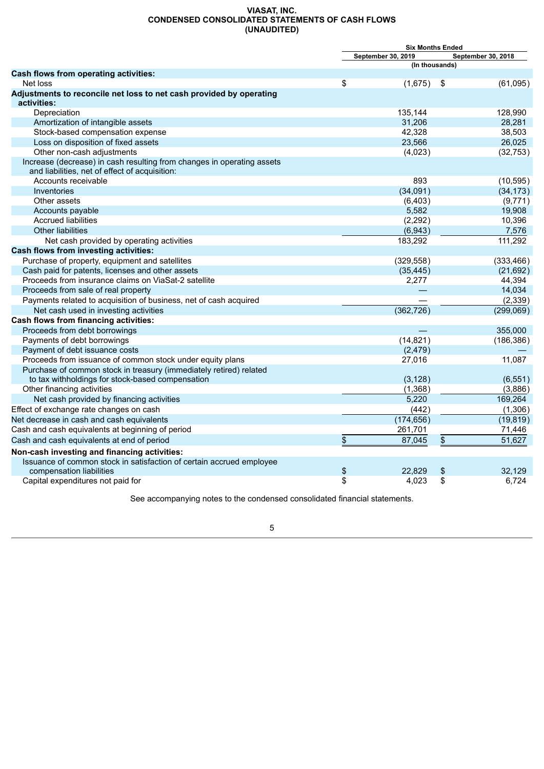# **VIASAT, INC. CONDENSED CONSOLIDATED STATEMENTS OF CASH FLOWS (UNAUDITED)**

<span id="page-4-0"></span>

|                                                                                                                          | <b>Six Months Ended</b> |                    |
|--------------------------------------------------------------------------------------------------------------------------|-------------------------|--------------------|
|                                                                                                                          | September 30, 2019      | September 30, 2018 |
|                                                                                                                          | (In thousands)          |                    |
| Cash flows from operating activities:                                                                                    |                         |                    |
| Net loss                                                                                                                 | \$<br>(1,675)           | \$<br>(61,095)     |
| Adjustments to reconcile net loss to net cash provided by operating<br>activities:                                       |                         |                    |
| Depreciation                                                                                                             | 135,144                 | 128,990            |
| Amortization of intangible assets                                                                                        | 31,206                  | 28,281             |
| Stock-based compensation expense                                                                                         | 42,328                  | 38,503             |
| Loss on disposition of fixed assets                                                                                      | 23,566                  | 26,025             |
| Other non-cash adjustments                                                                                               | (4,023)                 | (32, 753)          |
| Increase (decrease) in cash resulting from changes in operating assets<br>and liabilities, net of effect of acquisition: |                         |                    |
| Accounts receivable                                                                                                      | 893                     | (10, 595)          |
| Inventories                                                                                                              | (34,091)                | (34, 173)          |
| Other assets                                                                                                             | (6, 403)                | (9,771)            |
| Accounts payable                                                                                                         | 5,582                   | 19,908             |
| <b>Accrued liabilities</b>                                                                                               | (2, 292)                | 10,396             |
| <b>Other liabilities</b>                                                                                                 | (6,943)                 | 7,576              |
| Net cash provided by operating activities                                                                                | 183,292                 | 111,292            |
| <b>Cash flows from investing activities:</b>                                                                             |                         |                    |
| Purchase of property, equipment and satellites                                                                           | (329, 558)              | (333, 466)         |
| Cash paid for patents, licenses and other assets                                                                         | (35, 445)               | (21, 692)          |
| Proceeds from insurance claims on ViaSat-2 satellite                                                                     | 2,277                   | 44,394             |
| Proceeds from sale of real property                                                                                      |                         | 14,034             |
| Payments related to acquisition of business, net of cash acquired                                                        |                         | (2, 339)           |
| Net cash used in investing activities                                                                                    | (362, 726)              | (299,069)          |
| Cash flows from financing activities:                                                                                    |                         |                    |
| Proceeds from debt borrowings                                                                                            |                         | 355,000            |
| Payments of debt borrowings                                                                                              | (14, 821)               | (186, 386)         |
| Payment of debt issuance costs                                                                                           | (2, 479)                |                    |
| Proceeds from issuance of common stock under equity plans                                                                | 27,016                  | 11,087             |
| Purchase of common stock in treasury (immediately retired) related                                                       |                         |                    |
| to tax withholdings for stock-based compensation                                                                         | (3, 128)                | (6, 551)           |
| Other financing activities                                                                                               | (1,368)                 | (3,886)            |
| Net cash provided by financing activities                                                                                | 5,220                   | 169,264            |
| Effect of exchange rate changes on cash                                                                                  | (442)                   | (1, 306)           |
| Net decrease in cash and cash equivalents                                                                                | (174, 656)              | (19, 819)          |
| Cash and cash equivalents at beginning of period                                                                         | 261,701                 | 71,446             |
| Cash and cash equivalents at end of period                                                                               | \$<br>87,045            | \$<br>51,627       |
| Non-cash investing and financing activities:                                                                             |                         |                    |
| Issuance of common stock in satisfaction of certain accrued employee                                                     |                         |                    |
| compensation liabilities                                                                                                 | \$<br>22,829            | \$<br>32,129       |
| Capital expenditures not paid for                                                                                        | \$<br>4,023             | \$<br>6,724        |

See accompanying notes to the condensed consolidated financial statements.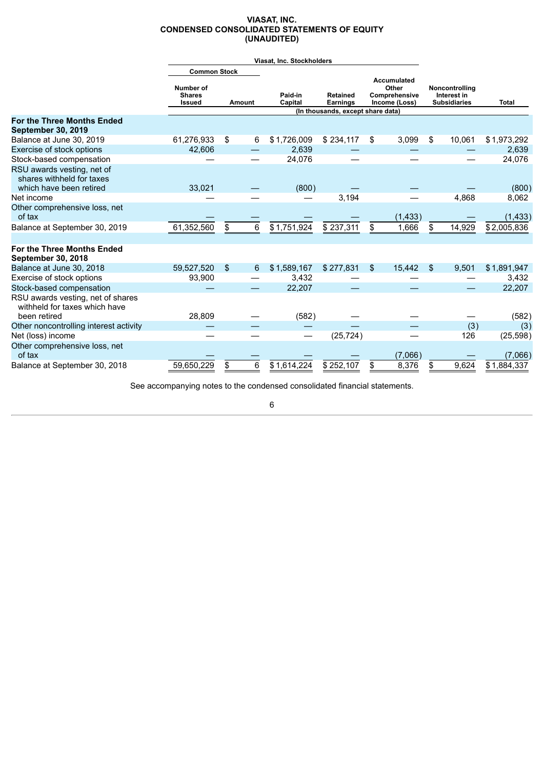# **VIASAT, INC. CONDENSED CONSOLIDATED STATEMENTS OF EQUITY (UNAUDITED)**

<span id="page-5-0"></span>

|                                                                                    | <b>Common Stock</b>                         |        |                    |                                    |                                                               |                                                      |              |
|------------------------------------------------------------------------------------|---------------------------------------------|--------|--------------------|------------------------------------|---------------------------------------------------------------|------------------------------------------------------|--------------|
|                                                                                    | Number of<br><b>Shares</b><br><b>Issued</b> | Amount | Paid-in<br>Capital | <b>Retained</b><br><b>Earnings</b> | <b>Accumulated</b><br>Other<br>Comprehensive<br>Income (Loss) | Noncontrolling<br>Interest in<br><b>Subsidiaries</b> | <b>Total</b> |
| For the Three Months Ended<br><b>September 30, 2019</b>                            |                                             |        |                    | (In thousands, except share data)  |                                                               |                                                      |              |
| Balance at June 30, 2019                                                           | 61,276,933                                  | \$     | \$1,726,009<br>6   | \$234,117                          | 3,099<br>\$                                                   | \$<br>10,061                                         | \$1,973,292  |
| Exercise of stock options                                                          | 42,606                                      |        | 2,639              |                                    |                                                               |                                                      | 2,639        |
| Stock-based compensation                                                           |                                             |        | 24,076             |                                    |                                                               |                                                      | 24,076       |
| RSU awards vesting, net of<br>shares withheld for taxes                            |                                             |        |                    |                                    |                                                               |                                                      |              |
| which have been retired                                                            | 33,021                                      |        | (800)              |                                    |                                                               |                                                      | (800)        |
| Net income                                                                         |                                             |        |                    | 3,194                              |                                                               | 4,868                                                | 8,062        |
| Other comprehensive loss, net<br>of tax                                            |                                             |        |                    |                                    | (1, 433)                                                      |                                                      | (1, 433)     |
| Balance at September 30, 2019                                                      | 61,352,560                                  | \$     | 6<br>\$1,751,924   | \$237,311                          | 1,666<br>\$                                                   | 14,929<br>\$                                         | \$2,005,836  |
| For the Three Months Ended<br><b>September 30, 2018</b>                            |                                             |        |                    |                                    |                                                               |                                                      |              |
| Balance at June 30, 2018                                                           | 59,527,520                                  | \$     | 6<br>\$1,589,167   | \$277,831                          | $\mathbf{s}$<br>15,442                                        | 9,501<br>\$.                                         | \$1,891,947  |
| Exercise of stock options                                                          | 93,900                                      |        | 3,432              |                                    |                                                               |                                                      | 3,432        |
| Stock-based compensation                                                           |                                             |        | 22,207             |                                    |                                                               |                                                      | 22,207       |
| RSU awards vesting, net of shares<br>withheld for taxes which have<br>been retired |                                             |        |                    |                                    |                                                               |                                                      |              |
|                                                                                    | 28,809                                      |        | (582)              |                                    |                                                               |                                                      | (582)        |
| Other noncontrolling interest activity                                             |                                             |        |                    |                                    |                                                               | (3)                                                  | (3)          |
| Net (loss) income                                                                  |                                             |        |                    | (25, 724)                          |                                                               | 126                                                  | (25, 598)    |
| Other comprehensive loss, net<br>of tax                                            |                                             |        |                    |                                    | (7,066)                                                       |                                                      | (7,066)      |
| Balance at September 30, 2018                                                      | 59,650,229                                  |        | 6<br>\$1,614,224   | \$252,107                          | 8,376                                                         | 9,624                                                | \$1,884,337  |

See accompanying notes to the condensed consolidated financial statements.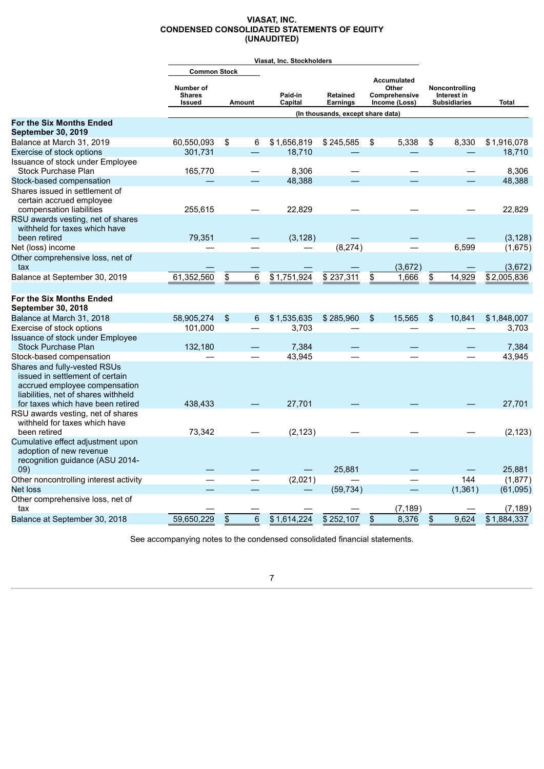# **VIASAT, INC. CONDENSED CONSOLIDATED STATEMENTS OF EQUITY (UNAUDITED)**

|                                                                                                                                         |                                             |                | Viasat, Inc. Stockholders |                                   |                                                               |                                                      |                         |
|-----------------------------------------------------------------------------------------------------------------------------------------|---------------------------------------------|----------------|---------------------------|-----------------------------------|---------------------------------------------------------------|------------------------------------------------------|-------------------------|
|                                                                                                                                         | <b>Common Stock</b>                         |                |                           |                                   |                                                               |                                                      |                         |
|                                                                                                                                         | Number of<br><b>Shares</b><br><b>Issued</b> | Amount         | Paid-in<br>Capital        | Retained<br><b>Earnings</b>       | <b>Accumulated</b><br>Other<br>Comprehensive<br>Income (Loss) | Noncontrolling<br>Interest in<br><b>Subsidiaries</b> | Total                   |
|                                                                                                                                         |                                             |                |                           | (In thousands, except share data) |                                                               |                                                      |                         |
| <b>For the Six Months Ended</b><br><b>September 30, 2019</b>                                                                            |                                             |                |                           |                                   |                                                               |                                                      |                         |
| Balance at March 31, 2019                                                                                                               | 60,550,093                                  | \$<br>6        | \$1,656,819               | \$245,585                         | \$<br>5,338                                                   | \$<br>8,330                                          | \$1,916,078             |
| Exercise of stock options                                                                                                               | 301,731                                     |                | 18,710                    |                                   |                                                               |                                                      | 18,710                  |
| Issuance of stock under Employee<br>Stock Purchase Plan                                                                                 | 165,770                                     |                | 8,306                     |                                   |                                                               |                                                      | 8,306                   |
| Stock-based compensation                                                                                                                |                                             |                | 48,388                    |                                   |                                                               |                                                      | 48,388                  |
| Shares issued in settlement of<br>certain accrued employee<br>compensation liabilities                                                  | 255,615                                     |                | 22,829                    |                                   |                                                               |                                                      | 22,829                  |
| RSU awards vesting, net of shares<br>withheld for taxes which have                                                                      |                                             |                |                           |                                   |                                                               |                                                      |                         |
| been retired                                                                                                                            | 79,351                                      |                | (3, 128)                  |                                   |                                                               |                                                      | (3, 128)                |
| Net (loss) income<br>Other comprehensive loss, net of                                                                                   |                                             |                |                           | (8, 274)                          |                                                               | 6,599                                                | (1,675)<br>(3,672)      |
| tax                                                                                                                                     | 61,352,560                                  | $6\phantom{1}$ | \$1,751,924               | \$237,311                         | (3,672)<br>1,666                                              | \$<br>14,929                                         | $\overline{$}2,005,836$ |
| Balance at September 30, 2019                                                                                                           |                                             | \$             |                           |                                   | \$                                                            |                                                      |                         |
| For the Six Months Ended<br><b>September 30, 2018</b>                                                                                   |                                             |                |                           |                                   |                                                               |                                                      |                         |
| Balance at March 31, 2018                                                                                                               | 58.905.274                                  | \$<br>6        | \$1,535,635               | \$285.960                         | \$<br>15.565                                                  | \$<br>10.841                                         | \$1,848,007             |
| Exercise of stock options                                                                                                               | 101,000                                     |                | 3,703                     |                                   |                                                               |                                                      | 3,703                   |
| Issuance of stock under Employee                                                                                                        |                                             |                |                           |                                   |                                                               |                                                      |                         |
| Stock Purchase Plan                                                                                                                     | 132,180                                     |                | 7,384                     |                                   |                                                               |                                                      | 7,384                   |
| Stock-based compensation                                                                                                                |                                             |                | 43,945                    |                                   |                                                               |                                                      | 43,945                  |
| Shares and fully-vested RSUs<br>issued in settlement of certain<br>accrued employee compensation<br>liabilities, net of shares withheld |                                             |                |                           |                                   |                                                               |                                                      |                         |
| for taxes which have been retired<br>RSU awards vesting, net of shares                                                                  | 438,433                                     |                | 27,701                    |                                   |                                                               |                                                      | 27,701                  |
| withheld for taxes which have<br>been retired                                                                                           | 73,342                                      |                | (2, 123)                  |                                   |                                                               |                                                      | (2, 123)                |
| Cumulative effect adjustment upon                                                                                                       |                                             |                |                           |                                   |                                                               |                                                      |                         |
| adoption of new revenue<br>recognition guidance (ASU 2014-<br>09)                                                                       |                                             |                |                           | 25,881                            |                                                               |                                                      | 25,881                  |
| Other noncontrolling interest activity                                                                                                  |                                             |                | (2,021)                   |                                   |                                                               | 144                                                  | (1,877)                 |
| <b>Net loss</b>                                                                                                                         |                                             |                |                           | (59, 734)                         |                                                               | (1, 361)                                             | (61,095)                |
| Other comprehensive loss, net of<br>tax                                                                                                 |                                             |                |                           |                                   | (7, 189)                                                      |                                                      | (7, 189)                |
| Balance at September 30, 2018                                                                                                           | 59.650.229                                  | \$<br>6        | \$1,614,224               | \$252,107                         | \$<br>8,376                                                   | \$<br>9.624                                          | \$1,884,337             |
|                                                                                                                                         |                                             |                |                           |                                   |                                                               |                                                      |                         |

See accompanying notes to the condensed consolidated financial statements.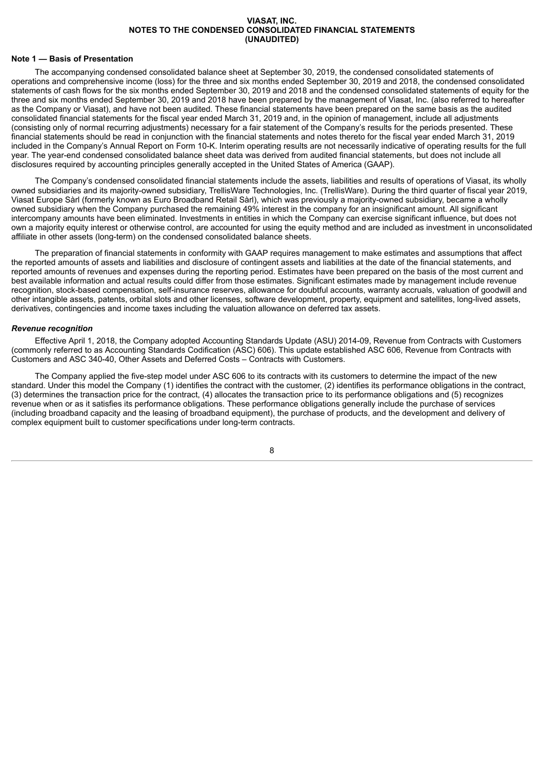#### <span id="page-7-0"></span>**Note 1 — Basis of Presentation**

The accompanying condensed consolidated balance sheet at September 30, 2019, the condensed consolidated statements of operations and comprehensive income (loss) for the three and six months ended September 30, 2019 and 2018, the condensed consolidated statements of cash flows for the six months ended September 30, 2019 and 2018 and the condensed consolidated statements of equity for the three and six months ended September 30, 2019 and 2018 have been prepared by the management of Viasat, Inc. (also referred to hereafter as the Company or Viasat), and have not been audited. These financial statements have been prepared on the same basis as the audited consolidated financial statements for the fiscal year ended March 31, 2019 and, in the opinion of management, include all adjustments (consisting only of normal recurring adjustments) necessary for a fair statement of the Company's results for the periods presented. These financial statements should be read in conjunction with the financial statements and notes thereto for the fiscal year ended March 31, 2019 included in the Company's Annual Report on Form 10-K. Interim operating results are not necessarily indicative of operating results for the full year. The year-end condensed consolidated balance sheet data was derived from audited financial statements, but does not include all disclosures required by accounting principles generally accepted in the United States of America (GAAP).

The Company's condensed consolidated financial statements include the assets, liabilities and results of operations of Viasat, its wholly owned subsidiaries and its majority-owned subsidiary, TrellisWare Technologies, Inc. (TrellisWare). During the third quarter of fiscal year 2019, Viasat Europe Sàrl (formerly known as Euro Broadband Retail Sàrl), which was previously a majority-owned subsidiary, became a wholly owned subsidiary when the Company purchased the remaining 49% interest in the company for an insignificant amount. All significant intercompany amounts have been eliminated. Investments in entities in which the Company can exercise significant influence, but does not own a majority equity interest or otherwise control, are accounted for using the equity method and are included as investment in unconsolidated affiliate in other assets (long-term) on the condensed consolidated balance sheets.

The preparation of financial statements in conformity with GAAP requires management to make estimates and assumptions that affect the reported amounts of assets and liabilities and disclosure of contingent assets and liabilities at the date of the financial statements, and reported amounts of revenues and expenses during the reporting period. Estimates have been prepared on the basis of the most current and best available information and actual results could differ from those estimates. Significant estimates made by management include revenue recognition, stock-based compensation, self-insurance reserves, allowance for doubtful accounts, warranty accruals, valuation of goodwill and other intangible assets, patents, orbital slots and other licenses, software development, property, equipment and satellites, long-lived assets, derivatives, contingencies and income taxes including the valuation allowance on deferred tax assets.

#### *Revenue recognition*

Effective April 1, 2018, the Company adopted Accounting Standards Update (ASU) 2014-09, Revenue from Contracts with Customers (commonly referred to as Accounting Standards Codification (ASC) 606). This update established ASC 606, Revenue from Contracts with Customers and ASC 340-40, Other Assets and Deferred Costs – Contracts with Customers.

The Company applied the five-step model under ASC 606 to its contracts with its customers to determine the impact of the new standard. Under this model the Company (1) identifies the contract with the customer, (2) identifies its performance obligations in the contract, (3) determines the transaction price for the contract, (4) allocates the transaction price to its performance obligations and (5) recognizes revenue when or as it satisfies its performance obligations. These performance obligations generally include the purchase of services (including broadband capacity and the leasing of broadband equipment), the purchase of products, and the development and delivery of complex equipment built to customer specifications under long-term contracts.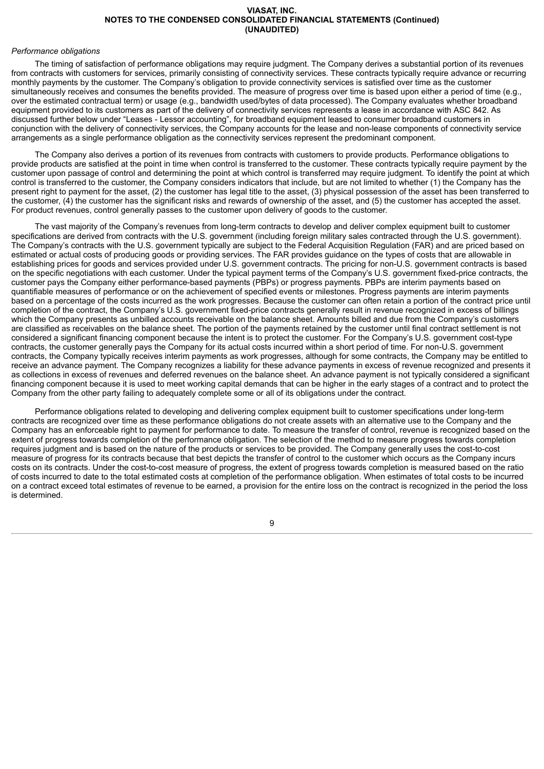#### *Performance obligations*

The timing of satisfaction of performance obligations may require judgment. The Company derives a substantial portion of its revenues from contracts with customers for services, primarily consisting of connectivity services. These contracts typically require advance or recurring monthly payments by the customer. The Company's obligation to provide connectivity services is satisfied over time as the customer simultaneously receives and consumes the benefits provided. The measure of progress over time is based upon either a period of time (e.g., over the estimated contractual term) or usage (e.g., bandwidth used/bytes of data processed). The Company evaluates whether broadband equipment provided to its customers as part of the delivery of connectivity services represents a lease in accordance with ASC 842. As discussed further below under "Leases - Lessor accounting", for broadband equipment leased to consumer broadband customers in conjunction with the delivery of connectivity services, the Company accounts for the lease and non-lease components of connectivity service arrangements as a single performance obligation as the connectivity services represent the predominant component.

The Company also derives a portion of its revenues from contracts with customers to provide products. Performance obligations to provide products are satisfied at the point in time when control is transferred to the customer. These contracts typically require payment by the customer upon passage of control and determining the point at which control is transferred may require judgment. To identify the point at which control is transferred to the customer, the Company considers indicators that include, but are not limited to whether (1) the Company has the present right to payment for the asset, (2) the customer has legal title to the asset, (3) physical possession of the asset has been transferred to the customer, (4) the customer has the significant risks and rewards of ownership of the asset, and (5) the customer has accepted the asset. For product revenues, control generally passes to the customer upon delivery of goods to the customer.

The vast majority of the Company's revenues from long-term contracts to develop and deliver complex equipment built to customer specifications are derived from contracts with the U.S. government (including foreign military sales contracted through the U.S. government). The Company's contracts with the U.S. government typically are subject to the Federal Acquisition Regulation (FAR) and are priced based on estimated or actual costs of producing goods or providing services. The FAR provides guidance on the types of costs that are allowable in establishing prices for goods and services provided under U.S. government contracts. The pricing for non-U.S. government contracts is based on the specific negotiations with each customer. Under the typical payment terms of the Company's U.S. government fixed-price contracts, the customer pays the Company either performance-based payments (PBPs) or progress payments. PBPs are interim payments based on quantifiable measures of performance or on the achievement of specified events or milestones. Progress payments are interim payments based on a percentage of the costs incurred as the work progresses. Because the customer can often retain a portion of the contract price until completion of the contract, the Company's U.S. government fixed-price contracts generally result in revenue recognized in excess of billings which the Company presents as unbilled accounts receivable on the balance sheet. Amounts billed and due from the Company's customers are classified as receivables on the balance sheet. The portion of the payments retained by the customer until final contract settlement is not considered a significant financing component because the intent is to protect the customer. For the Company's U.S. government cost-type contracts, the customer generally pays the Company for its actual costs incurred within a short period of time. For non-U.S. government contracts, the Company typically receives interim payments as work progresses, although for some contracts, the Company may be entitled to receive an advance payment. The Company recognizes a liability for these advance payments in excess of revenue recognized and presents it as collections in excess of revenues and deferred revenues on the balance sheet. An advance payment is not typically considered a significant financing component because it is used to meet working capital demands that can be higher in the early stages of a contract and to protect the Company from the other party failing to adequately complete some or all of its obligations under the contract.

Performance obligations related to developing and delivering complex equipment built to customer specifications under long-term contracts are recognized over time as these performance obligations do not create assets with an alternative use to the Company and the Company has an enforceable right to payment for performance to date. To measure the transfer of control, revenue is recognized based on the extent of progress towards completion of the performance obligation. The selection of the method to measure progress towards completion requires judgment and is based on the nature of the products or services to be provided. The Company generally uses the cost-to-cost measure of progress for its contracts because that best depicts the transfer of control to the customer which occurs as the Company incurs costs on its contracts. Under the cost-to-cost measure of progress, the extent of progress towards completion is measured based on the ratio of costs incurred to date to the total estimated costs at completion of the performance obligation. When estimates of total costs to be incurred on a contract exceed total estimates of revenue to be earned, a provision for the entire loss on the contract is recognized in the period the loss is determined.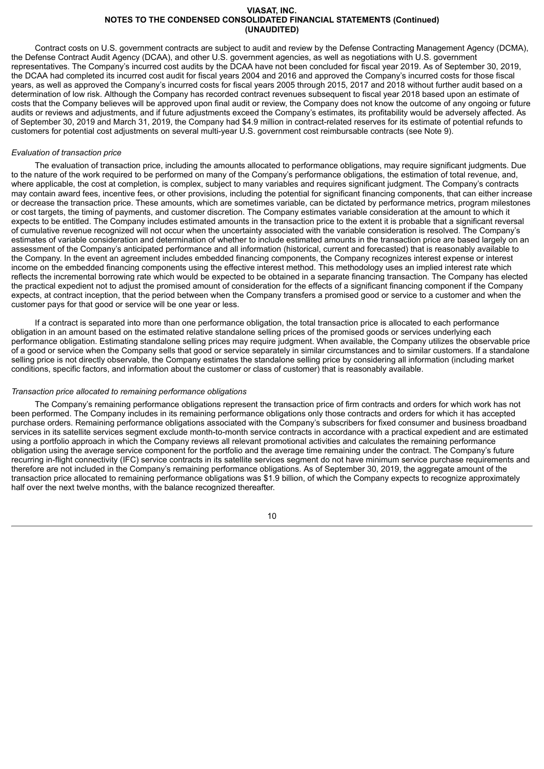Contract costs on U.S. government contracts are subject to audit and review by the Defense Contracting Management Agency (DCMA), the Defense Contract Audit Agency (DCAA), and other U.S. government agencies, as well as negotiations with U.S. government representatives. The Company's incurred cost audits by the DCAA have not been concluded for fiscal year 2019. As of September 30, 2019, the DCAA had completed its incurred cost audit for fiscal years 2004 and 2016 and approved the Company's incurred costs for those fiscal years, as well as approved the Company's incurred costs for fiscal years 2005 through 2015, 2017 and 2018 without further audit based on a determination of low risk. Although the Company has recorded contract revenues subsequent to fiscal year 2018 based upon an estimate of costs that the Company believes will be approved upon final audit or review, the Company does not know the outcome of any ongoing or future audits or reviews and adjustments, and if future adjustments exceed the Company's estimates, its profitability would be adversely affected. As of September 30, 2019 and March 31, 2019, the Company had \$4.9 million in contract-related reserves for its estimate of potential refunds to customers for potential cost adjustments on several multi-year U.S. government cost reimbursable contracts (see Note 9).

#### *Evaluation of transaction price*

The evaluation of transaction price, including the amounts allocated to performance obligations, may require significant judgments. Due to the nature of the work required to be performed on many of the Company's performance obligations, the estimation of total revenue, and, where applicable, the cost at completion, is complex, subject to many variables and requires significant judgment. The Company's contracts may contain award fees, incentive fees, or other provisions, including the potential for significant financing components, that can either increase or decrease the transaction price. These amounts, which are sometimes variable, can be dictated by performance metrics, program milestones or cost targets, the timing of payments, and customer discretion. The Company estimates variable consideration at the amount to which it expects to be entitled. The Company includes estimated amounts in the transaction price to the extent it is probable that a significant reversal of cumulative revenue recognized will not occur when the uncertainty associated with the variable consideration is resolved. The Company's estimates of variable consideration and determination of whether to include estimated amounts in the transaction price are based largely on an assessment of the Company's anticipated performance and all information (historical, current and forecasted) that is reasonably available to the Company. In the event an agreement includes embedded financing components, the Company recognizes interest expense or interest income on the embedded financing components using the effective interest method. This methodology uses an implied interest rate which reflects the incremental borrowing rate which would be expected to be obtained in a separate financing transaction. The Company has elected the practical expedient not to adjust the promised amount of consideration for the effects of a significant financing component if the Company expects, at contract inception, that the period between when the Company transfers a promised good or service to a customer and when the customer pays for that good or service will be one year or less.

If a contract is separated into more than one performance obligation, the total transaction price is allocated to each performance obligation in an amount based on the estimated relative standalone selling prices of the promised goods or services underlying each performance obligation. Estimating standalone selling prices may require judgment. When available, the Company utilizes the observable price of a good or service when the Company sells that good or service separately in similar circumstances and to similar customers. If a standalone selling price is not directly observable, the Company estimates the standalone selling price by considering all information (including market conditions, specific factors, and information about the customer or class of customer) that is reasonably available.

#### *Transaction price allocated to remaining performance obligations*

The Company's remaining performance obligations represent the transaction price of firm contracts and orders for which work has not been performed. The Company includes in its remaining performance obligations only those contracts and orders for which it has accepted purchase orders. Remaining performance obligations associated with the Company's subscribers for fixed consumer and business broadband services in its satellite services segment exclude month-to-month service contracts in accordance with a practical expedient and are estimated using a portfolio approach in which the Company reviews all relevant promotional activities and calculates the remaining performance obligation using the average service component for the portfolio and the average time remaining under the contract. The Company's future recurring in-flight connectivity (IFC) service contracts in its satellite services segment do not have minimum service purchase requirements and therefore are not included in the Company's remaining performance obligations. As of September 30, 2019, the aggregate amount of the transaction price allocated to remaining performance obligations was \$1.9 billion, of which the Company expects to recognize approximately half over the next twelve months, with the balance recognized thereafter.

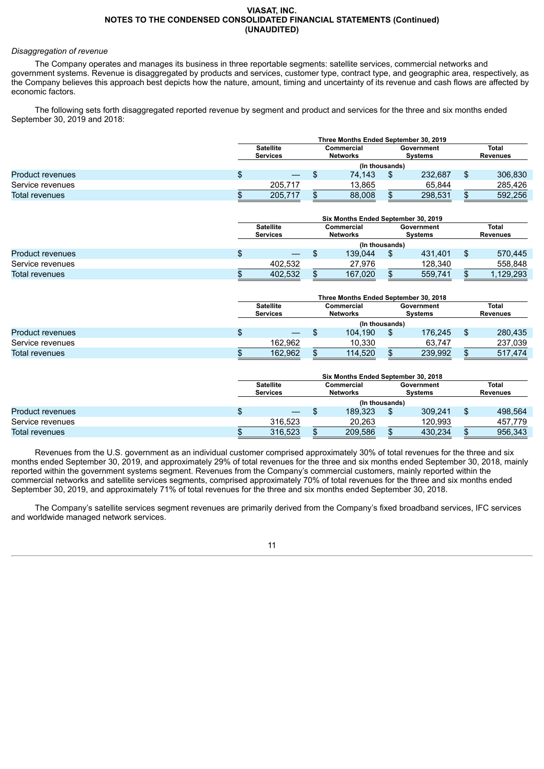#### *Disaggregation of revenue*

The Company operates and manages its business in three reportable segments: satellite services, commercial networks and government systems. Revenue is disaggregated by products and services, customer type, contract type, and geographic area, respectively, as the Company believes this approach best depicts how the nature, amount, timing and uncertainty of its revenue and cash flows are affected by economic factors.

The following sets forth disaggregated reported revenue by segment and product and services for the three and six months ended September 30, 2019 and 2018:

|                         | Three Months Ended September 30, 2019 |  |                               |                              |         |   |                                 |  |
|-------------------------|---------------------------------------|--|-------------------------------|------------------------------|---------|---|---------------------------------|--|
|                         | <b>Satellite</b><br><b>Services</b>   |  | Commercial<br><b>Networks</b> | Government<br><b>Systems</b> |         |   | <b>Total</b><br><b>Revenues</b> |  |
|                         |                                       |  |                               | (In thousands)               |         |   |                                 |  |
| <b>Product revenues</b> |                                       |  | 74.143                        |                              | 232.687 | ω | 306,830                         |  |
| Service revenues        | 205.717                               |  | 13.865                        |                              | 65.844  |   | 285.426                         |  |
| Total revenues          | 205,717                               |  | 88,008                        |                              | 298,531 |   | 592.256                         |  |

|                         | Six Months Ended September 30, 2019 |  |                               |                |                              |   |                          |  |
|-------------------------|-------------------------------------|--|-------------------------------|----------------|------------------------------|---|--------------------------|--|
|                         | <b>Satellite</b><br><b>Services</b> |  | Commercial<br><b>Networks</b> |                | Government<br><b>Systems</b> |   | Total<br><b>Revenues</b> |  |
|                         |                                     |  |                               | (In thousands) |                              |   |                          |  |
| <b>Product revenues</b> |                                     |  | 139.044                       |                | 431.401                      | Φ | 570.445                  |  |
| Service revenues        | 402.532                             |  | 27.976                        |                | 128.340                      |   | 558.848                  |  |
| Total revenues          | 402,532                             |  | 167,020                       |                | 559,741                      |   | 1,129,293                |  |

|                         | Three Months Ended September 30, 2018 |  |                               |                |                              |  |                          |  |
|-------------------------|---------------------------------------|--|-------------------------------|----------------|------------------------------|--|--------------------------|--|
|                         | <b>Satellite</b><br><b>Services</b>   |  | Commercial<br><b>Networks</b> |                | Government<br><b>Systems</b> |  | Total<br><b>Revenues</b> |  |
|                         |                                       |  |                               | (In thousands) |                              |  |                          |  |
| <b>Product revenues</b> |                                       |  | 104.190                       |                | 176.245                      |  | 280.435                  |  |
| Service revenues        | 162.962                               |  | 10.330                        |                | 63.747                       |  | 237.039                  |  |
| Total revenues          | 162.962                               |  | 114.520                       |                | 239.992                      |  | 517.474                  |  |

|                         | Six Months Ended September 30, 2018 |  |                               |                              |         |   |                                 |  |
|-------------------------|-------------------------------------|--|-------------------------------|------------------------------|---------|---|---------------------------------|--|
|                         | <b>Satellite</b><br><b>Services</b> |  | Commercial<br><b>Networks</b> | Government<br><b>Systems</b> |         |   | <b>Total</b><br><b>Revenues</b> |  |
|                         |                                     |  |                               |                              |         |   |                                 |  |
| <b>Product revenues</b> |                                     |  | 189.323                       |                              | 309.241 | S | 498.564                         |  |
| Service revenues        | 316.523                             |  | 20,263                        |                              | 120.993 |   | 457.779                         |  |
| Total revenues          | 316.523                             |  | 209.586                       |                              | 430.234 |   | 956.343                         |  |

Revenues from the U.S. government as an individual customer comprised approximately 30% of total revenues for the three and six months ended September 30, 2019, and approximately 29% of total revenues for the three and six months ended September 30, 2018, mainly reported within the government systems segment. Revenues from the Company's commercial customers, mainly reported within the commercial networks and satellite services segments, comprised approximately 70% of total revenues for the three and six months ended September 30, 2019, and approximately 71% of total revenues for the three and six months ended September 30, 2018.

The Company's satellite services segment revenues are primarily derived from the Company's fixed broadband services, IFC services and worldwide managed network services.

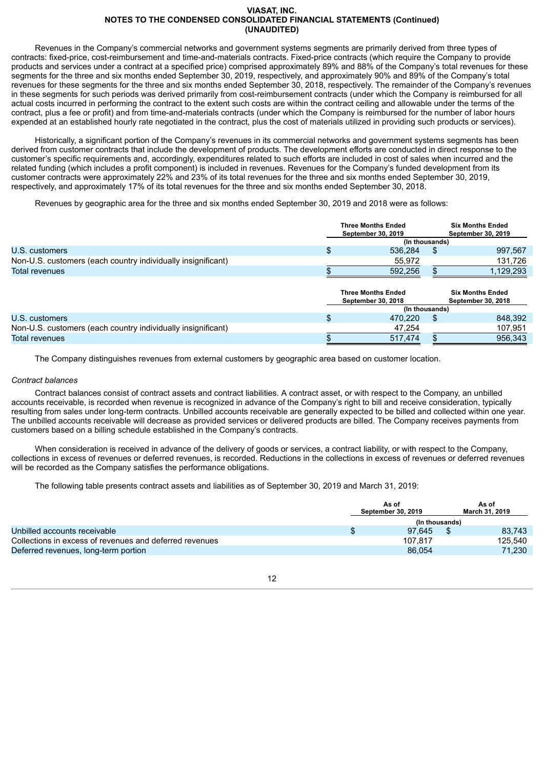Revenues in the Company's commercial networks and government systems segments are primarily derived from three types of contracts: fixed-price, cost-reimbursement and time-and-materials contracts. Fixed-price contracts (which require the Company to provide products and services under a contract at a specified price) comprised approximately 89% and 88% of the Company's total revenues for these segments for the three and six months ended September 30, 2019, respectively, and approximately 90% and 89% of the Company's total revenues for these segments for the three and six months ended September 30, 2018, respectively. The remainder of the Company's revenues in these segments for such periods was derived primarily from cost-reimbursement contracts (under which the Company is reimbursed for all actual costs incurred in performing the contract to the extent such costs are within the contract ceiling and allowable under the terms of the contract, plus a fee or profit) and from time-and-materials contracts (under which the Company is reimbursed for the number of labor hours expended at an established hourly rate negotiated in the contract, plus the cost of materials utilized in providing such products or services).

Historically, a significant portion of the Company's revenues in its commercial networks and government systems segments has been derived from customer contracts that include the development of products. The development efforts are conducted in direct response to the customer's specific requirements and, accordingly, expenditures related to such efforts are included in cost of sales when incurred and the related funding (which includes a profit component) is included in revenues. Revenues for the Company's funded development from its customer contracts were approximately 22% and 23% of its total revenues for the three and six months ended September 30, 2019, respectively, and approximately 17% of its total revenues for the three and six months ended September 30, 2018.

Revenues by geographic area for the three and six months ended September 30, 2019 and 2018 were as follows:

|                                                              | <b>Three Months Ended</b><br>September 30, 2019 |                                                 |                                               | <b>Six Months Ended</b><br>September 30, 2019 |  |  |
|--------------------------------------------------------------|-------------------------------------------------|-------------------------------------------------|-----------------------------------------------|-----------------------------------------------|--|--|
|                                                              |                                                 | (In thousands)                                  |                                               |                                               |  |  |
| U.S. customers                                               | \$                                              | 536.284                                         | S                                             | 997,567                                       |  |  |
| Non-U.S. customers (each country individually insignificant) |                                                 | 55,972                                          |                                               | 131,726                                       |  |  |
| <b>Total revenues</b>                                        |                                                 | 592,256                                         |                                               | 1,129,293                                     |  |  |
|                                                              |                                                 | <b>Three Months Ended</b><br>September 30, 2018 | <b>Six Months Ended</b><br>September 30, 2018 |                                               |  |  |
|                                                              | (In thousands)                                  |                                                 |                                               |                                               |  |  |
| U.S. customers                                               |                                                 | 470.220                                         | \$.                                           | 848,392                                       |  |  |
| Non-U.S. customers (each country individually insignificant) |                                                 | 47,254                                          |                                               | 107,951                                       |  |  |
| <b>Total revenues</b>                                        |                                                 | 517,474                                         |                                               | 956,343                                       |  |  |

The Company distinguishes revenues from external customers by geographic area based on customer location.

#### *Contract balances*

Contract balances consist of contract assets and contract liabilities. A contract asset, or with respect to the Company, an unbilled accounts receivable, is recorded when revenue is recognized in advance of the Company's right to bill and receive consideration, typically resulting from sales under long-term contracts. Unbilled accounts receivable are generally expected to be billed and collected within one year. The unbilled accounts receivable will decrease as provided services or delivered products are billed. The Company receives payments from customers based on a billing schedule established in the Company's contracts.

When consideration is received in advance of the delivery of goods or services, a contract liability, or with respect to the Company, collections in excess of revenues or deferred revenues, is recorded. Reductions in the collections in excess of revenues or deferred revenues will be recorded as the Company satisfies the performance obligations.

The following table presents contract assets and liabilities as of September 30, 2019 and March 31, 2019:

|                                                         | As of<br>September 30, 2019 |  | As of<br>March 31, 2019 |  |  |  |
|---------------------------------------------------------|-----------------------------|--|-------------------------|--|--|--|
|                                                         | (In thousands)              |  |                         |  |  |  |
| Unbilled accounts receivable                            | 97.645                      |  | 83.743                  |  |  |  |
| Collections in excess of revenues and deferred revenues | 107.817                     |  | 125.540                 |  |  |  |
| Deferred revenues, long-term portion                    | 86.054                      |  | 71.230                  |  |  |  |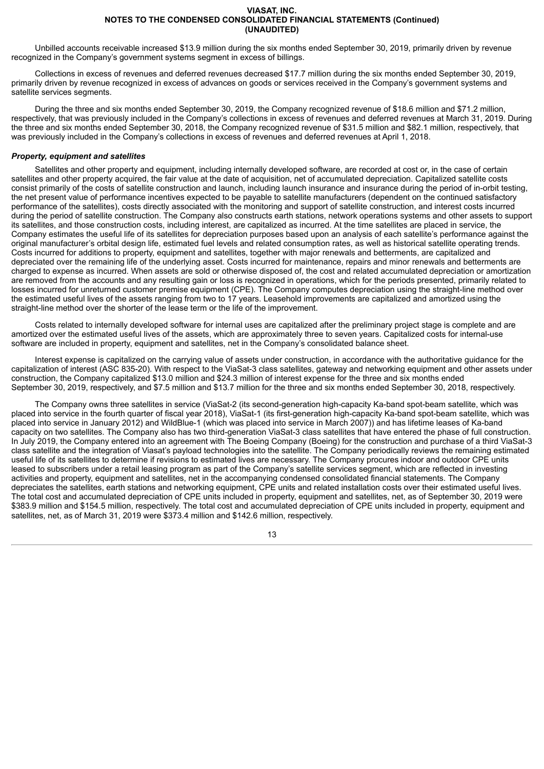Unbilled accounts receivable increased \$13.9 million during the six months ended September 30, 2019, primarily driven by revenue recognized in the Company's government systems segment in excess of billings.

Collections in excess of revenues and deferred revenues decreased \$17.7 million during the six months ended September 30, 2019, primarily driven by revenue recognized in excess of advances on goods or services received in the Company's government systems and satellite services segments.

During the three and six months ended September 30, 2019, the Company recognized revenue of \$18.6 million and \$71.2 million, respectively, that was previously included in the Company's collections in excess of revenues and deferred revenues at March 31, 2019. During the three and six months ended September 30, 2018, the Company recognized revenue of \$31.5 million and \$82.1 million, respectively, that was previously included in the Company's collections in excess of revenues and deferred revenues at April 1, 2018.

# *Property, equipment and satellites*

Satellites and other property and equipment, including internally developed software, are recorded at cost or, in the case of certain satellites and other property acquired, the fair value at the date of acquisition, net of accumulated depreciation. Capitalized satellite costs consist primarily of the costs of satellite construction and launch, including launch insurance and insurance during the period of in-orbit testing, the net present value of performance incentives expected to be payable to satellite manufacturers (dependent on the continued satisfactory performance of the satellites), costs directly associated with the monitoring and support of satellite construction, and interest costs incurred during the period of satellite construction. The Company also constructs earth stations, network operations systems and other assets to support its satellites, and those construction costs, including interest, are capitalized as incurred. At the time satellites are placed in service, the Company estimates the useful life of its satellites for depreciation purposes based upon an analysis of each satellite's performance against the original manufacturer's orbital design life, estimated fuel levels and related consumption rates, as well as historical satellite operating trends. Costs incurred for additions to property, equipment and satellites, together with major renewals and betterments, are capitalized and depreciated over the remaining life of the underlying asset. Costs incurred for maintenance, repairs and minor renewals and betterments are charged to expense as incurred. When assets are sold or otherwise disposed of, the cost and related accumulated depreciation or amortization are removed from the accounts and any resulting gain or loss is recognized in operations, which for the periods presented, primarily related to losses incurred for unreturned customer premise equipment (CPE). The Company computes depreciation using the straight-line method over the estimated useful lives of the assets ranging from two to 17 years. Leasehold improvements are capitalized and amortized using the straight-line method over the shorter of the lease term or the life of the improvement.

Costs related to internally developed software for internal uses are capitalized after the preliminary project stage is complete and are amortized over the estimated useful lives of the assets, which are approximately three to seven years. Capitalized costs for internal-use software are included in property, equipment and satellites, net in the Company's consolidated balance sheet.

Interest expense is capitalized on the carrying value of assets under construction, in accordance with the authoritative guidance for the capitalization of interest (ASC 835-20). With respect to the ViaSat-3 class satellites, gateway and networking equipment and other assets under construction, the Company capitalized \$13.0 million and \$24.3 million of interest expense for the three and six months ended September 30, 2019, respectively, and \$7.5 million and \$13.7 million for the three and six months ended September 30, 2018, respectively.

The Company owns three satellites in service (ViaSat-2 (its second-generation high-capacity Ka-band spot-beam satellite, which was placed into service in the fourth quarter of fiscal year 2018), ViaSat-1 (its first-generation high-capacity Ka-band spot-beam satellite, which was placed into service in January 2012) and WildBlue-1 (which was placed into service in March 2007)) and has lifetime leases of Ka-band capacity on two satellites. The Company also has two third-generation ViaSat-3 class satellites that have entered the phase of full construction. In July 2019, the Company entered into an agreement with The Boeing Company (Boeing) for the construction and purchase of a third ViaSat-3 class satellite and the integration of Viasat's payload technologies into the satellite. The Company periodically reviews the remaining estimated useful life of its satellites to determine if revisions to estimated lives are necessary. The Company procures indoor and outdoor CPE units leased to subscribers under a retail leasing program as part of the Company's satellite services segment, which are reflected in investing activities and property, equipment and satellites, net in the accompanying condensed consolidated financial statements. The Company depreciates the satellites, earth stations and networking equipment, CPE units and related installation costs over their estimated useful lives. The total cost and accumulated depreciation of CPE units included in property, equipment and satellites, net, as of September 30, 2019 were \$383.9 million and \$154.5 million, respectively. The total cost and accumulated depreciation of CPE units included in property, equipment and satellites, net, as of March 31, 2019 were \$373.4 million and \$142.6 million, respectively.

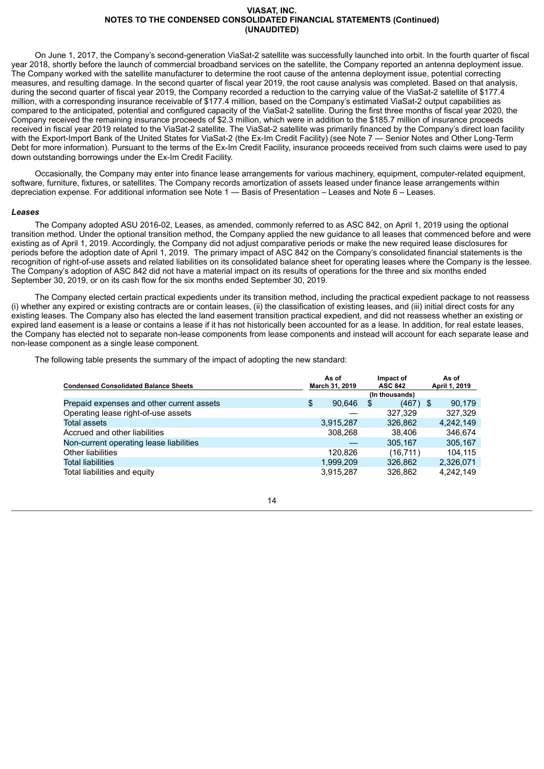On June 1, 2017, the Company's second-generation ViaSat-2 satellite was successfully launched into orbit. In the fourth quarter of fiscal year 2018, shortly before the launch of commercial broadband services on the satellite, the Company reported an antenna deployment issue. The Company worked with the satellite manufacturer to determine the root cause of the antenna deployment issue, potential correcting measures, and resulting damage. In the second quarter of fiscal year 2019, the root cause analysis was completed. Based on that analysis, during the second quarter of fiscal year 2019, the Company recorded a reduction to the carrying value of the ViaSat-2 satellite of \$177.4 million, with a corresponding insurance receivable of \$177.4 million, based on the Company's estimated ViaSat-2 output capabilities as compared to the anticipated, potential and configured capacity of the ViaSat-2 satellite. During the first three months of fiscal year 2020, the Company received the remaining insurance proceeds of \$2.3 million, which were in addition to the \$185.7 million of insurance proceeds received in fiscal year 2019 related to the ViaSat-2 satellite. The ViaSat-2 satellite was primarily financed by the Company's direct loan facility with the Export-Import Bank of the United States for ViaSat-2 (the Ex-Im Credit Facility) (see Note 7 — Senior Notes and Other Long-Term Debt for more information). Pursuant to the terms of the Ex-Im Credit Facility, insurance proceeds received from such claims were used to pay down outstanding borrowings under the Ex-Im Credit Facility.

Occasionally, the Company may enter into finance lease arrangements for various machinery, equipment, computer-related equipment, software, furniture, fixtures, or satellites. The Company records amortization of assets leased under finance lease arrangements within depreciation expense. For additional information see Note 1 — Basis of Presentation – Leases and Note 6 – Leases.

#### *Leases*

The Company adopted ASU 2016-02, Leases, as amended, commonly referred to as ASC 842, on April 1, 2019 using the optional transition method. Under the optional transition method, the Company applied the new guidance to all leases that commenced before and were existing as of April 1, 2019. Accordingly, the Company did not adjust comparative periods or make the new required lease disclosures for periods before the adoption date of April 1, 2019. The primary impact of ASC 842 on the Company's consolidated financial statements is the recognition of right-of-use assets and related liabilities on its consolidated balance sheet for operating leases where the Company is the lessee. The Company's adoption of ASC 842 did not have a material impact on its results of operations for the three and six months ended September 30, 2019, or on its cash flow for the six months ended September 30, 2019.

The Company elected certain practical expedients under its transition method, including the practical expedient package to not reassess (i) whether any expired or existing contracts are or contain leases, (ii) the classification of existing leases, and (iii) initial direct costs for any existing leases. The Company also has elected the land easement transition practical expedient, and did not reassess whether an existing or expired land easement is a lease or contains a lease if it has not historically been accounted for as a lease. In addition, for real estate leases, the Company has elected not to separate non-lease components from lease components and instead will account for each separate lease and non-lease component as a single lease component.

The following table presents the summary of the impact of adopting the new standard:

| <b>Condensed Consolidated Balance Sheets</b> | As of<br>March 31, 2019 |   | Impact of<br><b>ASC 842</b> |     | As of<br>April 1, 2019 |
|----------------------------------------------|-------------------------|---|-----------------------------|-----|------------------------|
|                                              |                         |   | (In thousands)              |     |                        |
| Prepaid expenses and other current assets    | \$<br>90,646            | S | (467)                       | -\$ | 90.179                 |
| Operating lease right-of-use assets          |                         |   | 327.329                     |     | 327,329                |
| Total assets                                 | 3,915,287               |   | 326.862                     |     | 4,242,149              |
| Accrued and other liabilities                | 308.268                 |   | 38.406                      |     | 346,674                |
| Non-current operating lease liabilities      |                         |   | 305,167                     |     | 305.167                |
| Other liabilities                            | 120.826                 |   | (16, 711)                   |     | 104,115                |
| <b>Total liabilities</b>                     | 1.999.209               |   | 326.862                     |     | 2,326,071              |
| Total liabilities and equity                 | 3,915,287               |   | 326,862                     |     | 4,242,149              |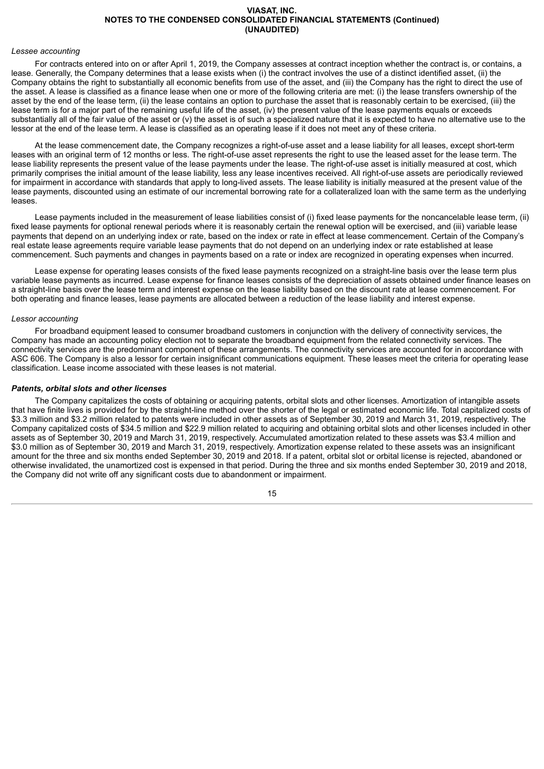#### *Lessee accounting*

For contracts entered into on or after April 1, 2019, the Company assesses at contract inception whether the contract is, or contains, a lease. Generally, the Company determines that a lease exists when (i) the contract involves the use of a distinct identified asset, (ii) the Company obtains the right to substantially all economic benefits from use of the asset, and (iii) the Company has the right to direct the use of the asset. A lease is classified as a finance lease when one or more of the following criteria are met: (i) the lease transfers ownership of the asset by the end of the lease term, (ii) the lease contains an option to purchase the asset that is reasonably certain to be exercised, (iii) the lease term is for a major part of the remaining useful life of the asset, (iv) the present value of the lease payments equals or exceeds substantially all of the fair value of the asset or (v) the asset is of such a specialized nature that it is expected to have no alternative use to the lessor at the end of the lease term. A lease is classified as an operating lease if it does not meet any of these criteria.

At the lease commencement date, the Company recognizes a right-of-use asset and a lease liability for all leases, except short-term leases with an original term of 12 months or less. The right-of-use asset represents the right to use the leased asset for the lease term. The lease liability represents the present value of the lease payments under the lease. The right-of-use asset is initially measured at cost, which primarily comprises the initial amount of the lease liability, less any lease incentives received. All right-of-use assets are periodically reviewed for impairment in accordance with standards that apply to long-lived assets. The lease liability is initially measured at the present value of the lease payments, discounted using an estimate of our incremental borrowing rate for a collateralized loan with the same term as the underlying leases.

Lease payments included in the measurement of lease liabilities consist of (i) fixed lease payments for the noncancelable lease term, (ii) fixed lease payments for optional renewal periods where it is reasonably certain the renewal option will be exercised, and (iii) variable lease payments that depend on an underlying index or rate, based on the index or rate in effect at lease commencement. Certain of the Company's real estate lease agreements require variable lease payments that do not depend on an underlying index or rate established at lease commencement. Such payments and changes in payments based on a rate or index are recognized in operating expenses when incurred.

Lease expense for operating leases consists of the fixed lease payments recognized on a straight-line basis over the lease term plus variable lease payments as incurred. Lease expense for finance leases consists of the depreciation of assets obtained under finance leases on a straight-line basis over the lease term and interest expense on the lease liability based on the discount rate at lease commencement. For both operating and finance leases, lease payments are allocated between a reduction of the lease liability and interest expense.

#### *Lessor accounting*

For broadband equipment leased to consumer broadband customers in conjunction with the delivery of connectivity services, the Company has made an accounting policy election not to separate the broadband equipment from the related connectivity services. The connectivity services are the predominant component of these arrangements. The connectivity services are accounted for in accordance with ASC 606. The Company is also a lessor for certain insignificant communications equipment. These leases meet the criteria for operating lease classification. Lease income associated with these leases is not material.

#### *Patents, orbital slots and other licenses*

The Company capitalizes the costs of obtaining or acquiring patents, orbital slots and other licenses. Amortization of intangible assets that have finite lives is provided for by the straight-line method over the shorter of the legal or estimated economic life. Total capitalized costs of \$3.3 million and \$3.2 million related to patents were included in other assets as of September 30, 2019 and March 31, 2019, respectively. The Company capitalized costs of \$34.5 million and \$22.9 million related to acquiring and obtaining orbital slots and other licenses included in other assets as of September 30, 2019 and March 31, 2019, respectively. Accumulated amortization related to these assets was \$3.4 million and \$3.0 million as of September 30, 2019 and March 31, 2019, respectively. Amortization expense related to these assets was an insignificant amount for the three and six months ended September 30, 2019 and 2018. If a patent, orbital slot or orbital license is rejected, abandoned or otherwise invalidated, the unamortized cost is expensed in that period. During the three and six months ended September 30, 2019 and 2018, the Company did not write off any significant costs due to abandonment or impairment.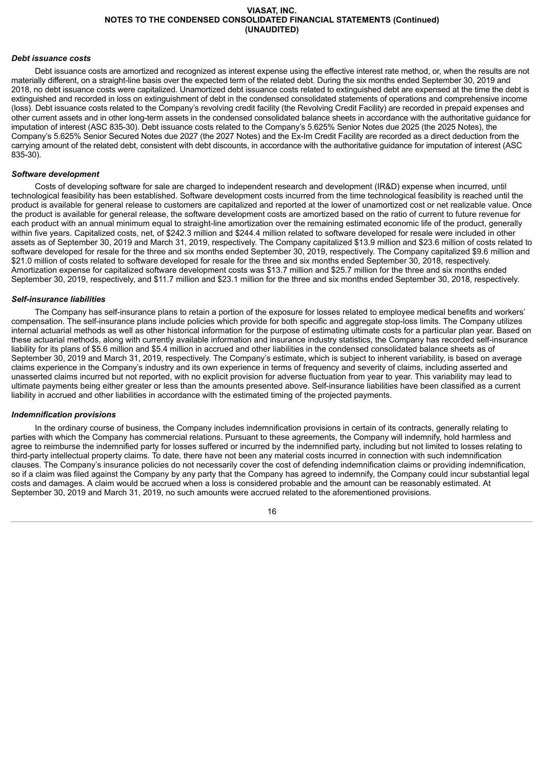#### *Debt issuance costs*

Debt issuance costs are amortized and recognized as interest expense using the effective interest rate method, or, when the results are not materially different, on a straight-line basis over the expected term of the related debt. During the six months ended September 30, 2019 and 2018, no debt issuance costs were capitalized. Unamortized debt issuance costs related to extinguished debt are expensed at the time the debt is extinguished and recorded in loss on extinguishment of debt in the condensed consolidated statements of operations and comprehensive income (loss). Debt issuance costs related to the Company's revolving credit facility (the Revolving Credit Facility) are recorded in prepaid expenses and other current assets and in other long-term assets in the condensed consolidated balance sheets in accordance with the authoritative guidance for imputation of interest (ASC 835-30). Debt issuance costs related to the Company's 5.625% Senior Notes due 2025 (the 2025 Notes), the Company's 5.625% Senior Secured Notes due 2027 (the 2027 Notes) and the Ex-Im Credit Facility are recorded as a direct deduction from the carrying amount of the related debt, consistent with debt discounts, in accordance with the authoritative guidance for imputation of interest (ASC 835-30).

# *Software development*

Costs of developing software for sale are charged to independent research and development (IR&D) expense when incurred, until technological feasibility has been established. Software development costs incurred from the time technological feasibility is reached until the product is available for general release to customers are capitalized and reported at the lower of unamortized cost or net realizable value. Once the product is available for general release, the software development costs are amortized based on the ratio of current to future revenue for each product with an annual minimum equal to straight-line amortization over the remaining estimated economic life of the product, generally within five years. Capitalized costs, net, of \$242.3 million and \$244.4 million related to software developed for resale were included in other assets as of September 30, 2019 and March 31, 2019, respectively. The Company capitalized \$13.9 million and \$23.6 million of costs related to software developed for resale for the three and six months ended September 30, 2019, respectively. The Company capitalized \$9.6 million and \$21.0 million of costs related to software developed for resale for the three and six months ended September 30, 2018, respectively. Amortization expense for capitalized software development costs was \$13.7 million and \$25.7 million for the three and six months ended September 30, 2019, respectively, and \$11.7 million and \$23.1 million for the three and six months ended September 30, 2018, respectively.

#### *Self-insurance liabilities*

The Company has self-insurance plans to retain a portion of the exposure for losses related to employee medical benefits and workers' compensation. The self-insurance plans include policies which provide for both specific and aggregate stop-loss limits. The Company utilizes internal actuarial methods as well as other historical information for the purpose of estimating ultimate costs for a particular plan year. Based on these actuarial methods, along with currently available information and insurance industry statistics, the Company has recorded self-insurance liability for its plans of \$5.6 million and \$5.4 million in accrued and other liabilities in the condensed consolidated balance sheets as of September 30, 2019 and March 31, 2019, respectively. The Company's estimate, which is subject to inherent variability, is based on average claims experience in the Company's industry and its own experience in terms of frequency and severity of claims, including asserted and unasserted claims incurred but not reported, with no explicit provision for adverse fluctuation from year to year. This variability may lead to ultimate payments being either greater or less than the amounts presented above. Self-insurance liabilities have been classified as a current liability in accrued and other liabilities in accordance with the estimated timing of the projected payments.

# *Indemnification provisions*

In the ordinary course of business, the Company includes indemnification provisions in certain of its contracts, generally relating to parties with which the Company has commercial relations. Pursuant to these agreements, the Company will indemnify, hold harmless and agree to reimburse the indemnified party for losses suffered or incurred by the indemnified party, including but not limited to losses relating to third-party intellectual property claims. To date, there have not been any material costs incurred in connection with such indemnification clauses. The Company's insurance policies do not necessarily cover the cost of defending indemnification claims or providing indemnification, so if a claim was filed against the Company by any party that the Company has agreed to indemnify, the Company could incur substantial legal costs and damages. A claim would be accrued when a loss is considered probable and the amount can be reasonably estimated. At September 30, 2019 and March 31, 2019, no such amounts were accrued related to the aforementioned provisions.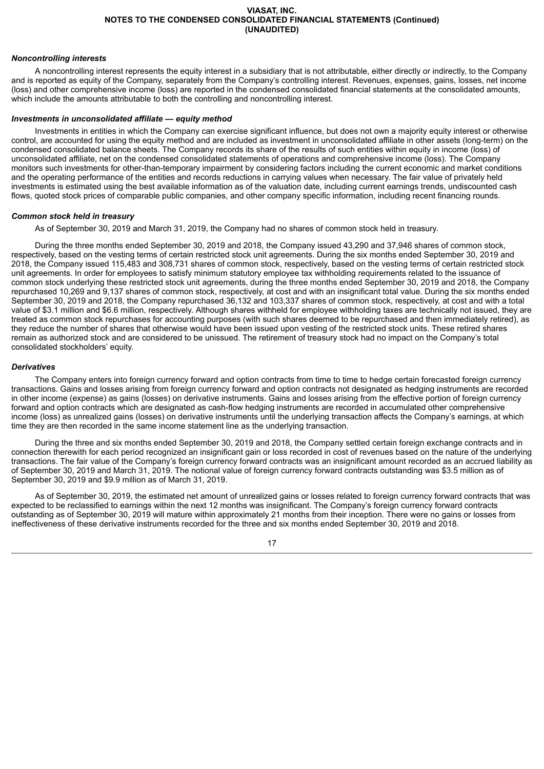# *Noncontrolling interests*

A noncontrolling interest represents the equity interest in a subsidiary that is not attributable, either directly or indirectly, to the Company and is reported as equity of the Company, separately from the Company's controlling interest. Revenues, expenses, gains, losses, net income (loss) and other comprehensive income (loss) are reported in the condensed consolidated financial statements at the consolidated amounts, which include the amounts attributable to both the controlling and noncontrolling interest.

# *Investments in unconsolidated affiliate — equity method*

Investments in entities in which the Company can exercise significant influence, but does not own a majority equity interest or otherwise control, are accounted for using the equity method and are included as investment in unconsolidated affiliate in other assets (long-term) on the condensed consolidated balance sheets. The Company records its share of the results of such entities within equity in income (loss) of unconsolidated affiliate, net on the condensed consolidated statements of operations and comprehensive income (loss). The Company monitors such investments for other-than-temporary impairment by considering factors including the current economic and market conditions and the operating performance of the entities and records reductions in carrying values when necessary. The fair value of privately held investments is estimated using the best available information as of the valuation date, including current earnings trends, undiscounted cash flows, quoted stock prices of comparable public companies, and other company specific information, including recent financing rounds.

#### *Common stock held in treasury*

As of September 30, 2019 and March 31, 2019, the Company had no shares of common stock held in treasury.

During the three months ended September 30, 2019 and 2018, the Company issued 43,290 and 37,946 shares of common stock, respectively, based on the vesting terms of certain restricted stock unit agreements. During the six months ended September 30, 2019 and 2018, the Company issued 115,483 and 308,731 shares of common stock, respectively, based on the vesting terms of certain restricted stock unit agreements. In order for employees to satisfy minimum statutory employee tax withholding requirements related to the issuance of common stock underlying these restricted stock unit agreements, during the three months ended September 30, 2019 and 2018, the Company repurchased 10,269 and 9,137 shares of common stock, respectively, at cost and with an insignificant total value. During the six months ended September 30, 2019 and 2018, the Company repurchased 36,132 and 103,337 shares of common stock, respectively, at cost and with a total value of \$3.1 million and \$6.6 million, respectively. Although shares withheld for employee withholding taxes are technically not issued, they are treated as common stock repurchases for accounting purposes (with such shares deemed to be repurchased and then immediately retired), as they reduce the number of shares that otherwise would have been issued upon vesting of the restricted stock units. These retired shares remain as authorized stock and are considered to be unissued. The retirement of treasury stock had no impact on the Company's total consolidated stockholders' equity.

#### *Derivatives*

The Company enters into foreign currency forward and option contracts from time to time to hedge certain forecasted foreign currency transactions. Gains and losses arising from foreign currency forward and option contracts not designated as hedging instruments are recorded in other income (expense) as gains (losses) on derivative instruments. Gains and losses arising from the effective portion of foreign currency forward and option contracts which are designated as cash-flow hedging instruments are recorded in accumulated other comprehensive income (loss) as unrealized gains (losses) on derivative instruments until the underlying transaction affects the Company's earnings, at which time they are then recorded in the same income statement line as the underlying transaction.

During the three and six months ended September 30, 2019 and 2018, the Company settled certain foreign exchange contracts and in connection therewith for each period recognized an insignificant gain or loss recorded in cost of revenues based on the nature of the underlying transactions. The fair value of the Company's foreign currency forward contracts was an insignificant amount recorded as an accrued liability as of September 30, 2019 and March 31, 2019. The notional value of foreign currency forward contracts outstanding was \$3.5 million as of September 30, 2019 and \$9.9 million as of March 31, 2019.

As of September 30, 2019, the estimated net amount of unrealized gains or losses related to foreign currency forward contracts that was expected to be reclassified to earnings within the next 12 months was insignificant. The Company's foreign currency forward contracts outstanding as of September 30, 2019 will mature within approximately 21 months from their inception. There were no gains or losses from ineffectiveness of these derivative instruments recorded for the three and six months ended September 30, 2019 and 2018.

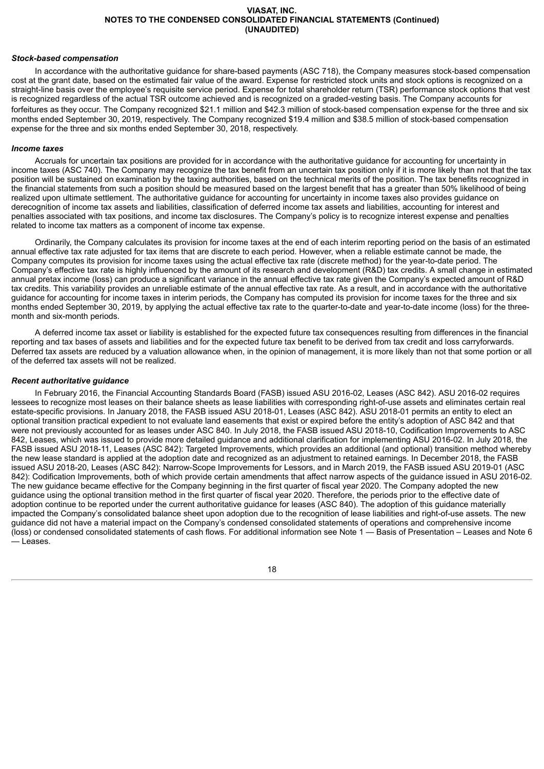#### *Stock-based compensation*

In accordance with the authoritative guidance for share-based payments (ASC 718), the Company measures stock-based compensation cost at the grant date, based on the estimated fair value of the award. Expense for restricted stock units and stock options is recognized on a straight-line basis over the employee's requisite service period. Expense for total shareholder return (TSR) performance stock options that vest is recognized regardless of the actual TSR outcome achieved and is recognized on a graded-vesting basis. The Company accounts for forfeitures as they occur. The Company recognized \$21.1 million and \$42.3 million of stock-based compensation expense for the three and six months ended September 30, 2019, respectively. The Company recognized \$19.4 million and \$38.5 million of stock-based compensation expense for the three and six months ended September 30, 2018, respectively.

#### *Income taxes*

Accruals for uncertain tax positions are provided for in accordance with the authoritative guidance for accounting for uncertainty in income taxes (ASC 740). The Company may recognize the tax benefit from an uncertain tax position only if it is more likely than not that the tax position will be sustained on examination by the taxing authorities, based on the technical merits of the position. The tax benefits recognized in the financial statements from such a position should be measured based on the largest benefit that has a greater than 50% likelihood of being realized upon ultimate settlement. The authoritative guidance for accounting for uncertainty in income taxes also provides guidance on derecognition of income tax assets and liabilities, classification of deferred income tax assets and liabilities, accounting for interest and penalties associated with tax positions, and income tax disclosures. The Company's policy is to recognize interest expense and penalties related to income tax matters as a component of income tax expense.

Ordinarily, the Company calculates its provision for income taxes at the end of each interim reporting period on the basis of an estimated annual effective tax rate adjusted for tax items that are discrete to each period. However, when a reliable estimate cannot be made, the Company computes its provision for income taxes using the actual effective tax rate (discrete method) for the year-to-date period. The Company's effective tax rate is highly influenced by the amount of its research and development (R&D) tax credits. A small change in estimated annual pretax income (loss) can produce a significant variance in the annual effective tax rate given the Company's expected amount of R&D tax credits. This variability provides an unreliable estimate of the annual effective tax rate. As a result, and in accordance with the authoritative guidance for accounting for income taxes in interim periods, the Company has computed its provision for income taxes for the three and six months ended September 30, 2019, by applying the actual effective tax rate to the quarter-to-date and year-to-date income (loss) for the threemonth and six-month periods.

A deferred income tax asset or liability is established for the expected future tax consequences resulting from differences in the financial reporting and tax bases of assets and liabilities and for the expected future tax benefit to be derived from tax credit and loss carryforwards. Deferred tax assets are reduced by a valuation allowance when, in the opinion of management, it is more likely than not that some portion or all of the deferred tax assets will not be realized.

#### *Recent authoritative guidance*

In February 2016, the Financial Accounting Standards Board (FASB) issued ASU 2016-02, Leases (ASC 842). ASU 2016-02 requires lessees to recognize most leases on their balance sheets as lease liabilities with corresponding right-of-use assets and eliminates certain real estate-specific provisions. In January 2018, the FASB issued ASU 2018-01, Leases (ASC 842). ASU 2018-01 permits an entity to elect an optional transition practical expedient to not evaluate land easements that exist or expired before the entity's adoption of ASC 842 and that were not previously accounted for as leases under ASC 840. In July 2018, the FASB issued ASU 2018-10, Codification Improvements to ASC 842, Leases, which was issued to provide more detailed guidance and additional clarification for implementing ASU 2016-02. In July 2018, the FASB issued ASU 2018-11, Leases (ASC 842): Targeted Improvements, which provides an additional (and optional) transition method whereby the new lease standard is applied at the adoption date and recognized as an adjustment to retained earnings. In December 2018, the FASB issued ASU 2018-20, Leases (ASC 842): Narrow-Scope Improvements for Lessors, and in March 2019, the FASB issued ASU 2019-01 (ASC 842): Codification Improvements, both of which provide certain amendments that affect narrow aspects of the guidance issued in ASU 2016-02. The new guidance became effective for the Company beginning in the first quarter of fiscal year 2020. The Company adopted the new guidance using the optional transition method in the first quarter of fiscal year 2020. Therefore, the periods prior to the effective date of adoption continue to be reported under the current authoritative guidance for leases (ASC 840). The adoption of this guidance materially impacted the Company's consolidated balance sheet upon adoption due to the recognition of lease liabilities and right-of-use assets. The new guidance did not have a material impact on the Company's condensed consolidated statements of operations and comprehensive income (loss) or condensed consolidated statements of cash flows. For additional information see Note 1 — Basis of Presentation – Leases and Note 6 — Leases.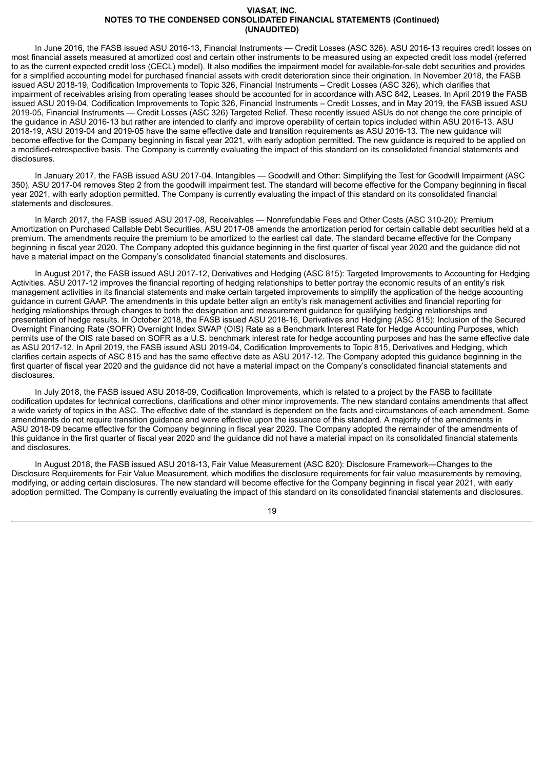In June 2016, the FASB issued ASU 2016-13, Financial Instruments — Credit Losses (ASC 326). ASU 2016-13 requires credit losses on most financial assets measured at amortized cost and certain other instruments to be measured using an expected credit loss model (referred to as the current expected credit loss (CECL) model). It also modifies the impairment model for available-for-sale debt securities and provides for a simplified accounting model for purchased financial assets with credit deterioration since their origination. In November 2018, the FASB issued ASU 2018-19, Codification Improvements to Topic 326, Financial Instruments – Credit Losses (ASC 326), which clarifies that impairment of receivables arising from operating leases should be accounted for in accordance with ASC 842, Leases. In April 2019 the FASB issued ASU 2019-04, Codification Improvements to Topic 326, Financial Instruments – Credit Losses, and in May 2019, the FASB issued ASU 2019-05, Financial Instruments — Credit Losses (ASC 326) Targeted Relief. These recently issued ASUs do not change the core principle of the guidance in ASU 2016-13 but rather are intended to clarify and improve operability of certain topics included within ASU 2016-13. ASU 2018-19, ASU 2019-04 and 2019-05 have the same effective date and transition requirements as ASU 2016-13. The new guidance will become effective for the Company beginning in fiscal year 2021, with early adoption permitted. The new guidance is required to be applied on a modified-retrospective basis. The Company is currently evaluating the impact of this standard on its consolidated financial statements and disclosures.

In January 2017, the FASB issued ASU 2017-04, Intangibles — Goodwill and Other: Simplifying the Test for Goodwill Impairment (ASC 350). ASU 2017-04 removes Step 2 from the goodwill impairment test. The standard will become effective for the Company beginning in fiscal year 2021, with early adoption permitted. The Company is currently evaluating the impact of this standard on its consolidated financial statements and disclosures.

In March 2017, the FASB issued ASU 2017-08, Receivables — Nonrefundable Fees and Other Costs (ASC 310-20): Premium Amortization on Purchased Callable Debt Securities. ASU 2017-08 amends the amortization period for certain callable debt securities held at a premium. The amendments require the premium to be amortized to the earliest call date. The standard became effective for the Company beginning in fiscal year 2020. The Company adopted this guidance beginning in the first quarter of fiscal year 2020 and the guidance did not have a material impact on the Company's consolidated financial statements and disclosures.

In August 2017, the FASB issued ASU 2017-12, Derivatives and Hedging (ASC 815): Targeted Improvements to Accounting for Hedging Activities. ASU 2017-12 improves the financial reporting of hedging relationships to better portray the economic results of an entity's risk management activities in its financial statements and make certain targeted improvements to simplify the application of the hedge accounting guidance in current GAAP. The amendments in this update better align an entity's risk management activities and financial reporting for hedging relationships through changes to both the designation and measurement guidance for qualifying hedging relationships and presentation of hedge results. In October 2018, the FASB issued ASU 2018-16, Derivatives and Hedging (ASC 815): Inclusion of the Secured Overnight Financing Rate (SOFR) Overnight Index SWAP (OIS) Rate as a Benchmark Interest Rate for Hedge Accounting Purposes, which permits use of the OIS rate based on SOFR as a U.S. benchmark interest rate for hedge accounting purposes and has the same effective date as ASU 2017-12. In April 2019, the FASB issued ASU 2019-04, Codification Improvements to Topic 815, Derivatives and Hedging, which clarifies certain aspects of ASC 815 and has the same effective date as ASU 2017-12. The Company adopted this guidance beginning in the first quarter of fiscal year 2020 and the guidance did not have a material impact on the Company's consolidated financial statements and disclosures.

In July 2018, the FASB issued ASU 2018-09, Codification Improvements, which is related to a project by the FASB to facilitate codification updates for technical corrections, clarifications and other minor improvements. The new standard contains amendments that affect a wide variety of topics in the ASC. The effective date of the standard is dependent on the facts and circumstances of each amendment. Some amendments do not require transition guidance and were effective upon the issuance of this standard. A majority of the amendments in ASU 2018-09 became effective for the Company beginning in fiscal year 2020. The Company adopted the remainder of the amendments of this guidance in the first quarter of fiscal year 2020 and the guidance did not have a material impact on its consolidated financial statements and disclosures.

In August 2018, the FASB issued ASU 2018-13, Fair Value Measurement (ASC 820): Disclosure Framework—Changes to the Disclosure Requirements for Fair Value Measurement, which modifies the disclosure requirements for fair value measurements by removing, modifying, or adding certain disclosures. The new standard will become effective for the Company beginning in fiscal year 2021, with early adoption permitted. The Company is currently evaluating the impact of this standard on its consolidated financial statements and disclosures.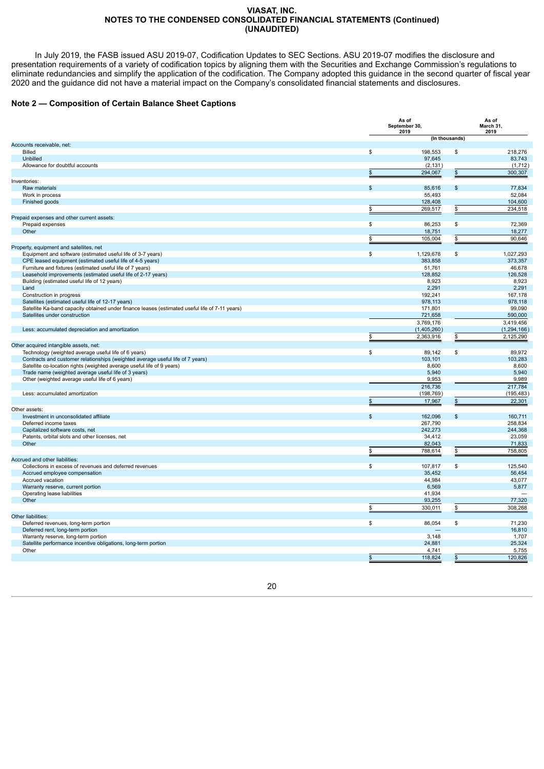In July 2019, the FASB issued ASU 2019-07, Codification Updates to SEC Sections. ASU 2019-07 modifies the disclosure and presentation requirements of a variety of codification topics by aligning them with the Securities and Exchange Commission's regulations to eliminate redundancies and simplify the application of the codification. The Company adopted this guidance in the second quarter of fiscal year 2020 and the guidance did not have a material impact on the Company's consolidated financial statements and disclosures.

# **Note 2 — Composition of Certain Balance Sheet Captions**

|                                                                                                        |                | As of<br>September 30,<br>2019 |                | As of<br>March 31,<br>2019 |  |
|--------------------------------------------------------------------------------------------------------|----------------|--------------------------------|----------------|----------------------------|--|
|                                                                                                        |                | (In thousands)                 |                |                            |  |
| Accounts receivable, net:<br><b>Billed</b>                                                             |                |                                |                |                            |  |
| Unbilled                                                                                               | \$             | 198,553<br>97.645              | \$             | 218,276<br>83.743          |  |
| Allowance for doubtful accounts                                                                        |                | (2, 131)                       |                | (1,712)                    |  |
|                                                                                                        | \$             | 294,067                        | \$             | 300,307                    |  |
| Inventories:                                                                                           |                |                                |                |                            |  |
| Raw materials                                                                                          | $\mathbb{S}$   | 85,616                         | $$\mathbb{S}$$ | 77,834                     |  |
| Work in process                                                                                        |                | 55.493                         |                | 52.084                     |  |
| Finished goods                                                                                         |                | 128,408                        |                | 104,600                    |  |
|                                                                                                        | \$             | 269,517                        | \$             | 234,518                    |  |
| Prepaid expenses and other current assets:                                                             |                |                                |                |                            |  |
| Prepaid expenses                                                                                       | S              | 86,253                         | \$             | 72,369                     |  |
| Other                                                                                                  |                | 18,751                         |                | 18,277                     |  |
|                                                                                                        | S              | 105,004                        | \$             | 90,646                     |  |
| Property, equipment and satellites, net<br>Equipment and software (estimated useful life of 3-7 years) | \$             | 1,129,678                      | \$             | 1,027,293                  |  |
| CPE leased equipment (estimated useful life of 4-5 years)                                              |                | 383,858                        |                | 373,357                    |  |
| Furniture and fixtures (estimated useful life of 7 years)                                              |                | 51.761                         |                | 46,678                     |  |
| Leasehold improvements (estimated useful life of 2-17 years)                                           |                | 128,852                        |                | 126,528                    |  |
| Building (estimated useful life of 12 years)                                                           |                | 8.923                          |                | 8,923                      |  |
| Land                                                                                                   |                | 2,291                          |                | 2,291                      |  |
| Construction in progress                                                                               |                | 192,241                        |                | 167.178                    |  |
| Satellites (estimated useful life of 12-17 years)                                                      |                | 978,113                        |                | 978,118                    |  |
| Satellite Ka-band capacity obtained under finance leases (estimated useful life of 7-11 years)         |                | 171,801                        |                | 99,090                     |  |
| Satellites under construction                                                                          |                | 721,658                        |                | 590,000                    |  |
|                                                                                                        |                | 3,769,176                      |                | 3,419,456                  |  |
| Less: accumulated depreciation and amortization                                                        |                | (1,405,260)                    |                | (1, 294, 166)              |  |
|                                                                                                        | \$             | 2,363,916                      | \$             | 2,125,290                  |  |
| Other acquired intangible assets, net:                                                                 |                |                                |                |                            |  |
| Technology (weighted average useful life of 6 years)                                                   | \$             | 89,142                         | \$             | 89,972                     |  |
| Contracts and customer relationships (weighted average useful life of 7 years)                         |                | 103,101                        |                | 103,283                    |  |
| Satellite co-location rights (weighted average useful life of 9 years)                                 |                | 8,600                          |                | 8,600                      |  |
| Trade name (weighted average useful life of 3 years)                                                   |                | 5,940                          |                | 5,940                      |  |
| Other (weighted average useful life of 6 years)                                                        |                | 9,953                          |                | 9,989                      |  |
|                                                                                                        |                | 216,736                        |                | 217,784                    |  |
| Less: accumulated amortization                                                                         |                | (198, 769)                     |                | (195, 483)                 |  |
|                                                                                                        | S              | 17,967                         | \$             | 22,301                     |  |
| Other assets:<br>Investment in unconsolidated affiliate                                                | $\mathbf{s}$   | 162,096                        | \$             | 160,711                    |  |
| Deferred income taxes                                                                                  |                | 267,790                        |                | 258,834                    |  |
| Capitalized software costs, net                                                                        |                | 242,273                        |                | 244,368                    |  |
| Patents, orbital slots and other licenses, net                                                         |                | 34,412                         |                | 23,059                     |  |
| Other                                                                                                  |                | 82,043                         |                | 71,833                     |  |
|                                                                                                        | \$             | 788,614                        | \$             | 758,805                    |  |
| Accrued and other liabilities:                                                                         |                |                                |                |                            |  |
| Collections in excess of revenues and deferred revenues                                                | $\mathbb S$    | 107,817                        | \$             | 125,540                    |  |
| Accrued employee compensation                                                                          |                | 35,452                         |                | 56,454                     |  |
| Accrued vacation                                                                                       |                | 44,984                         |                | 43,077                     |  |
| Warranty reserve, current portion                                                                      |                | 6,569                          |                | 5,877                      |  |
| Operating lease liabilities                                                                            |                | 41,934                         |                |                            |  |
| Other                                                                                                  |                | 93,255                         |                | 77,320                     |  |
|                                                                                                        | \$             | 330,011                        | \$             | 308,268                    |  |
| Other liabilities:                                                                                     |                |                                |                |                            |  |
| Deferred revenues, long-term portion                                                                   | $\mathbb S$    | 86,054                         | \$             | 71,230                     |  |
| Deferred rent, long-term portion                                                                       |                |                                |                | 16,810                     |  |
| Warranty reserve, long-term portion<br>Satellite performance incentive obligations, long-term portion  |                | 3,148<br>24,881                |                | 1,707<br>25,324            |  |
| Other                                                                                                  |                | 4,741                          |                | 5,755                      |  |
|                                                                                                        | $$\mathbb{S}$$ | 118,824                        | \$             | 120,826                    |  |
|                                                                                                        |                |                                |                |                            |  |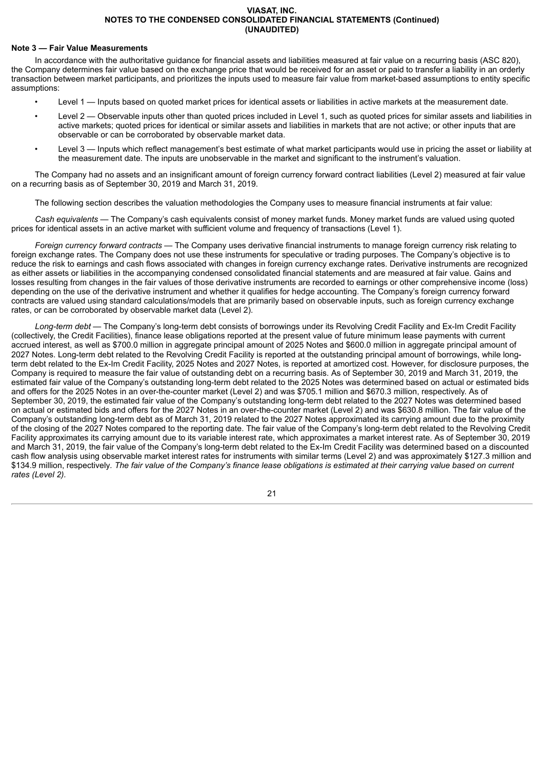# **Note 3 — Fair Value Measurements**

In accordance with the authoritative guidance for financial assets and liabilities measured at fair value on a recurring basis (ASC 820), the Company determines fair value based on the exchange price that would be received for an asset or paid to transfer a liability in an orderly transaction between market participants, and prioritizes the inputs used to measure fair value from market-based assumptions to entity specific assumptions:

- Level 1 Inputs based on quoted market prices for identical assets or liabilities in active markets at the measurement date.
- Level 2 Observable inputs other than quoted prices included in Level 1, such as quoted prices for similar assets and liabilities in active markets; quoted prices for identical or similar assets and liabilities in markets that are not active; or other inputs that are observable or can be corroborated by observable market data.
- Level 3 Inputs which reflect management's best estimate of what market participants would use in pricing the asset or liability at the measurement date. The inputs are unobservable in the market and significant to the instrument's valuation.

The Company had no assets and an insignificant amount of foreign currency forward contract liabilities (Level 2) measured at fair value on a recurring basis as of September 30, 2019 and March 31, 2019.

The following section describes the valuation methodologies the Company uses to measure financial instruments at fair value:

*Cash equivalents* — The Company's cash equivalents consist of money market funds. Money market funds are valued using quoted prices for identical assets in an active market with sufficient volume and frequency of transactions (Level 1).

*Foreign currency forward contracts* — The Company uses derivative financial instruments to manage foreign currency risk relating to foreign exchange rates. The Company does not use these instruments for speculative or trading purposes. The Company's objective is to reduce the risk to earnings and cash flows associated with changes in foreign currency exchange rates. Derivative instruments are recognized as either assets or liabilities in the accompanying condensed consolidated financial statements and are measured at fair value. Gains and losses resulting from changes in the fair values of those derivative instruments are recorded to earnings or other comprehensive income (loss) depending on the use of the derivative instrument and whether it qualifies for hedge accounting. The Company's foreign currency forward contracts are valued using standard calculations/models that are primarily based on observable inputs, such as foreign currency exchange rates, or can be corroborated by observable market data (Level 2).

*Long-term debt* — The Company's long-term debt consists of borrowings under its Revolving Credit Facility and Ex-Im Credit Facility (collectively, the Credit Facilities), finance lease obligations reported at the present value of future minimum lease payments with current accrued interest, as well as \$700.0 million in aggregate principal amount of 2025 Notes and \$600.0 million in aggregate principal amount of 2027 Notes. Long-term debt related to the Revolving Credit Facility is reported at the outstanding principal amount of borrowings, while longterm debt related to the Ex-Im Credit Facility, 2025 Notes and 2027 Notes, is reported at amortized cost. However, for disclosure purposes, the Company is required to measure the fair value of outstanding debt on a recurring basis. As of September 30, 2019 and March 31, 2019, the estimated fair value of the Company's outstanding long-term debt related to the 2025 Notes was determined based on actual or estimated bids and offers for the 2025 Notes in an over-the-counter market (Level 2) and was \$705.1 million and \$670.3 million, respectively. As of September 30, 2019, the estimated fair value of the Company's outstanding long-term debt related to the 2027 Notes was determined based on actual or estimated bids and offers for the 2027 Notes in an over-the-counter market (Level 2) and was \$630.8 million. The fair value of the Company's outstanding long-term debt as of March 31, 2019 related to the 2027 Notes approximated its carrying amount due to the proximity of the closing of the 2027 Notes compared to the reporting date. The fair value of the Company's long-term debt related to the Revolving Credit Facility approximates its carrying amount due to its variable interest rate, which approximates a market interest rate. As of September 30, 2019 and March 31, 2019, the fair value of the Company's long-term debt related to the Ex-Im Credit Facility was determined based on a discounted cash flow analysis using observable market interest rates for instruments with similar terms (Level 2) and was approximately \$127.3 million and \$134.9 million, respectively. The fair value of the Company's finance lease obligations is estimated at their carrying value based on current *rates (Level 2).*

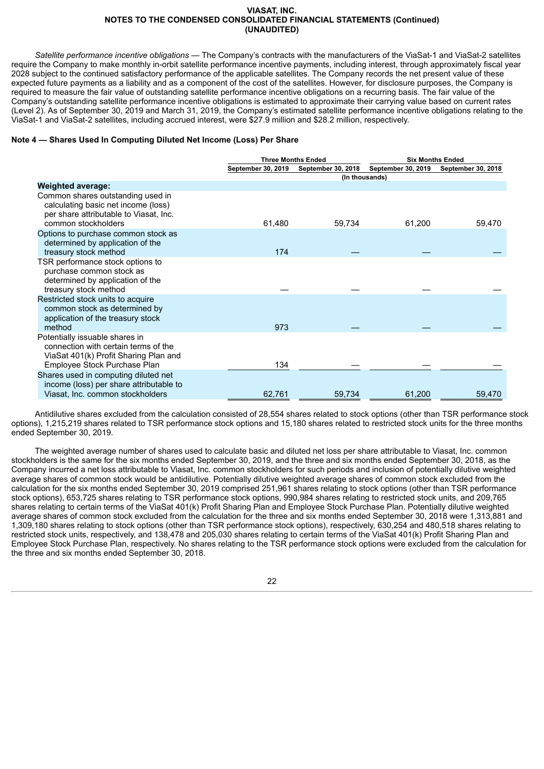*Satellite performance incentive obligations* — The Company's contracts with the manufacturers of the ViaSat-1 and ViaSat-2 satellites require the Company to make monthly in-orbit satellite performance incentive payments, including interest, through approximately fiscal year 2028 subject to the continued satisfactory performance of the applicable satellites. The Company records the net present value of these expected future payments as a liability and as a component of the cost of the satellites. However, for disclosure purposes, the Company is required to measure the fair value of outstanding satellite performance incentive obligations on a recurring basis. The fair value of the Company's outstanding satellite performance incentive obligations is estimated to approximate their carrying value based on current rates (Level 2). As of September 30, 2019 and March 31, 2019, the Company's estimated satellite performance incentive obligations relating to the ViaSat-1 and ViaSat-2 satellites, including accrued interest, were \$27.9 million and \$28.2 million, respectively.

# **Note 4 — Shares Used In Computing Diluted Net Income (Loss) Per Share**

|                                                                                                                                                                       |                    | <b>Three Months Ended</b> |                                                          | <b>Six Months Ended</b> |  |  |
|-----------------------------------------------------------------------------------------------------------------------------------------------------------------------|--------------------|---------------------------|----------------------------------------------------------|-------------------------|--|--|
|                                                                                                                                                                       | September 30, 2019 |                           | September 30, 2018 September 30, 2019 September 30, 2018 |                         |  |  |
|                                                                                                                                                                       |                    |                           | (In thousands)                                           |                         |  |  |
| <b>Weighted average:</b><br>Common shares outstanding used in<br>calculating basic net income (loss)<br>per share attributable to Viasat, Inc.<br>common stockholders | 61,480             | 59,734                    | 61,200                                                   | 59,470                  |  |  |
| Options to purchase common stock as<br>determined by application of the<br>treasury stock method                                                                      | 174                |                           |                                                          |                         |  |  |
| TSR performance stock options to<br>purchase common stock as<br>determined by application of the<br>treasury stock method                                             |                    |                           |                                                          |                         |  |  |
| Restricted stock units to acquire<br>common stock as determined by<br>application of the treasury stock<br>method                                                     | 973                |                           |                                                          |                         |  |  |
| Potentially issuable shares in<br>connection with certain terms of the<br>ViaSat 401(k) Profit Sharing Plan and<br>Employee Stock Purchase Plan                       | 134                |                           |                                                          |                         |  |  |
| Shares used in computing diluted net<br>income (loss) per share attributable to<br>Viasat, Inc. common stockholders                                                   | 62,761             | 59,734                    | 61,200                                                   | 59,470                  |  |  |

Antidilutive shares excluded from the calculation consisted of 28,554 shares related to stock options (other than TSR performance stock options), 1,215,219 shares related to TSR performance stock options and 15,180 shares related to restricted stock units for the three months ended September 30, 2019.

The weighted average number of shares used to calculate basic and diluted net loss per share attributable to Viasat, Inc. common stockholders is the same for the six months ended September 30, 2019, and the three and six months ended September 30, 2018, as the Company incurred a net loss attributable to Viasat, Inc. common stockholders for such periods and inclusion of potentially dilutive weighted average shares of common stock would be antidilutive. Potentially dilutive weighted average shares of common stock excluded from the calculation for the six months ended September 30, 2019 comprised 251,961 shares relating to stock options (other than TSR performance stock options), 653,725 shares relating to TSR performance stock options, 990,984 shares relating to restricted stock units, and 209,765 shares relating to certain terms of the ViaSat 401(k) Profit Sharing Plan and Employee Stock Purchase Plan. Potentially dilutive weighted average shares of common stock excluded from the calculation for the three and six months ended September 30, 2018 were 1,313,881 and 1,309,180 shares relating to stock options (other than TSR performance stock options), respectively, 630,254 and 480,518 shares relating to restricted stock units, respectively, and 138,478 and 205,030 shares relating to certain terms of the ViaSat 401(k) Profit Sharing Plan and Employee Stock Purchase Plan, respectively. No shares relating to the TSR performance stock options were excluded from the calculation for the three and six months ended September 30, 2018.

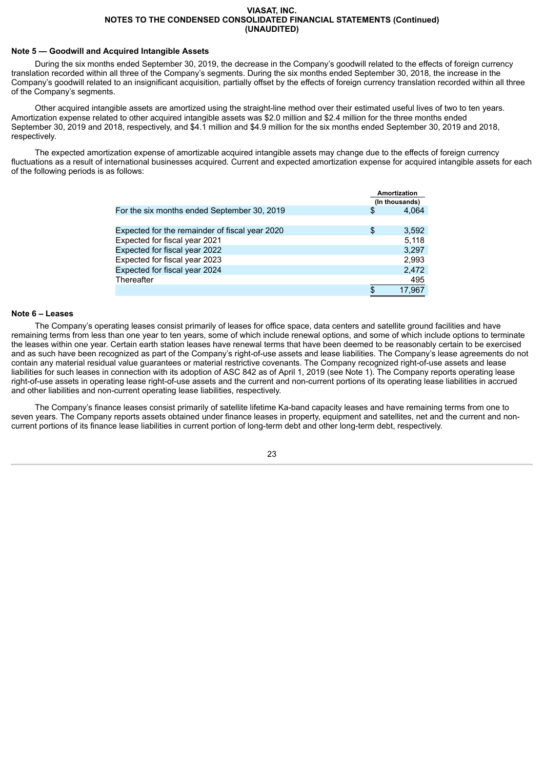#### **Note 5 — Goodwill and Acquired Intangible Assets**

During the six months ended September 30, 2019, the decrease in the Company's goodwill related to the effects of foreign currency translation recorded within all three of the Company's segments. During the six months ended September 30, 2018, the increase in the Company's goodwill related to an insignificant acquisition, partially offset by the effects of foreign currency translation recorded within all three of the Company's segments.

Other acquired intangible assets are amortized using the straight-line method over their estimated useful lives of two to ten years. Amortization expense related to other acquired intangible assets was \$2.0 million and \$2.4 million for the three months ended September 30, 2019 and 2018, respectively, and \$4.1 million and \$4.9 million for the six months ended September 30, 2019 and 2018, respectively.

The expected amortization expense of amortizable acquired intangible assets may change due to the effects of foreign currency fluctuations as a result of international businesses acquired. Current and expected amortization expense for acquired intangible assets for each of the following periods is as follows:

|                                                |   | Amortization   |  |
|------------------------------------------------|---|----------------|--|
|                                                |   | (In thousands) |  |
| For the six months ended September 30, 2019    | S | 4.064          |  |
|                                                |   |                |  |
| Expected for the remainder of fiscal year 2020 | S | 3.592          |  |
| Expected for fiscal year 2021                  |   | 5,118          |  |
| Expected for fiscal year 2022                  |   | 3.297          |  |
| Expected for fiscal year 2023                  |   | 2.993          |  |
| Expected for fiscal year 2024                  |   | 2.472          |  |
| Thereafter                                     |   | 495            |  |
|                                                | ዳ | 17.967         |  |

#### **Note 6 – Leases**

The Company's operating leases consist primarily of leases for office space, data centers and satellite ground facilities and have remaining terms from less than one year to ten years, some of which include renewal options, and some of which include options to terminate the leases within one year. Certain earth station leases have renewal terms that have been deemed to be reasonably certain to be exercised and as such have been recognized as part of the Company's right-of-use assets and lease liabilities. The Company's lease agreements do not contain any material residual value guarantees or material restrictive covenants. The Company recognized right-of-use assets and lease liabilities for such leases in connection with its adoption of ASC 842 as of April 1, 2019 (see Note 1). The Company reports operating lease right-of-use assets in operating lease right-of-use assets and the current and non-current portions of its operating lease liabilities in accrued and other liabilities and non-current operating lease liabilities, respectively.

The Company's finance leases consist primarily of satellite lifetime Ka-band capacity leases and have remaining terms from one to seven years. The Company reports assets obtained under finance leases in property, equipment and satellites, net and the current and noncurrent portions of its finance lease liabilities in current portion of long-term debt and other long-term debt, respectively.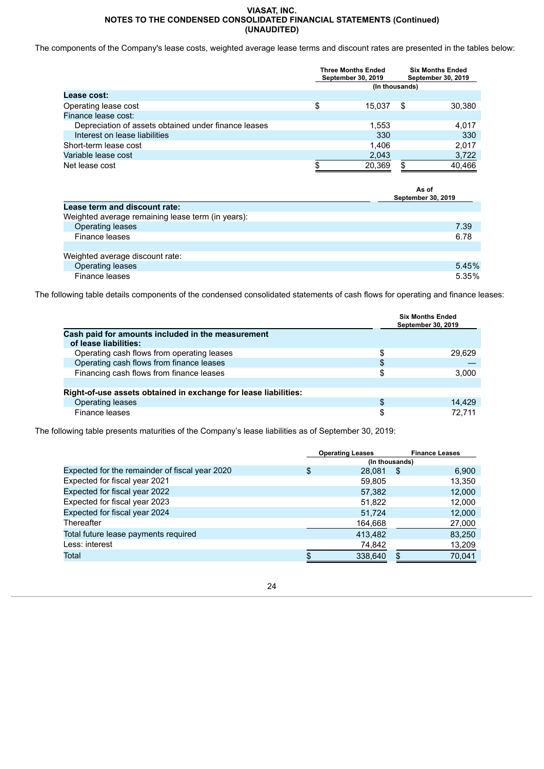The components of the Company's lease costs, weighted average lease terms and discount rates are presented in the tables below:

|                                                      | <b>Three Months Ended</b><br>September 30, 2019 |    | <b>Six Months Ended</b><br>September 30, 2019 |
|------------------------------------------------------|-------------------------------------------------|----|-----------------------------------------------|
|                                                      | (In thousands)                                  |    |                                               |
| Lease cost:                                          |                                                 |    |                                               |
| Operating lease cost                                 | \$<br>15.037                                    | -S | 30,380                                        |
| Finance lease cost:                                  |                                                 |    |                                               |
| Depreciation of assets obtained under finance leases | 1.553                                           |    | 4.017                                         |
| Interest on lease liabilities                        | 330                                             |    | 330                                           |
| Short-term lease cost                                | 1.406                                           |    | 2.017                                         |
| Variable lease cost                                  | 2,043                                           |    | 3,722                                         |
| Net lease cost                                       | 20.369                                          |    | 40.466                                        |

|                                                   | As of<br>September 30, 2019 |
|---------------------------------------------------|-----------------------------|
| Lease term and discount rate:                     |                             |
| Weighted average remaining lease term (in years): |                             |
| Operating leases                                  | 7.39                        |
| Finance leases                                    | 6.78                        |
|                                                   |                             |
| Weighted average discount rate:                   |                             |
| Operating leases                                  | 5.45%                       |
| Finance leases                                    | 5.35%                       |

The following table details components of the condensed consolidated statements of cash flows for operating and finance leases:

|                                                                            | <b>Six Months Ended</b><br>September 30, 2019 |        |
|----------------------------------------------------------------------------|-----------------------------------------------|--------|
| Cash paid for amounts included in the measurement<br>of lease liabilities: |                                               |        |
| Operating cash flows from operating leases                                 |                                               | 29.629 |
| Operating cash flows from finance leases                                   | S                                             |        |
| Financing cash flows from finance leases                                   |                                               | 3,000  |
|                                                                            |                                               |        |
| Right-of-use assets obtained in exchange for lease liabilities:            |                                               |        |
| Operating leases                                                           | S                                             | 14.429 |
| Finance leases                                                             | J                                             | 72.711 |

The following table presents maturities of the Company's lease liabilities as of September 30, 2019:

|                                                | <b>Operating Leases</b> | <b>Finance Leases</b> |        |
|------------------------------------------------|-------------------------|-----------------------|--------|
|                                                | (In thousands)          |                       |        |
| Expected for the remainder of fiscal year 2020 | \$<br>28,081            | \$                    | 6,900  |
| Expected for fiscal year 2021                  | 59.805                  |                       | 13,350 |
| Expected for fiscal year 2022                  | 57,382                  |                       | 12,000 |
| Expected for fiscal year 2023                  | 51,822                  |                       | 12,000 |
| Expected for fiscal year 2024                  | 51.724                  |                       | 12,000 |
| Thereafter                                     | 164,668                 |                       | 27,000 |
| Total future lease payments required           | 413.482                 |                       | 83,250 |
| Less: interest                                 | 74,842                  |                       | 13,209 |
| Total                                          | \$<br>338.640           | \$                    | 70.041 |

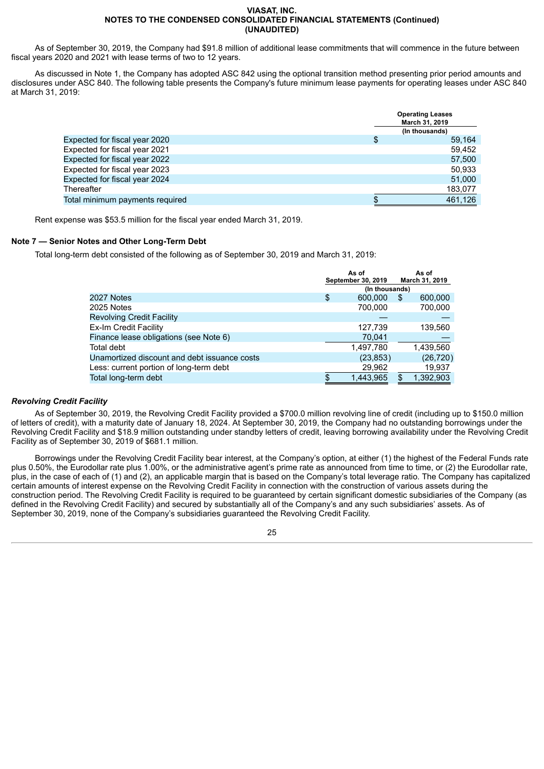As of September 30, 2019, the Company had \$91.8 million of additional lease commitments that will commence in the future between fiscal years 2020 and 2021 with lease terms of two to 12 years.

As discussed in Note 1, the Company has adopted ASC 842 using the optional transition method presenting prior period amounts and disclosures under ASC 840. The following table presents the Company's future minimum lease payments for operating leases under ASC 840 at March 31, 2019:

|                                 | <b>Operating Leases</b><br>March 31, 2019 |
|---------------------------------|-------------------------------------------|
|                                 | (In thousands)                            |
| Expected for fiscal year 2020   | \$<br>59.164                              |
| Expected for fiscal year 2021   | 59.452                                    |
| Expected for fiscal year 2022   | 57.500                                    |
| Expected for fiscal year 2023   | 50,933                                    |
| Expected for fiscal year 2024   | 51,000                                    |
| Thereafter                      | 183,077                                   |
| Total minimum payments required | 461,126                                   |

Rent expense was \$53.5 million for the fiscal year ended March 31, 2019.

# **Note 7 — Senior Notes and Other Long-Term Debt**

Total long-term debt consisted of the following as of September 30, 2019 and March 31, 2019:

|                                              | As of                                |           |    | As of          |
|----------------------------------------------|--------------------------------------|-----------|----|----------------|
|                                              | September 30, 2019<br>(In thousands) |           |    | March 31, 2019 |
| 2027 Notes                                   | \$                                   | 600,000   | \$ | 600,000        |
| 2025 Notes                                   |                                      | 700,000   |    | 700,000        |
| <b>Revolving Credit Facility</b>             |                                      |           |    |                |
| Ex-Im Credit Facility                        |                                      | 127,739   |    | 139,560        |
| Finance lease obligations (see Note 6)       |                                      | 70,041    |    |                |
| Total debt                                   |                                      | 1,497,780 |    | 1,439,560      |
| Unamortized discount and debt issuance costs |                                      | (23, 853) |    | (26, 720)      |
| Less: current portion of long-term debt      |                                      | 29,962    |    | 19,937         |
| Total long-term debt                         |                                      | 1,443,965 | S  | 1,392,903      |

# *Revolving Credit Facility*

As of September 30, 2019, the Revolving Credit Facility provided a \$700.0 million revolving line of credit (including up to \$150.0 million of letters of credit), with a maturity date of January 18, 2024. At September 30, 2019, the Company had no outstanding borrowings under the Revolving Credit Facility and \$18.9 million outstanding under standby letters of credit, leaving borrowing availability under the Revolving Credit Facility as of September 30, 2019 of \$681.1 million.

Borrowings under the Revolving Credit Facility bear interest, at the Company's option, at either (1) the highest of the Federal Funds rate plus 0.50%, the Eurodollar rate plus 1.00%, or the administrative agent's prime rate as announced from time to time, or (2) the Eurodollar rate, plus, in the case of each of (1) and (2), an applicable margin that is based on the Company's total leverage ratio. The Company has capitalized certain amounts of interest expense on the Revolving Credit Facility in connection with the construction of various assets during the construction period. The Revolving Credit Facility is required to be guaranteed by certain significant domestic subsidiaries of the Company (as defined in the Revolving Credit Facility) and secured by substantially all of the Company's and any such subsidiaries' assets. As of September 30, 2019, none of the Company's subsidiaries guaranteed the Revolving Credit Facility.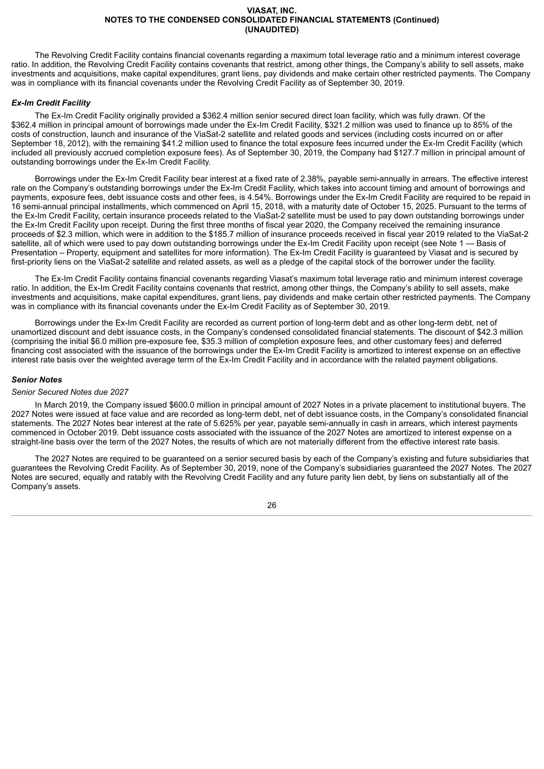The Revolving Credit Facility contains financial covenants regarding a maximum total leverage ratio and a minimum interest coverage ratio. In addition, the Revolving Credit Facility contains covenants that restrict, among other things, the Company's ability to sell assets, make investments and acquisitions, make capital expenditures, grant liens, pay dividends and make certain other restricted payments. The Company was in compliance with its financial covenants under the Revolving Credit Facility as of September 30, 2019.

# *Ex-Im Credit Facility*

The Ex-Im Credit Facility originally provided a \$362.4 million senior secured direct loan facility, which was fully drawn. Of the \$362.4 million in principal amount of borrowings made under the Ex-Im Credit Facility, \$321.2 million was used to finance up to 85% of the costs of construction, launch and insurance of the ViaSat-2 satellite and related goods and services (including costs incurred on or after September 18, 2012), with the remaining \$41.2 million used to finance the total exposure fees incurred under the Ex-Im Credit Facility (which included all previously accrued completion exposure fees). As of September 30, 2019, the Company had \$127.7 million in principal amount of outstanding borrowings under the Ex-Im Credit Facility.

Borrowings under the Ex-Im Credit Facility bear interest at a fixed rate of 2.38%, payable semi-annually in arrears. The effective interest rate on the Company's outstanding borrowings under the Ex-Im Credit Facility, which takes into account timing and amount of borrowings and payments, exposure fees, debt issuance costs and other fees, is 4.54%. Borrowings under the Ex-Im Credit Facility are required to be repaid in 16 semi-annual principal installments, which commenced on April 15, 2018, with a maturity date of October 15, 2025. Pursuant to the terms of the Ex-Im Credit Facility, certain insurance proceeds related to the ViaSat-2 satellite must be used to pay down outstanding borrowings under the Ex-Im Credit Facility upon receipt. During the first three months of fiscal year 2020, the Company received the remaining insurance proceeds of \$2.3 million, which were in addition to the \$185.7 million of insurance proceeds received in fiscal year 2019 related to the ViaSat-2 satellite, all of which were used to pay down outstanding borrowings under the Ex-Im Credit Facility upon receipt (see Note 1 - Basis of Presentation – Property, equipment and satellites for more information). The Ex-Im Credit Facility is guaranteed by Viasat and is secured by first-priority liens on the ViaSat-2 satellite and related assets, as well as a pledge of the capital stock of the borrower under the facility.

The Ex-Im Credit Facility contains financial covenants regarding Viasat's maximum total leverage ratio and minimum interest coverage ratio. In addition, the Ex-Im Credit Facility contains covenants that restrict, among other things, the Company's ability to sell assets, make investments and acquisitions, make capital expenditures, grant liens, pay dividends and make certain other restricted payments. The Company was in compliance with its financial covenants under the Ex-Im Credit Facility as of September 30, 2019.

Borrowings under the Ex-Im Credit Facility are recorded as current portion of long-term debt and as other long-term debt, net of unamortized discount and debt issuance costs, in the Company's condensed consolidated financial statements. The discount of \$42.3 million (comprising the initial \$6.0 million pre-exposure fee, \$35.3 million of completion exposure fees, and other customary fees) and deferred financing cost associated with the issuance of the borrowings under the Ex-Im Credit Facility is amortized to interest expense on an effective interest rate basis over the weighted average term of the Ex-Im Credit Facility and in accordance with the related payment obligations.

#### *Senior Notes*

#### *Senior Secured Notes due 2027*

In March 2019, the Company issued \$600.0 million in principal amount of 2027 Notes in a private placement to institutional buyers. The 2027 Notes were issued at face value and are recorded as long-term debt, net of debt issuance costs, in the Company's consolidated financial statements. The 2027 Notes bear interest at the rate of 5.625% per year, payable semi-annually in cash in arrears, which interest payments commenced in October 2019. Debt issuance costs associated with the issuance of the 2027 Notes are amortized to interest expense on a straight-line basis over the term of the 2027 Notes, the results of which are not materially different from the effective interest rate basis.

The 2027 Notes are required to be guaranteed on a senior secured basis by each of the Company's existing and future subsidiaries that guarantees the Revolving Credit Facility. As of September 30, 2019, none of the Company's subsidiaries guaranteed the 2027 Notes. The 2027 Notes are secured, equally and ratably with the Revolving Credit Facility and any future parity lien debt, by liens on substantially all of the Company's assets.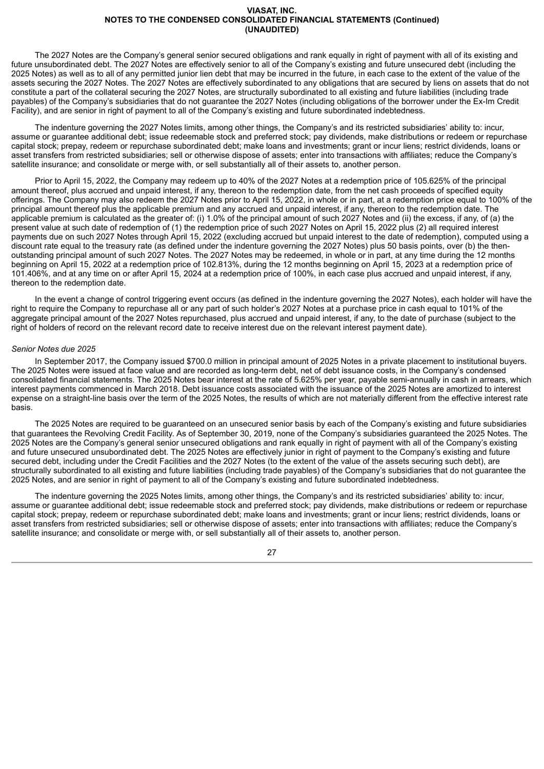The 2027 Notes are the Company's general senior secured obligations and rank equally in right of payment with all of its existing and future unsubordinated debt. The 2027 Notes are effectively senior to all of the Company's existing and future unsecured debt (including the 2025 Notes) as well as to all of any permitted junior lien debt that may be incurred in the future, in each case to the extent of the value of the assets securing the 2027 Notes. The 2027 Notes are effectively subordinated to any obligations that are secured by liens on assets that do not constitute a part of the collateral securing the 2027 Notes, are structurally subordinated to all existing and future liabilities (including trade payables) of the Company's subsidiaries that do not guarantee the 2027 Notes (including obligations of the borrower under the Ex-Im Credit Facility), and are senior in right of payment to all of the Company's existing and future subordinated indebtedness.

The indenture governing the 2027 Notes limits, among other things, the Company's and its restricted subsidiaries' ability to: incur, assume or guarantee additional debt; issue redeemable stock and preferred stock; pay dividends, make distributions or redeem or repurchase capital stock; prepay, redeem or repurchase subordinated debt; make loans and investments; grant or incur liens; restrict dividends, loans or asset transfers from restricted subsidiaries; sell or otherwise dispose of assets; enter into transactions with affiliates; reduce the Company's satellite insurance; and consolidate or merge with, or sell substantially all of their assets to, another person.

Prior to April 15, 2022, the Company may redeem up to 40% of the 2027 Notes at a redemption price of 105.625% of the principal amount thereof, plus accrued and unpaid interest, if any, thereon to the redemption date, from the net cash proceeds of specified equity offerings. The Company may also redeem the 2027 Notes prior to April 15, 2022, in whole or in part, at a redemption price equal to 100% of the principal amount thereof plus the applicable premium and any accrued and unpaid interest, if any, thereon to the redemption date. The applicable premium is calculated as the greater of: (i) 1.0% of the principal amount of such 2027 Notes and (ii) the excess, if any, of (a) the present value at such date of redemption of (1) the redemption price of such 2027 Notes on April 15, 2022 plus (2) all required interest payments due on such 2027 Notes through April 15, 2022 (excluding accrued but unpaid interest to the date of redemption), computed using a discount rate equal to the treasury rate (as defined under the indenture governing the 2027 Notes) plus 50 basis points, over (b) the thenoutstanding principal amount of such 2027 Notes. The 2027 Notes may be redeemed, in whole or in part, at any time during the 12 months beginning on April 15, 2022 at a redemption price of 102.813%, during the 12 months beginning on April 15, 2023 at a redemption price of 101.406%, and at any time on or after April 15, 2024 at a redemption price of 100%, in each case plus accrued and unpaid interest, if any, thereon to the redemption date.

In the event a change of control triggering event occurs (as defined in the indenture governing the 2027 Notes), each holder will have the right to require the Company to repurchase all or any part of such holder's 2027 Notes at a purchase price in cash equal to 101% of the aggregate principal amount of the 2027 Notes repurchased, plus accrued and unpaid interest, if any, to the date of purchase (subject to the right of holders of record on the relevant record date to receive interest due on the relevant interest payment date).

#### *Senior Notes due 2025*

In September 2017, the Company issued \$700.0 million in principal amount of 2025 Notes in a private placement to institutional buyers. The 2025 Notes were issued at face value and are recorded as long-term debt, net of debt issuance costs, in the Company's condensed consolidated financial statements. The 2025 Notes bear interest at the rate of 5.625% per year, payable semi-annually in cash in arrears, which interest payments commenced in March 2018. Debt issuance costs associated with the issuance of the 2025 Notes are amortized to interest expense on a straight-line basis over the term of the 2025 Notes, the results of which are not materially different from the effective interest rate basis.

The 2025 Notes are required to be guaranteed on an unsecured senior basis by each of the Company's existing and future subsidiaries that guarantees the Revolving Credit Facility. As of September 30, 2019, none of the Company's subsidiaries guaranteed the 2025 Notes. The 2025 Notes are the Company's general senior unsecured obligations and rank equally in right of payment with all of the Company's existing and future unsecured unsubordinated debt. The 2025 Notes are effectively junior in right of payment to the Company's existing and future secured debt, including under the Credit Facilities and the 2027 Notes (to the extent of the value of the assets securing such debt), are structurally subordinated to all existing and future liabilities (including trade payables) of the Company's subsidiaries that do not guarantee the 2025 Notes, and are senior in right of payment to all of the Company's existing and future subordinated indebtedness.

The indenture governing the 2025 Notes limits, among other things, the Company's and its restricted subsidiaries' ability to: incur, assume or guarantee additional debt; issue redeemable stock and preferred stock; pay dividends, make distributions or redeem or repurchase capital stock; prepay, redeem or repurchase subordinated debt; make loans and investments; grant or incur liens; restrict dividends, loans or asset transfers from restricted subsidiaries; sell or otherwise dispose of assets; enter into transactions with affiliates; reduce the Company's satellite insurance; and consolidate or merge with, or sell substantially all of their assets to, another person.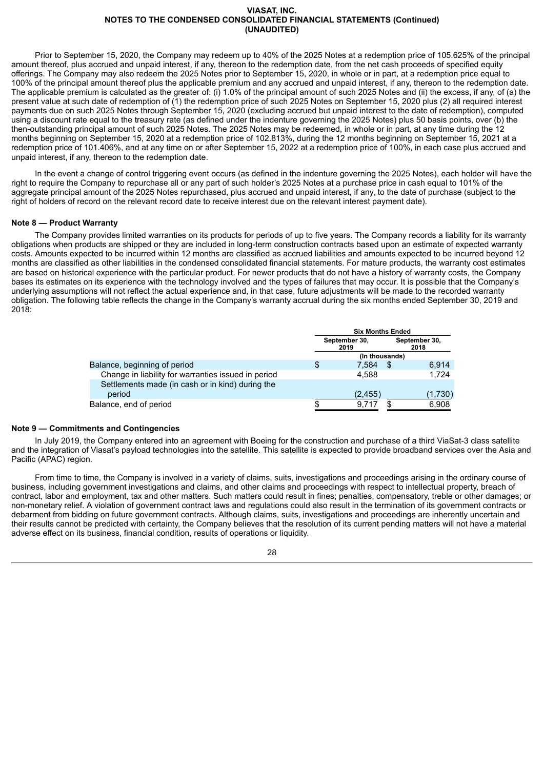Prior to September 15, 2020, the Company may redeem up to 40% of the 2025 Notes at a redemption price of 105.625% of the principal amount thereof, plus accrued and unpaid interest, if any, thereon to the redemption date, from the net cash proceeds of specified equity offerings. The Company may also redeem the 2025 Notes prior to September 15, 2020, in whole or in part, at a redemption price equal to 100% of the principal amount thereof plus the applicable premium and any accrued and unpaid interest, if any, thereon to the redemption date. The applicable premium is calculated as the greater of: (i) 1.0% of the principal amount of such 2025 Notes and (ii) the excess, if any, of (a) the present value at such date of redemption of (1) the redemption price of such 2025 Notes on September 15, 2020 plus (2) all required interest payments due on such 2025 Notes through September 15, 2020 (excluding accrued but unpaid interest to the date of redemption), computed using a discount rate equal to the treasury rate (as defined under the indenture governing the 2025 Notes) plus 50 basis points, over (b) the then-outstanding principal amount of such 2025 Notes. The 2025 Notes may be redeemed, in whole or in part, at any time during the 12 months beginning on September 15, 2020 at a redemption price of 102.813%, during the 12 months beginning on September 15, 2021 at a redemption price of 101.406%, and at any time on or after September 15, 2022 at a redemption price of 100%, in each case plus accrued and unpaid interest, if any, thereon to the redemption date.

In the event a change of control triggering event occurs (as defined in the indenture governing the 2025 Notes), each holder will have the right to require the Company to repurchase all or any part of such holder's 2025 Notes at a purchase price in cash equal to 101% of the aggregate principal amount of the 2025 Notes repurchased, plus accrued and unpaid interest, if any, to the date of purchase (subject to the right of holders of record on the relevant record date to receive interest due on the relevant interest payment date).

# **Note 8 — Product Warranty**

The Company provides limited warranties on its products for periods of up to five years. The Company records a liability for its warranty obligations when products are shipped or they are included in long-term construction contracts based upon an estimate of expected warranty costs. Amounts expected to be incurred within 12 months are classified as accrued liabilities and amounts expected to be incurred beyond 12 months are classified as other liabilities in the condensed consolidated financial statements. For mature products, the warranty cost estimates are based on historical experience with the particular product. For newer products that do not have a history of warranty costs, the Company bases its estimates on its experience with the technology involved and the types of failures that may occur. It is possible that the Company's underlying assumptions will not reflect the actual experience and, in that case, future adjustments will be made to the recorded warranty obligation. The following table reflects the change in the Company's warranty accrual during the six months ended September 30, 2019 and 2018:

| <b>Six Months Ended</b> |          |                       |                |  |
|-------------------------|----------|-----------------------|----------------|--|
| September 30,<br>2019   |          | September 30,<br>2018 |                |  |
|                         |          |                       |                |  |
| \$.                     | 7,584    | - \$                  | 6.914          |  |
|                         | 4.588    |                       | 1.724          |  |
|                         |          |                       |                |  |
|                         | (2, 455) |                       | (1,730)        |  |
|                         | 9.717    |                       | 6,908          |  |
|                         |          |                       | (In thousands) |  |

#### **Note 9 — Commitments and Contingencies**

In July 2019, the Company entered into an agreement with Boeing for the construction and purchase of a third ViaSat-3 class satellite and the integration of Viasat's payload technologies into the satellite. This satellite is expected to provide broadband services over the Asia and Pacific (APAC) region.

From time to time, the Company is involved in a variety of claims, suits, investigations and proceedings arising in the ordinary course of business, including government investigations and claims, and other claims and proceedings with respect to intellectual property, breach of contract, labor and employment, tax and other matters. Such matters could result in fines; penalties, compensatory, treble or other damages; or non-monetary relief. A violation of government contract laws and regulations could also result in the termination of its government contracts or debarment from bidding on future government contracts. Although claims, suits, investigations and proceedings are inherently uncertain and their results cannot be predicted with certainty, the Company believes that the resolution of its current pending matters will not have a material adverse effect on its business, financial condition, results of operations or liquidity.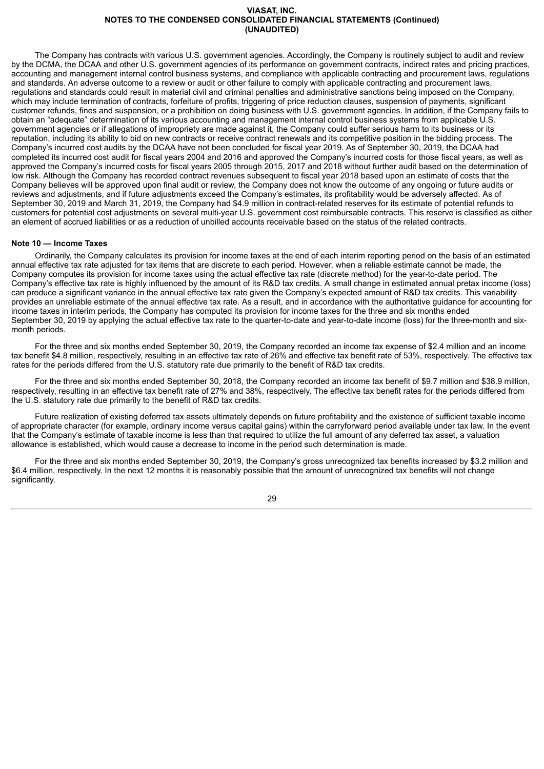The Company has contracts with various U.S. government agencies. Accordingly, the Company is routinely subject to audit and review by the DCMA, the DCAA and other U.S. government agencies of its performance on government contracts, indirect rates and pricing practices, accounting and management internal control business systems, and compliance with applicable contracting and procurement laws, regulations and standards. An adverse outcome to a review or audit or other failure to comply with applicable contracting and procurement laws, regulations and standards could result in material civil and criminal penalties and administrative sanctions being imposed on the Company, which may include termination of contracts, forfeiture of profits, triggering of price reduction clauses, suspension of payments, significant customer refunds, fines and suspension, or a prohibition on doing business with U.S. government agencies. In addition, if the Company fails to obtain an "adequate" determination of its various accounting and management internal control business systems from applicable U.S. government agencies or if allegations of impropriety are made against it, the Company could suffer serious harm to its business or its reputation, including its ability to bid on new contracts or receive contract renewals and its competitive position in the bidding process. The Company's incurred cost audits by the DCAA have not been concluded for fiscal year 2019. As of September 30, 2019, the DCAA had completed its incurred cost audit for fiscal years 2004 and 2016 and approved the Company's incurred costs for those fiscal years, as well as approved the Company's incurred costs for fiscal years 2005 through 2015, 2017 and 2018 without further audit based on the determination of low risk. Although the Company has recorded contract revenues subsequent to fiscal year 2018 based upon an estimate of costs that the Company believes will be approved upon final audit or review, the Company does not know the outcome of any ongoing or future audits or reviews and adjustments, and if future adjustments exceed the Company's estimates, its profitability would be adversely affected. As of September 30, 2019 and March 31, 2019, the Company had \$4.9 million in contract-related reserves for its estimate of potential refunds to customers for potential cost adjustments on several multi-year U.S. government cost reimbursable contracts. This reserve is classified as either an element of accrued liabilities or as a reduction of unbilled accounts receivable based on the status of the related contracts.

#### **Note 10 — Income Taxes**

Ordinarily, the Company calculates its provision for income taxes at the end of each interim reporting period on the basis of an estimated annual effective tax rate adjusted for tax items that are discrete to each period. However, when a reliable estimate cannot be made, the Company computes its provision for income taxes using the actual effective tax rate (discrete method) for the year-to-date period. The Company's effective tax rate is highly influenced by the amount of its R&D tax credits. A small change in estimated annual pretax income (loss) can produce a significant variance in the annual effective tax rate given the Company's expected amount of R&D tax credits. This variability provides an unreliable estimate of the annual effective tax rate. As a result, and in accordance with the authoritative guidance for accounting for income taxes in interim periods, the Company has computed its provision for income taxes for the three and six months ended September 30, 2019 by applying the actual effective tax rate to the quarter-to-date and year-to-date income (loss) for the three-month and sixmonth periods.

For the three and six months ended September 30, 2019, the Company recorded an income tax expense of \$2.4 million and an income tax benefit \$4.8 million, respectively, resulting in an effective tax rate of 26% and effective tax benefit rate of 53%, respectively. The effective tax rates for the periods differed from the U.S. statutory rate due primarily to the benefit of R&D tax credits.

For the three and six months ended September 30, 2018, the Company recorded an income tax benefit of \$9.7 million and \$38.9 million, respectively, resulting in an effective tax benefit rate of 27% and 38%, respectively. The effective tax benefit rates for the periods differed from the U.S. statutory rate due primarily to the benefit of R&D tax credits.

Future realization of existing deferred tax assets ultimately depends on future profitability and the existence of sufficient taxable income of appropriate character (for example, ordinary income versus capital gains) within the carryforward period available under tax law. In the event that the Company's estimate of taxable income is less than that required to utilize the full amount of any deferred tax asset, a valuation allowance is established, which would cause a decrease to income in the period such determination is made.

For the three and six months ended September 30, 2019, the Company's gross unrecognized tax benefits increased by \$3.2 million and \$6.4 million, respectively. In the next 12 months it is reasonably possible that the amount of unrecognized tax benefits will not change significantly.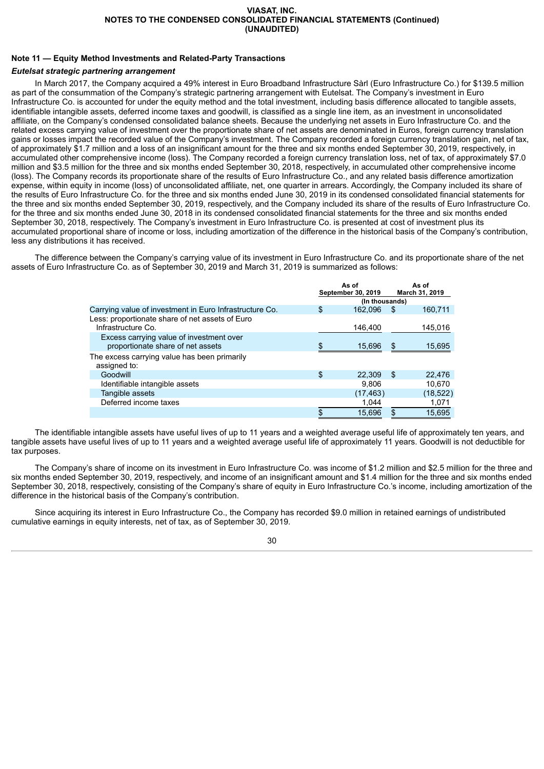# **Note 11 — Equity Method Investments and Related-Party Transactions**

# *Eutelsat strategic partnering arrangement*

In March 2017, the Company acquired a 49% interest in Euro Broadband Infrastructure Sàrl (Euro Infrastructure Co.) for \$139.5 million as part of the consummation of the Company's strategic partnering arrangement with Eutelsat. The Company's investment in Euro Infrastructure Co. is accounted for under the equity method and the total investment, including basis difference allocated to tangible assets, identifiable intangible assets, deferred income taxes and goodwill, is classified as a single line item, as an investment in unconsolidated affiliate, on the Company's condensed consolidated balance sheets. Because the underlying net assets in Euro Infrastructure Co. and the related excess carrying value of investment over the proportionate share of net assets are denominated in Euros, foreign currency translation gains or losses impact the recorded value of the Company's investment. The Company recorded a foreign currency translation gain, net of tax, of approximately \$1.7 million and a loss of an insignificant amount for the three and six months ended September 30, 2019, respectively, in accumulated other comprehensive income (loss). The Company recorded a foreign currency translation loss, net of tax, of approximately \$7.0 million and \$3.5 million for the three and six months ended September 30, 2018, respectively, in accumulated other comprehensive income (loss). The Company records its proportionate share of the results of Euro Infrastructure Co., and any related basis difference amortization expense, within equity in income (loss) of unconsolidated affiliate, net, one quarter in arrears. Accordingly, the Company included its share of the results of Euro Infrastructure Co. for the three and six months ended June 30, 2019 in its condensed consolidated financial statements for the three and six months ended September 30, 2019, respectively, and the Company included its share of the results of Euro Infrastructure Co. for the three and six months ended June 30, 2018 in its condensed consolidated financial statements for the three and six months ended September 30, 2018, respectively. The Company's investment in Euro Infrastructure Co. is presented at cost of investment plus its accumulated proportional share of income or loss, including amortization of the difference in the historical basis of the Company's contribution, less any distributions it has received.

The difference between the Company's carrying value of its investment in Euro Infrastructure Co. and its proportionate share of the net assets of Euro Infrastructure Co. as of September 30, 2019 and March 31, 2019 is summarized as follows:

|                                                                               | As of<br>September 30, 2019 |      | As of<br>March 31, 2019 |
|-------------------------------------------------------------------------------|-----------------------------|------|-------------------------|
|                                                                               | (In thousands)              |      |                         |
| Carrying value of investment in Euro Infrastructure Co.                       | \$<br>162.096               | - \$ | 160.711                 |
| Less: proportionate share of net assets of Euro<br>Infrastructure Co.         | 146,400                     |      | 145,016                 |
| Excess carrying value of investment over<br>proportionate share of net assets | \$<br>15,696                | \$   | 15,695                  |
| The excess carrying value has been primarily<br>assigned to:                  |                             |      |                         |
| Goodwill                                                                      | \$<br>22.309                | -\$  | 22.476                  |
| Identifiable intangible assets                                                | 9.806                       |      | 10.670                  |
| Tangible assets                                                               | (17, 463)                   |      | (18,522)                |
| Deferred income taxes                                                         | 1.044                       |      | 1,071                   |
|                                                                               | 15.696                      | \$   | 15.695                  |

The identifiable intangible assets have useful lives of up to 11 years and a weighted average useful life of approximately ten years, and tangible assets have useful lives of up to 11 years and a weighted average useful life of approximately 11 years. Goodwill is not deductible for tax purposes.

The Company's share of income on its investment in Euro Infrastructure Co. was income of \$1.2 million and \$2.5 million for the three and six months ended September 30, 2019, respectively, and income of an insignificant amount and \$1.4 million for the three and six months ended September 30, 2018, respectively, consisting of the Company's share of equity in Euro Infrastructure Co.'s income, including amortization of the difference in the historical basis of the Company's contribution.

Since acquiring its interest in Euro Infrastructure Co., the Company has recorded \$9.0 million in retained earnings of undistributed cumulative earnings in equity interests, net of tax, as of September 30, 2019.

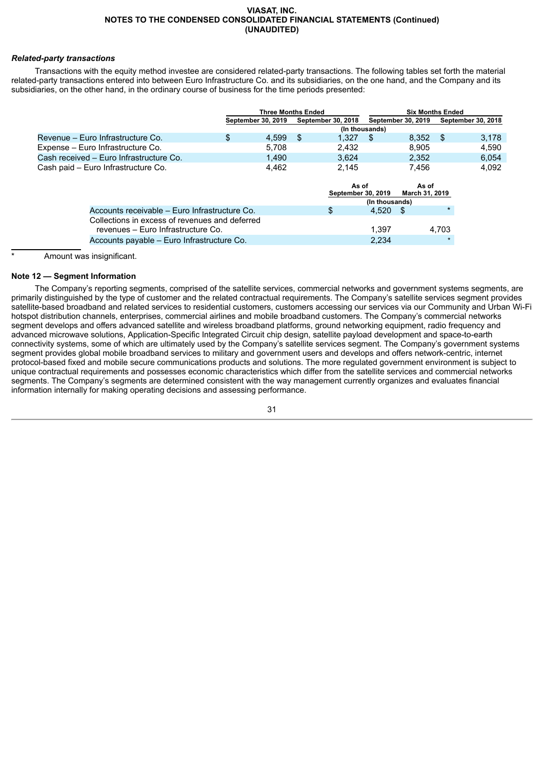# *Related-party transactions*

Transactions with the equity method investee are considered related-party transactions. The following tables set forth the material related-party transactions entered into between Euro Infrastructure Co. and its subsidiaries, on the one hand, and the Company and its subsidiaries, on the other hand, in the ordinary course of business for the time periods presented:

|                                         |                    | <b>Three Months Ended</b> |                           | <b>Six Months Ended</b> |                           |       |                           |       |  |
|-----------------------------------------|--------------------|---------------------------|---------------------------|-------------------------|---------------------------|-------|---------------------------|-------|--|
|                                         | September 30, 2019 |                           | <b>September 30, 2018</b> |                         | <b>September 30, 2019</b> |       | <b>September 30, 2018</b> |       |  |
|                                         |                    | (In thousands)            |                           |                         |                           |       |                           |       |  |
| Revenue – Euro Infrastructure Co.       | \$                 | 4.599                     | - \$                      | 1.327                   | \$                        | 8,352 |                           | 3.178 |  |
| Expense – Euro Infrastructure Co.       |                    | 5.708                     |                           | 2.432                   |                           | 8.905 |                           | 4.590 |  |
| Cash received - Euro Infrastructure Co. |                    | 1.490                     |                           | 3,624                   |                           | 2,352 |                           | 6.054 |  |
| Cash paid - Euro Infrastructure Co.     |                    | 4.462                     |                           | 2.145                   |                           | 7.456 |                           | 4.092 |  |
|                                         |                    |                           |                           | As of                   |                           | As of |                           |       |  |

|                                                                                      | September 30, 2019 |            | March 31, 2019 |       |  |  |  |
|--------------------------------------------------------------------------------------|--------------------|------------|----------------|-------|--|--|--|
|                                                                                      | (In thousands)     |            |                |       |  |  |  |
| Accounts receivable – Euro Infrastructure Co.                                        | S                  | $4.520$ \$ |                |       |  |  |  |
| Collections in excess of revenues and deferred<br>revenues – Euro Infrastructure Co. |                    | 1.397      |                | 4.703 |  |  |  |
| Accounts payable - Euro Infrastructure Co.                                           |                    | 2.234      |                |       |  |  |  |

Amount was insignificant.

# **Note 12 — Segment Information**

The Company's reporting segments, comprised of the satellite services, commercial networks and government systems segments, are primarily distinguished by the type of customer and the related contractual requirements. The Company's satellite services segment provides satellite-based broadband and related services to residential customers, customers accessing our services via our Community and Urban Wi-Fi hotspot distribution channels, enterprises, commercial airlines and mobile broadband customers. The Company's commercial networks segment develops and offers advanced satellite and wireless broadband platforms, ground networking equipment, radio frequency and advanced microwave solutions, Application-Specific Integrated Circuit chip design, satellite payload development and space-to-earth connectivity systems, some of which are ultimately used by the Company's satellite services segment. The Company's government systems segment provides global mobile broadband services to military and government users and develops and offers network-centric, internet protocol-based fixed and mobile secure communications products and solutions. The more regulated government environment is subject to unique contractual requirements and possesses economic characteristics which differ from the satellite services and commercial networks segments. The Company's segments are determined consistent with the way management currently organizes and evaluates financial information internally for making operating decisions and assessing performance.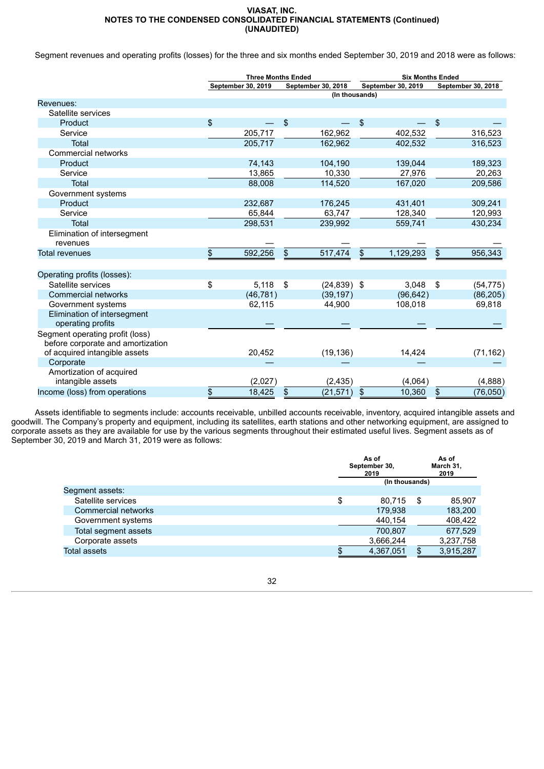Segment revenues and operating profits (losses) for the three and six months ended September 30, 2019 and 2018 were as follows:

|                                   | <b>Three Months Ended</b> |                |                    |               | <b>Six Months Ended</b> |                         |           |
|-----------------------------------|---------------------------|----------------|--------------------|---------------|-------------------------|-------------------------|-----------|
|                                   | September 30, 2019        |                | September 30, 2018 |               | September 30, 2019      | September 30, 2018      |           |
|                                   |                           |                | (In thousands)     |               |                         |                         |           |
| Revenues:                         |                           |                |                    |               |                         |                         |           |
| Satellite services                |                           |                |                    |               |                         |                         |           |
| Product                           | \$                        | \$             |                    | \$            |                         | \$                      |           |
| Service                           | 205,717                   |                | 162,962            |               | 402,532                 |                         | 316,523   |
| <b>Total</b>                      | 205,717                   |                | 162,962            |               | 402,532                 |                         | 316,523   |
| Commercial networks               |                           |                |                    |               |                         |                         |           |
| Product                           | 74,143                    |                | 104,190            |               | 139,044                 |                         | 189,323   |
| Service                           | 13,865                    |                | 10,330             |               | 27,976                  |                         | 20,263    |
| <b>Total</b>                      | 88,008                    |                | 114,520            |               | 167,020                 |                         | 209,586   |
| Government systems                |                           |                |                    |               |                         |                         |           |
| Product                           | 232,687                   |                | 176,245            |               | 431,401                 |                         | 309,241   |
| Service                           | 65,844                    |                | 63,747             |               | 128,340                 |                         | 120,993   |
| <b>Total</b>                      | 298,531                   |                | 239,992            |               | 559,741                 |                         | 430,234   |
| Elimination of intersegment       |                           |                |                    |               |                         |                         |           |
| revenues                          |                           |                |                    |               |                         |                         |           |
| <b>Total revenues</b>             | \$<br>592,256             | $\frac{3}{2}$  | 517,474            | $\frac{3}{2}$ | 1,129,293               | $\sqrt[6]{\frac{1}{2}}$ | 956,343   |
|                                   |                           |                |                    |               |                         |                         |           |
| Operating profits (losses):       |                           |                |                    |               |                         |                         |           |
| Satellite services                | \$<br>5,118               | $\mathfrak{L}$ | $(24, 839)$ \$     |               | 3,048                   | $\mathfrak{F}$          | (54, 775) |
| <b>Commercial networks</b>        | (46, 781)                 |                | (39, 197)          |               | (96, 642)               |                         | (86, 205) |
| Government systems                | 62,115                    |                | 44,900             |               | 108,018                 |                         | 69,818    |
| Elimination of intersegment       |                           |                |                    |               |                         |                         |           |
| operating profits                 |                           |                |                    |               |                         |                         |           |
| Segment operating profit (loss)   |                           |                |                    |               |                         |                         |           |
| before corporate and amortization |                           |                |                    |               |                         |                         |           |
| of acquired intangible assets     | 20,452                    |                | (19, 136)          |               | 14,424                  |                         | (71, 162) |
| Corporate                         |                           |                |                    |               |                         |                         |           |
| Amortization of acquired          |                           |                |                    |               |                         |                         |           |
| intangible assets                 | (2,027)                   |                | (2, 435)           |               | (4,064)                 |                         | (4,888)   |
| Income (loss) from operations     | \$<br>18,425              | \$             | (21, 571)          | \$            | 10,360                  | \$                      | (76, 050) |

Assets identifiable to segments include: accounts receivable, unbilled accounts receivable, inventory, acquired intangible assets and goodwill. The Company's property and equipment, including its satellites, earth stations and other networking equipment, are assigned to corporate assets as they are available for use by the various segments throughout their estimated useful lives. Segment assets as of September 30, 2019 and March 31, 2019 were as follows:

|                      | As of<br>September 30,<br>2019 |     | As of<br>March 31,<br>2019 |  |  |  |
|----------------------|--------------------------------|-----|----------------------------|--|--|--|
|                      | (In thousands)                 |     |                            |  |  |  |
| Segment assets:      |                                |     |                            |  |  |  |
| Satellite services   | \$<br>80.715                   | -\$ | 85,907                     |  |  |  |
| Commercial networks  | 179,938                        |     | 183,200                    |  |  |  |
| Government systems   | 440,154                        |     | 408,422                    |  |  |  |
| Total segment assets | 700.807                        |     | 677.529                    |  |  |  |
| Corporate assets     | 3,666,244                      |     | 3,237,758                  |  |  |  |
| <b>Total assets</b>  | 4,367,051                      | \$  | 3,915,287                  |  |  |  |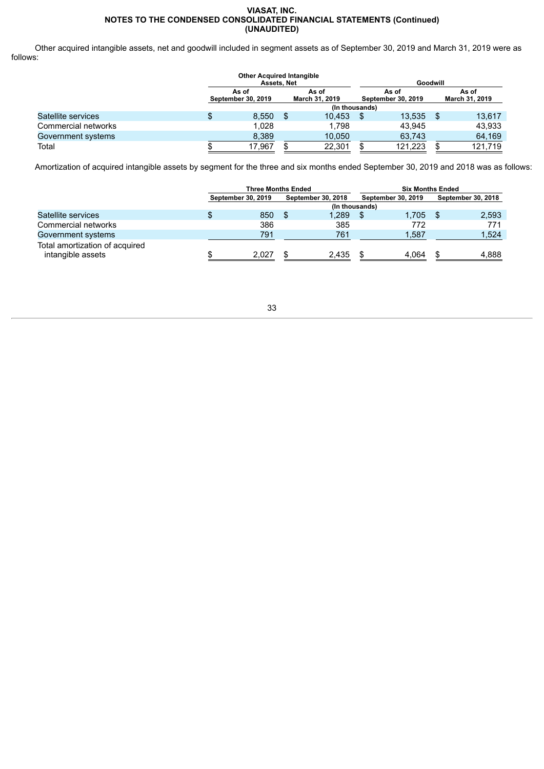Other acquired intangible assets, net and goodwill included in segment assets as of September 30, 2019 and March 31, 2019 were as follows:

|                     |                | <b>Other Acquired Intangible</b><br>Assets, Net |    |                         |     | Goodwill                    |  |                         |  |
|---------------------|----------------|-------------------------------------------------|----|-------------------------|-----|-----------------------------|--|-------------------------|--|
|                     |                | As of<br><b>September 30, 2019</b>              |    | As of<br>March 31, 2019 |     | As of<br>September 30, 2019 |  | As of<br>March 31, 2019 |  |
|                     | (In thousands) |                                                 |    |                         |     |                             |  |                         |  |
| Satellite services  | S              | 8,550                                           | -S | 10,453                  | \$. | 13,535                      |  | 13,617                  |  |
| Commercial networks |                | 1.028                                           |    | 1.798                   |     | 43.945                      |  | 43,933                  |  |
| Government systems  |                | 8,389                                           |    | 10.050                  |     | 63,743                      |  | 64,169                  |  |
| Total               |                | 17,967                                          |    | 22,301                  |     | 121,223                     |  | 121,719                 |  |

Amortization of acquired intangible assets by segment for the three and six months ended September 30, 2019 and 2018 was as follows:

|                                                     |   | <b>Three Months Ended</b> |     | <b>Six Months Ended</b>   |               |                           |  |                           |
|-----------------------------------------------------|---|---------------------------|-----|---------------------------|---------------|---------------------------|--|---------------------------|
|                                                     |   | <b>September 30, 2019</b> |     | <b>September 30, 2018</b> |               | <b>September 30, 2019</b> |  | <b>September 30, 2018</b> |
|                                                     |   |                           |     |                           |               |                           |  |                           |
| Satellite services                                  | S | 850                       | \$. | 1,289                     | <sup>\$</sup> | 1,705                     |  | 2,593                     |
| Commercial networks                                 |   | 386                       |     | 385                       |               | 772                       |  | 771                       |
| Government systems                                  |   | 791                       |     | 761                       |               | 1.587                     |  | 1,524                     |
| Total amortization of acquired<br>intangible assets |   | 2.027                     |     | 2.435                     |               | 4.064                     |  | 4.888                     |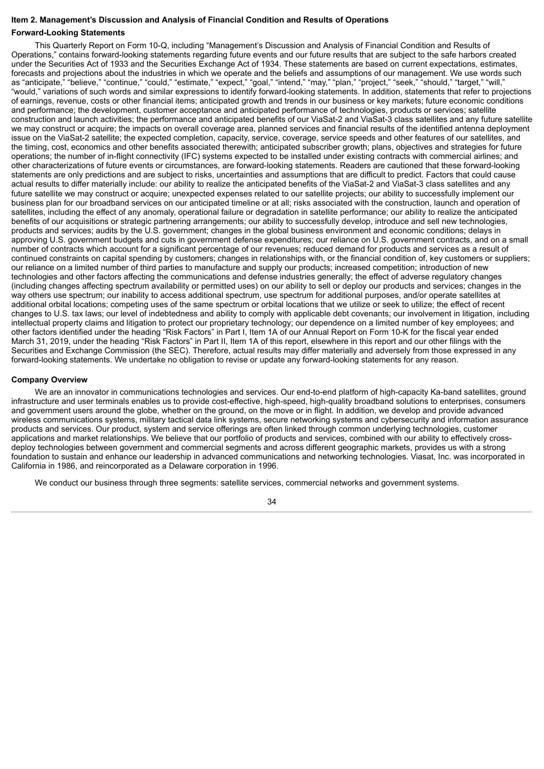# <span id="page-33-0"></span>**Item 2. Management's Discussion and Analysis of Financial Condition and Results of Operations Forward-Looking Statements**

This Quarterly Report on Form 10-Q, including "Management's Discussion and Analysis of Financial Condition and Results of Operations," contains forward-looking statements regarding future events and our future results that are subject to the safe harbors created under the Securities Act of 1933 and the Securities Exchange Act of 1934. These statements are based on current expectations, estimates, forecasts and projections about the industries in which we operate and the beliefs and assumptions of our management. We use words such as "anticipate," "believe," "continue," "could," "estimate," "expect," "goal," "intend," "may," "plan," "project," "seek," "should," "target," "will," "would," variations of such words and similar expressions to identify forward-looking statements. In addition, statements that refer to projections of earnings, revenue, costs or other financial items; anticipated growth and trends in our business or key markets; future economic conditions and performance; the development, customer acceptance and anticipated performance of technologies, products or services; satellite construction and launch activities; the performance and anticipated benefits of our ViaSat-2 and ViaSat-3 class satellites and any future satellite we may construct or acquire; the impacts on overall coverage area, planned services and financial results of the identified antenna deployment issue on the ViaSat-2 satellite; the expected completion, capacity, service, coverage, service speeds and other features of our satellites, and the timing, cost, economics and other benefits associated therewith; anticipated subscriber growth; plans, objectives and strategies for future operations; the number of in-flight connectivity (IFC) systems expected to be installed under existing contracts with commercial airlines; and other characterizations of future events or circumstances, are forward-looking statements. Readers are cautioned that these forward-looking statements are only predictions and are subject to risks, uncertainties and assumptions that are difficult to predict. Factors that could cause actual results to differ materially include: our ability to realize the anticipated benefits of the ViaSat-2 and ViaSat-3 class satellites and any future satellite we may construct or acquire; unexpected expenses related to our satellite projects; our ability to successfully implement our business plan for our broadband services on our anticipated timeline or at all; risks associated with the construction, launch and operation of satellites, including the effect of any anomaly, operational failure or degradation in satellite performance; our ability to realize the anticipated benefits of our acquisitions or strategic partnering arrangements; our ability to successfully develop, introduce and sell new technologies, products and services; audits by the U.S. government; changes in the global business environment and economic conditions; delays in approving U.S. government budgets and cuts in government defense expenditures; our reliance on U.S. government contracts, and on a small number of contracts which account for a significant percentage of our revenues; reduced demand for products and services as a result of continued constraints on capital spending by customers; changes in relationships with, or the financial condition of, key customers or suppliers; our reliance on a limited number of third parties to manufacture and supply our products; increased competition; introduction of new technologies and other factors affecting the communications and defense industries generally; the effect of adverse regulatory changes (including changes affecting spectrum availability or permitted uses) on our ability to sell or deploy our products and services; changes in the way others use spectrum; our inability to access additional spectrum, use spectrum for additional purposes, and/or operate satellites at additional orbital locations; competing uses of the same spectrum or orbital locations that we utilize or seek to utilize; the effect of recent changes to U.S. tax laws; our level of indebtedness and ability to comply with applicable debt covenants; our involvement in litigation, including intellectual property claims and litigation to protect our proprietary technology; our dependence on a limited number of key employees; and other factors identified under the heading "Risk Factors" in Part I, Item 1A of our Annual Report on Form 10-K for the fiscal year ended March 31, 2019, under the heading "Risk Factors" in Part II, Item 1A of this report, elsewhere in this report and our other filings with the Securities and Exchange Commission (the SEC). Therefore, actual results may differ materially and adversely from those expressed in any forward-looking statements. We undertake no obligation to revise or update any forward-looking statements for any reason.

# **Company Overview**

We are an innovator in communications technologies and services. Our end-to-end platform of high-capacity Ka-band satellites, ground infrastructure and user terminals enables us to provide cost-effective, high-speed, high-quality broadband solutions to enterprises, consumers and government users around the globe, whether on the ground, on the move or in flight. In addition, we develop and provide advanced wireless communications systems, military tactical data link systems, secure networking systems and cybersecurity and information assurance products and services. Our product, system and service offerings are often linked through common underlying technologies, customer applications and market relationships. We believe that our portfolio of products and services, combined with our ability to effectively crossdeploy technologies between government and commercial segments and across different geographic markets, provides us with a strong foundation to sustain and enhance our leadership in advanced communications and networking technologies. Viasat, Inc. was incorporated in California in 1986, and reincorporated as a Delaware corporation in 1996.

We conduct our business through three segments: satellite services, commercial networks and government systems.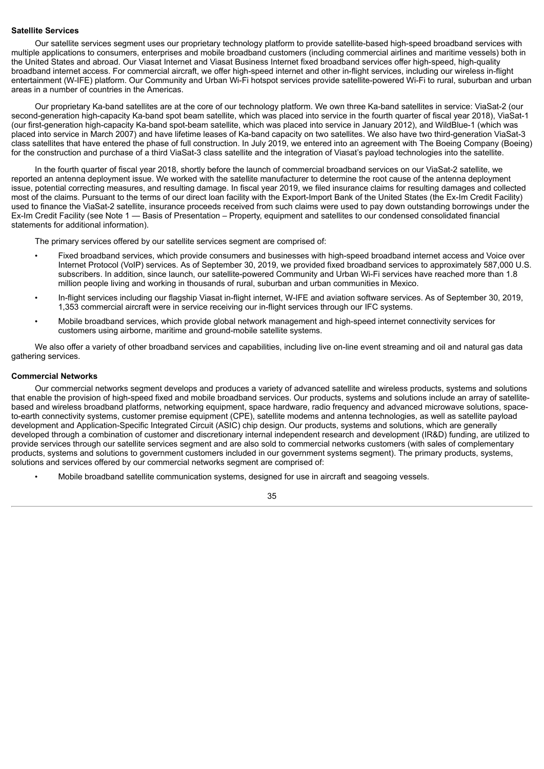# **Satellite Services**

Our satellite services segment uses our proprietary technology platform to provide satellite-based high-speed broadband services with multiple applications to consumers, enterprises and mobile broadband customers (including commercial airlines and maritime vessels) both in the United States and abroad. Our Viasat Internet and Viasat Business Internet fixed broadband services offer high-speed, high-quality broadband internet access. For commercial aircraft, we offer high-speed internet and other in-flight services, including our wireless in-flight entertainment (W-IFE) platform. Our Community and Urban Wi-Fi hotspot services provide satellite-powered Wi-Fi to rural, suburban and urban areas in a number of countries in the Americas.

Our proprietary Ka-band satellites are at the core of our technology platform. We own three Ka-band satellites in service: ViaSat-2 (our second-generation high-capacity Ka-band spot beam satellite, which was placed into service in the fourth quarter of fiscal year 2018), ViaSat-1 (our first-generation high-capacity Ka-band spot-beam satellite, which was placed into service in January 2012), and WildBlue-1 (which was placed into service in March 2007) and have lifetime leases of Ka-band capacity on two satellites. We also have two third-generation ViaSat-3 class satellites that have entered the phase of full construction. In July 2019, we entered into an agreement with The Boeing Company (Boeing) for the construction and purchase of a third ViaSat-3 class satellite and the integration of Viasat's payload technologies into the satellite.

In the fourth quarter of fiscal year 2018, shortly before the launch of commercial broadband services on our ViaSat-2 satellite, we reported an antenna deployment issue. We worked with the satellite manufacturer to determine the root cause of the antenna deployment issue, potential correcting measures, and resulting damage. In fiscal year 2019, we filed insurance claims for resulting damages and collected most of the claims. Pursuant to the terms of our direct loan facility with the Export-Import Bank of the United States (the Ex-Im Credit Facility) used to finance the ViaSat-2 satellite, insurance proceeds received from such claims were used to pay down outstanding borrowings under the Ex-Im Credit Facility (see Note 1 — Basis of Presentation – Property, equipment and satellites to our condensed consolidated financial statements for additional information).

The primary services offered by our satellite services segment are comprised of:

- Fixed broadband services, which provide consumers and businesses with high-speed broadband internet access and Voice over Internet Protocol (VoIP) services. As of September 30, 2019, we provided fixed broadband services to approximately 587,000 U.S. subscribers. In addition, since launch, our satellite-powered Community and Urban Wi-Fi services have reached more than 1.8 million people living and working in thousands of rural, suburban and urban communities in Mexico.
- In-flight services including our flagship Viasat in-flight internet, W-IFE and aviation software services. As of September 30, 2019, 1,353 commercial aircraft were in service receiving our in-flight services through our IFC systems.
- Mobile broadband services, which provide global network management and high-speed internet connectivity services for customers using airborne, maritime and ground-mobile satellite systems.

We also offer a variety of other broadband services and capabilities, including live on-line event streaming and oil and natural gas data gathering services.

# **Commercial Networks**

Our commercial networks segment develops and produces a variety of advanced satellite and wireless products, systems and solutions that enable the provision of high-speed fixed and mobile broadband services. Our products, systems and solutions include an array of satellitebased and wireless broadband platforms, networking equipment, space hardware, radio frequency and advanced microwave solutions, spaceto-earth connectivity systems, customer premise equipment (CPE), satellite modems and antenna technologies, as well as satellite payload development and Application-Specific Integrated Circuit (ASIC) chip design. Our products, systems and solutions, which are generally developed through a combination of customer and discretionary internal independent research and development (IR&D) funding, are utilized to provide services through our satellite services segment and are also sold to commercial networks customers (with sales of complementary products, systems and solutions to government customers included in our government systems segment). The primary products, systems, solutions and services offered by our commercial networks segment are comprised of:

• Mobile broadband satellite communication systems, designed for use in aircraft and seagoing vessels.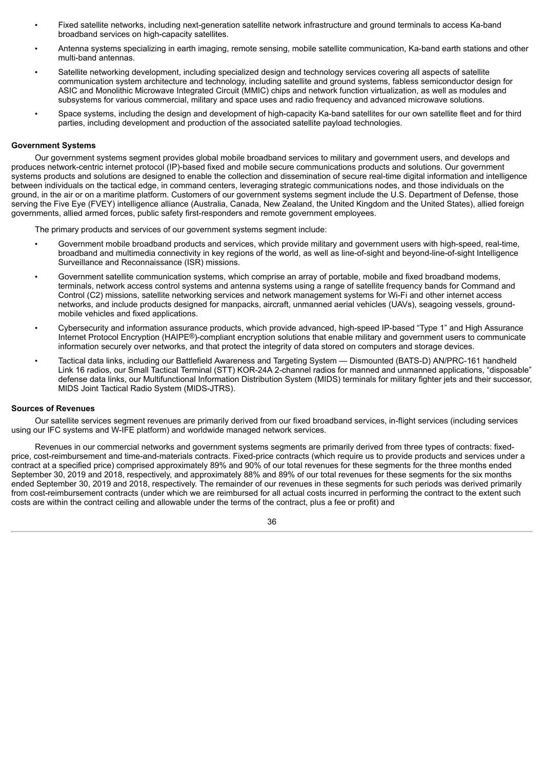- Fixed satellite networks, including next-generation satellite network infrastructure and ground terminals to access Ka-band broadband services on high-capacity satellites.
- Antenna systems specializing in earth imaging, remote sensing, mobile satellite communication, Ka-band earth stations and other multi-band antennas.
- Satellite networking development, including specialized design and technology services covering all aspects of satellite communication system architecture and technology, including satellite and ground systems, fabless semiconductor design for ASIC and Monolithic Microwave Integrated Circuit (MMIC) chips and network function virtualization, as well as modules and subsystems for various commercial, military and space uses and radio frequency and advanced microwave solutions.
- Space systems, including the design and development of high-capacity Ka-band satellites for our own satellite fleet and for third parties, including development and production of the associated satellite payload technologies.

# **Government Systems**

Our government systems segment provides global mobile broadband services to military and government users, and develops and produces network-centric internet protocol (IP)-based fixed and mobile secure communications products and solutions. Our government systems products and solutions are designed to enable the collection and dissemination of secure real-time digital information and intelligence between individuals on the tactical edge, in command centers, leveraging strategic communications nodes, and those individuals on the ground, in the air or on a maritime platform. Customers of our government systems segment include the U.S. Department of Defense, those serving the Five Eye (FVEY) intelligence alliance (Australia, Canada, New Zealand, the United Kingdom and the United States), allied foreign governments, allied armed forces, public safety first-responders and remote government employees.

The primary products and services of our government systems segment include:

- Government mobile broadband products and services, which provide military and government users with high-speed, real-time, broadband and multimedia connectivity in key regions of the world, as well as line-of-sight and beyond-line-of-sight Intelligence Surveillance and Reconnaissance (ISR) missions.
- Government satellite communication systems, which comprise an array of portable, mobile and fixed broadband modems, terminals, network access control systems and antenna systems using a range of satellite frequency bands for Command and Control (C2) missions, satellite networking services and network management systems for Wi-Fi and other internet access networks, and include products designed for manpacks, aircraft, unmanned aerial vehicles (UAVs), seagoing vessels, groundmobile vehicles and fixed applications.
- Cybersecurity and information assurance products, which provide advanced, high-speed IP-based "Type 1" and High Assurance Internet Protocol Encryption (HAIPE®)-compliant encryption solutions that enable military and government users to communicate information securely over networks, and that protect the integrity of data stored on computers and storage devices.
- Tactical data links, including our Battlefield Awareness and Targeting System Dismounted (BATS-D) AN/PRC-161 handheld Link 16 radios, our Small Tactical Terminal (STT) KOR-24A 2-channel radios for manned and unmanned applications, "disposable" defense data links, our Multifunctional Information Distribution System (MIDS) terminals for military fighter jets and their successor, MIDS Joint Tactical Radio System (MIDS-JTRS).

#### **Sources of Revenues**

Our satellite services segment revenues are primarily derived from our fixed broadband services, in-flight services (including services using our IFC systems and W-IFE platform) and worldwide managed network services.

Revenues in our commercial networks and government systems segments are primarily derived from three types of contracts: fixedprice, cost-reimbursement and time-and-materials contracts. Fixed-price contracts (which require us to provide products and services under a contract at a specified price) comprised approximately 89% and 90% of our total revenues for these segments for the three months ended September 30, 2019 and 2018, respectively, and approximately 88% and 89% of our total revenues for these segments for the six months ended September 30, 2019 and 2018, respectively. The remainder of our revenues in these segments for such periods was derived primarily from cost-reimbursement contracts (under which we are reimbursed for all actual costs incurred in performing the contract to the extent such costs are within the contract ceiling and allowable under the terms of the contract, plus a fee or profit) and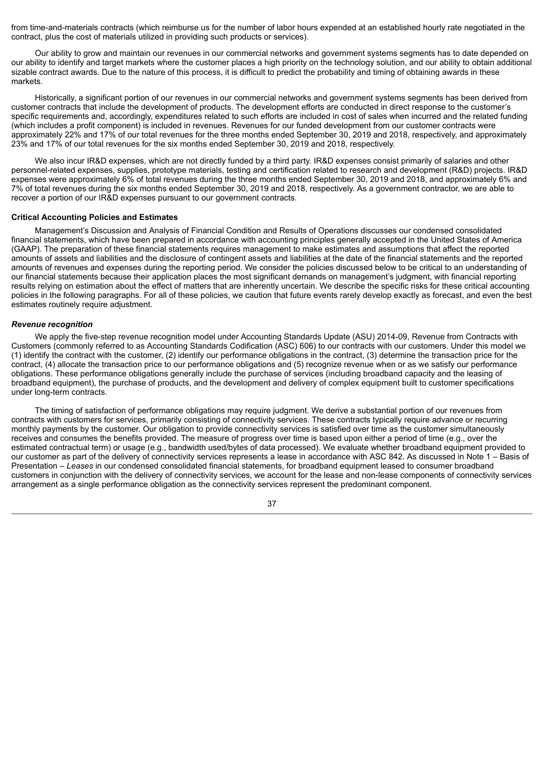from time-and-materials contracts (which reimburse us for the number of labor hours expended at an established hourly rate negotiated in the contract, plus the cost of materials utilized in providing such products or services).

Our ability to grow and maintain our revenues in our commercial networks and government systems segments has to date depended on our ability to identify and target markets where the customer places a high priority on the technology solution, and our ability to obtain additional sizable contract awards. Due to the nature of this process, it is difficult to predict the probability and timing of obtaining awards in these markets.

Historically, a significant portion of our revenues in our commercial networks and government systems segments has been derived from customer contracts that include the development of products. The development efforts are conducted in direct response to the customer's specific requirements and, accordingly, expenditures related to such efforts are included in cost of sales when incurred and the related funding (which includes a profit component) is included in revenues. Revenues for our funded development from our customer contracts were approximately 22% and 17% of our total revenues for the three months ended September 30, 2019 and 2018, respectively, and approximately 23% and 17% of our total revenues for the six months ended September 30, 2019 and 2018, respectively.

We also incur IR&D expenses, which are not directly funded by a third party. IR&D expenses consist primarily of salaries and other personnel-related expenses, supplies, prototype materials, testing and certification related to research and development (R&D) projects. IR&D expenses were approximately 6% of total revenues during the three months ended September 30, 2019 and 2018, and approximately 6% and 7% of total revenues during the six months ended September 30, 2019 and 2018, respectively. As a government contractor, we are able to recover a portion of our IR&D expenses pursuant to our government contracts.

#### **Critical Accounting Policies and Estimates**

Management's Discussion and Analysis of Financial Condition and Results of Operations discusses our condensed consolidated financial statements, which have been prepared in accordance with accounting principles generally accepted in the United States of America (GAAP). The preparation of these financial statements requires management to make estimates and assumptions that affect the reported amounts of assets and liabilities and the disclosure of contingent assets and liabilities at the date of the financial statements and the reported amounts of revenues and expenses during the reporting period. We consider the policies discussed below to be critical to an understanding of our financial statements because their application places the most significant demands on management's judgment, with financial reporting results relying on estimation about the effect of matters that are inherently uncertain. We describe the specific risks for these critical accounting policies in the following paragraphs. For all of these policies, we caution that future events rarely develop exactly as forecast, and even the best estimates routinely require adjustment.

#### *Revenue recognition*

We apply the five-step revenue recognition model under Accounting Standards Update (ASU) 2014-09, Revenue from Contracts with Customers (commonly referred to as Accounting Standards Codification (ASC) 606) to our contracts with our customers. Under this model we (1) identify the contract with the customer, (2) identify our performance obligations in the contract, (3) determine the transaction price for the contract, (4) allocate the transaction price to our performance obligations and (5) recognize revenue when or as we satisfy our performance obligations. These performance obligations generally include the purchase of services (including broadband capacity and the leasing of broadband equipment), the purchase of products, and the development and delivery of complex equipment built to customer specifications under long-term contracts.

The timing of satisfaction of performance obligations may require judgment. We derive a substantial portion of our revenues from contracts with customers for services, primarily consisting of connectivity services. These contracts typically require advance or recurring monthly payments by the customer. Our obligation to provide connectivity services is satisfied over time as the customer simultaneously receives and consumes the benefits provided. The measure of progress over time is based upon either a period of time (e.g., over the estimated contractual term) or usage (e.g., bandwidth used/bytes of data processed). We evaluate whether broadband equipment provided to our customer as part of the delivery of connectivity services represents a lease in accordance with ASC 842. As discussed in Note 1 – Basis of Presentation – *Leases* in our condensed consolidated financial statements, for broadband equipment leased to consumer broadband customers in conjunction with the delivery of connectivity services, we account for the lease and non-lease components of connectivity services arrangement as a single performance obligation as the connectivity services represent the predominant component.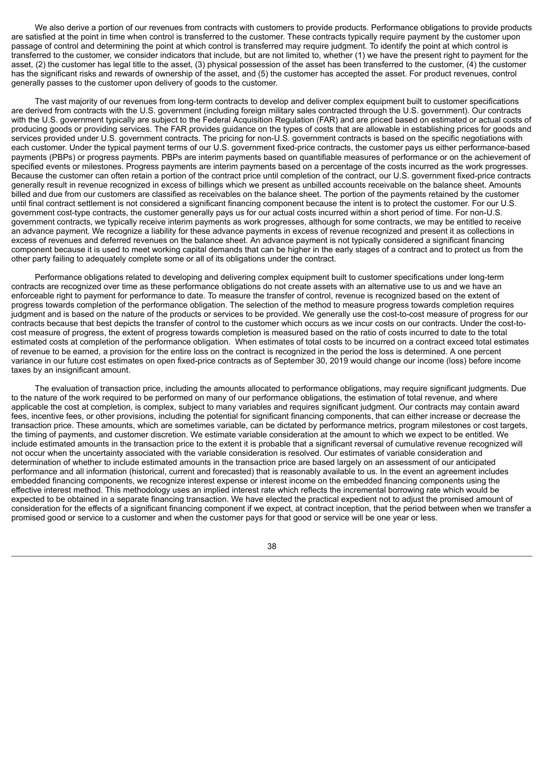We also derive a portion of our revenues from contracts with customers to provide products. Performance obligations to provide products are satisfied at the point in time when control is transferred to the customer. These contracts typically require payment by the customer upon passage of control and determining the point at which control is transferred may require judgment. To identify the point at which control is transferred to the customer, we consider indicators that include, but are not limited to, whether (1) we have the present right to payment for the asset, (2) the customer has legal title to the asset, (3) physical possession of the asset has been transferred to the customer, (4) the customer has the significant risks and rewards of ownership of the asset, and (5) the customer has accepted the asset. For product revenues, control generally passes to the customer upon delivery of goods to the customer.

The vast majority of our revenues from long-term contracts to develop and deliver complex equipment built to customer specifications are derived from contracts with the U.S. government (including foreign military sales contracted through the U.S. government). Our contracts with the U.S. government typically are subject to the Federal Acquisition Regulation (FAR) and are priced based on estimated or actual costs of producing goods or providing services. The FAR provides guidance on the types of costs that are allowable in establishing prices for goods and services provided under U.S. government contracts. The pricing for non-U.S. government contracts is based on the specific negotiations with each customer. Under the typical payment terms of our U.S. government fixed-price contracts, the customer pays us either performance-based payments (PBPs) or progress payments. PBPs are interim payments based on quantifiable measures of performance or on the achievement of specified events or milestones. Progress payments are interim payments based on a percentage of the costs incurred as the work progresses. Because the customer can often retain a portion of the contract price until completion of the contract, our U.S. government fixed-price contracts generally result in revenue recognized in excess of billings which we present as unbilled accounts receivable on the balance sheet. Amounts billed and due from our customers are classified as receivables on the balance sheet. The portion of the payments retained by the customer until final contract settlement is not considered a significant financing component because the intent is to protect the customer. For our U.S. government cost-type contracts, the customer generally pays us for our actual costs incurred within a short period of time. For non-U.S. government contracts, we typically receive interim payments as work progresses, although for some contracts, we may be entitled to receive an advance payment. We recognize a liability for these advance payments in excess of revenue recognized and present it as collections in excess of revenues and deferred revenues on the balance sheet. An advance payment is not typically considered a significant financing component because it is used to meet working capital demands that can be higher in the early stages of a contract and to protect us from the other party failing to adequately complete some or all of its obligations under the contract.

Performance obligations related to developing and delivering complex equipment built to customer specifications under long-term contracts are recognized over time as these performance obligations do not create assets with an alternative use to us and we have an enforceable right to payment for performance to date. To measure the transfer of control, revenue is recognized based on the extent of progress towards completion of the performance obligation. The selection of the method to measure progress towards completion requires judgment and is based on the nature of the products or services to be provided. We generally use the cost-to-cost measure of progress for our contracts because that best depicts the transfer of control to the customer which occurs as we incur costs on our contracts. Under the cost-tocost measure of progress, the extent of progress towards completion is measured based on the ratio of costs incurred to date to the total estimated costs at completion of the performance obligation. When estimates of total costs to be incurred on a contract exceed total estimates of revenue to be earned, a provision for the entire loss on the contract is recognized in the period the loss is determined. A one percent variance in our future cost estimates on open fixed-price contracts as of September 30, 2019 would change our income (loss) before income taxes by an insignificant amount.

The evaluation of transaction price, including the amounts allocated to performance obligations, may require significant judgments. Due to the nature of the work required to be performed on many of our performance obligations, the estimation of total revenue, and where applicable the cost at completion, is complex, subject to many variables and requires significant judgment. Our contracts may contain award fees, incentive fees, or other provisions, including the potential for significant financing components, that can either increase or decrease the transaction price. These amounts, which are sometimes variable, can be dictated by performance metrics, program milestones or cost targets, the timing of payments, and customer discretion. We estimate variable consideration at the amount to which we expect to be entitled. We include estimated amounts in the transaction price to the extent it is probable that a significant reversal of cumulative revenue recognized will not occur when the uncertainty associated with the variable consideration is resolved. Our estimates of variable consideration and determination of whether to include estimated amounts in the transaction price are based largely on an assessment of our anticipated performance and all information (historical, current and forecasted) that is reasonably available to us. In the event an agreement includes embedded financing components, we recognize interest expense or interest income on the embedded financing components using the effective interest method. This methodology uses an implied interest rate which reflects the incremental borrowing rate which would be expected to be obtained in a separate financing transaction. We have elected the practical expedient not to adjust the promised amount of consideration for the effects of a significant financing component if we expect, at contract inception, that the period between when we transfer a promised good or service to a customer and when the customer pays for that good or service will be one year or less.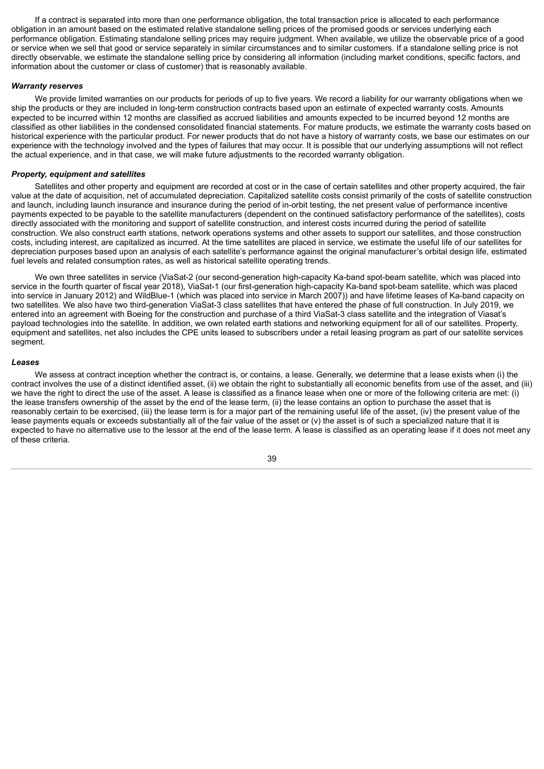If a contract is separated into more than one performance obligation, the total transaction price is allocated to each performance obligation in an amount based on the estimated relative standalone selling prices of the promised goods or services underlying each performance obligation. Estimating standalone selling prices may require judgment. When available, we utilize the observable price of a good or service when we sell that good or service separately in similar circumstances and to similar customers. If a standalone selling price is not directly observable, we estimate the standalone selling price by considering all information (including market conditions, specific factors, and information about the customer or class of customer) that is reasonably available.

# *Warranty reserves*

We provide limited warranties on our products for periods of up to five years. We record a liability for our warranty obligations when we ship the products or they are included in long-term construction contracts based upon an estimate of expected warranty costs. Amounts expected to be incurred within 12 months are classified as accrued liabilities and amounts expected to be incurred beyond 12 months are classified as other liabilities in the condensed consolidated financial statements. For mature products, we estimate the warranty costs based on historical experience with the particular product. For newer products that do not have a history of warranty costs, we base our estimates on our experience with the technology involved and the types of failures that may occur. It is possible that our underlying assumptions will not reflect the actual experience, and in that case, we will make future adjustments to the recorded warranty obligation.

#### *Property, equipment and satellites*

Satellites and other property and equipment are recorded at cost or in the case of certain satellites and other property acquired, the fair value at the date of acquisition, net of accumulated depreciation. Capitalized satellite costs consist primarily of the costs of satellite construction and launch, including launch insurance and insurance during the period of in-orbit testing, the net present value of performance incentive payments expected to be payable to the satellite manufacturers (dependent on the continued satisfactory performance of the satellites), costs directly associated with the monitoring and support of satellite construction, and interest costs incurred during the period of satellite construction. We also construct earth stations, network operations systems and other assets to support our satellites, and those construction costs, including interest, are capitalized as incurred. At the time satellites are placed in service, we estimate the useful life of our satellites for depreciation purposes based upon an analysis of each satellite's performance against the original manufacturer's orbital design life, estimated fuel levels and related consumption rates, as well as historical satellite operating trends.

We own three satellites in service (ViaSat-2 (our second-generation high-capacity Ka-band spot-beam satellite, which was placed into service in the fourth quarter of fiscal year 2018), ViaSat-1 (our first-generation high-capacity Ka-band spot-beam satellite, which was placed into service in January 2012) and WildBlue-1 (which was placed into service in March 2007)) and have lifetime leases of Ka-band capacity on two satellites. We also have two third-generation ViaSat-3 class satellites that have entered the phase of full construction. In July 2019, we entered into an agreement with Boeing for the construction and purchase of a third ViaSat-3 class satellite and the integration of Viasat's payload technologies into the satellite. In addition, we own related earth stations and networking equipment for all of our satellites. Property, equipment and satellites, net also includes the CPE units leased to subscribers under a retail leasing program as part of our satellite services segment.

#### *Leases*

We assess at contract inception whether the contract is, or contains, a lease. Generally, we determine that a lease exists when (i) the contract involves the use of a distinct identified asset, (ii) we obtain the right to substantially all economic benefits from use of the asset, and (iii) we have the right to direct the use of the asset. A lease is classified as a finance lease when one or more of the following criteria are met: (i) the lease transfers ownership of the asset by the end of the lease term, (ii) the lease contains an option to purchase the asset that is reasonably certain to be exercised, (iii) the lease term is for a major part of the remaining useful life of the asset, (iv) the present value of the lease payments equals or exceeds substantially all of the fair value of the asset or (v) the asset is of such a specialized nature that it is expected to have no alternative use to the lessor at the end of the lease term. A lease is classified as an operating lease if it does not meet any of these criteria.

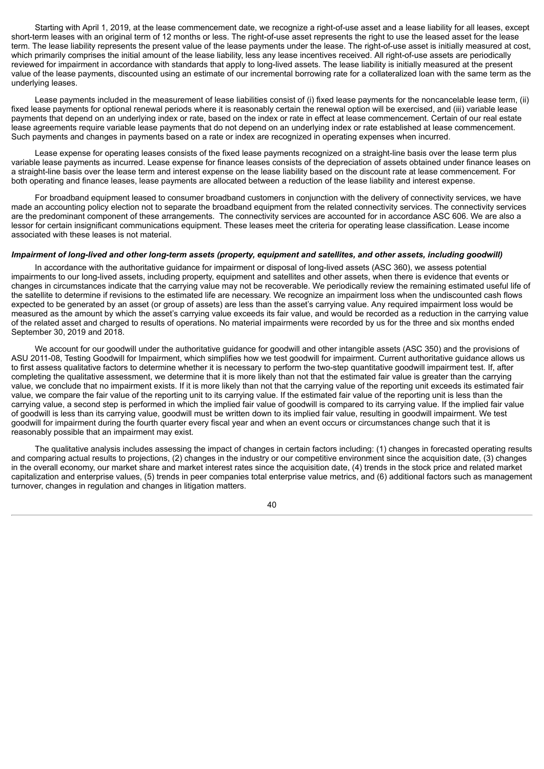Starting with April 1, 2019, at the lease commencement date, we recognize a right-of-use asset and a lease liability for all leases, except short-term leases with an original term of 12 months or less. The right-of-use asset represents the right to use the leased asset for the lease term. The lease liability represents the present value of the lease payments under the lease. The right-of-use asset is initially measured at cost, which primarily comprises the initial amount of the lease liability, less any lease incentives received. All right-of-use assets are periodically reviewed for impairment in accordance with standards that apply to long-lived assets. The lease liability is initially measured at the present value of the lease payments, discounted using an estimate of our incremental borrowing rate for a collateralized loan with the same term as the underlying leases.

Lease payments included in the measurement of lease liabilities consist of (i) fixed lease payments for the noncancelable lease term, (ii) fixed lease payments for optional renewal periods where it is reasonably certain the renewal option will be exercised, and (iii) variable lease payments that depend on an underlying index or rate, based on the index or rate in effect at lease commencement. Certain of our real estate lease agreements require variable lease payments that do not depend on an underlying index or rate established at lease commencement. Such payments and changes in payments based on a rate or index are recognized in operating expenses when incurred.

Lease expense for operating leases consists of the fixed lease payments recognized on a straight-line basis over the lease term plus variable lease payments as incurred. Lease expense for finance leases consists of the depreciation of assets obtained under finance leases on a straight-line basis over the lease term and interest expense on the lease liability based on the discount rate at lease commencement. For both operating and finance leases, lease payments are allocated between a reduction of the lease liability and interest expense.

For broadband equipment leased to consumer broadband customers in conjunction with the delivery of connectivity services, we have made an accounting policy election not to separate the broadband equipment from the related connectivity services. The connectivity services are the predominant component of these arrangements. The connectivity services are accounted for in accordance ASC 606. We are also a lessor for certain insignificant communications equipment. These leases meet the criteria for operating lease classification. Lease income associated with these leases is not material.

#### Impairment of long-lived and other long-term assets (property, equipment and satellites, and other assets, including goodwill)

In accordance with the authoritative guidance for impairment or disposal of long-lived assets (ASC 360), we assess potential impairments to our long-lived assets, including property, equipment and satellites and other assets, when there is evidence that events or changes in circumstances indicate that the carrying value may not be recoverable. We periodically review the remaining estimated useful life of the satellite to determine if revisions to the estimated life are necessary. We recognize an impairment loss when the undiscounted cash flows expected to be generated by an asset (or group of assets) are less than the asset's carrying value. Any required impairment loss would be measured as the amount by which the asset's carrying value exceeds its fair value, and would be recorded as a reduction in the carrying value of the related asset and charged to results of operations. No material impairments were recorded by us for the three and six months ended September 30, 2019 and 2018.

We account for our goodwill under the authoritative guidance for goodwill and other intangible assets (ASC 350) and the provisions of ASU 2011-08, Testing Goodwill for Impairment, which simplifies how we test goodwill for impairment. Current authoritative guidance allows us to first assess qualitative factors to determine whether it is necessary to perform the two-step quantitative goodwill impairment test. If, after completing the qualitative assessment, we determine that it is more likely than not that the estimated fair value is greater than the carrying value, we conclude that no impairment exists. If it is more likely than not that the carrying value of the reporting unit exceeds its estimated fair value, we compare the fair value of the reporting unit to its carrying value. If the estimated fair value of the reporting unit is less than the carrying value, a second step is performed in which the implied fair value of goodwill is compared to its carrying value. If the implied fair value of goodwill is less than its carrying value, goodwill must be written down to its implied fair value, resulting in goodwill impairment. We test goodwill for impairment during the fourth quarter every fiscal year and when an event occurs or circumstances change such that it is reasonably possible that an impairment may exist.

The qualitative analysis includes assessing the impact of changes in certain factors including: (1) changes in forecasted operating results and comparing actual results to projections, (2) changes in the industry or our competitive environment since the acquisition date, (3) changes in the overall economy, our market share and market interest rates since the acquisition date, (4) trends in the stock price and related market capitalization and enterprise values, (5) trends in peer companies total enterprise value metrics, and (6) additional factors such as management turnover, changes in regulation and changes in litigation matters.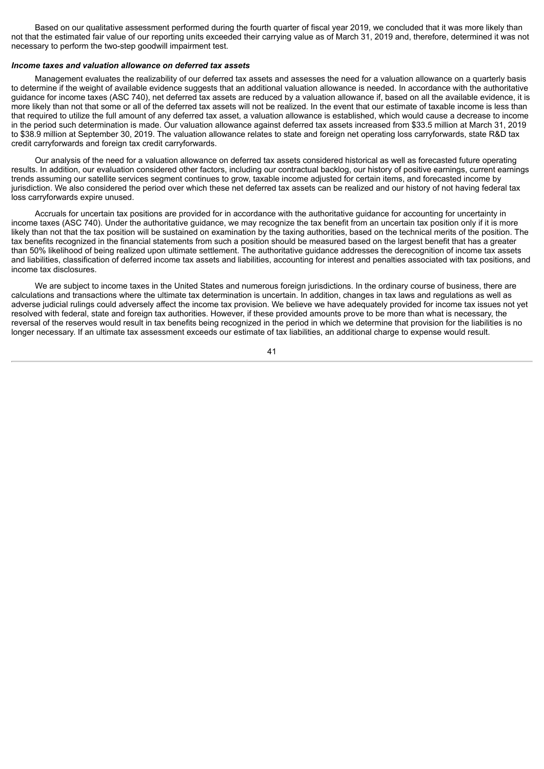Based on our qualitative assessment performed during the fourth quarter of fiscal year 2019, we concluded that it was more likely than not that the estimated fair value of our reporting units exceeded their carrying value as of March 31, 2019 and, therefore, determined it was not necessary to perform the two-step goodwill impairment test.

#### *Income taxes and valuation allowance on deferred tax assets*

Management evaluates the realizability of our deferred tax assets and assesses the need for a valuation allowance on a quarterly basis to determine if the weight of available evidence suggests that an additional valuation allowance is needed. In accordance with the authoritative guidance for income taxes (ASC 740), net deferred tax assets are reduced by a valuation allowance if, based on all the available evidence, it is more likely than not that some or all of the deferred tax assets will not be realized. In the event that our estimate of taxable income is less than that required to utilize the full amount of any deferred tax asset, a valuation allowance is established, which would cause a decrease to income in the period such determination is made. Our valuation allowance against deferred tax assets increased from \$33.5 million at March 31, 2019 to \$38.9 million at September 30, 2019. The valuation allowance relates to state and foreign net operating loss carryforwards, state R&D tax credit carryforwards and foreign tax credit carryforwards.

Our analysis of the need for a valuation allowance on deferred tax assets considered historical as well as forecasted future operating results. In addition, our evaluation considered other factors, including our contractual backlog, our history of positive earnings, current earnings trends assuming our satellite services segment continues to grow, taxable income adjusted for certain items, and forecasted income by jurisdiction. We also considered the period over which these net deferred tax assets can be realized and our history of not having federal tax loss carryforwards expire unused.

Accruals for uncertain tax positions are provided for in accordance with the authoritative guidance for accounting for uncertainty in income taxes (ASC 740). Under the authoritative guidance, we may recognize the tax benefit from an uncertain tax position only if it is more likely than not that the tax position will be sustained on examination by the taxing authorities, based on the technical merits of the position. The tax benefits recognized in the financial statements from such a position should be measured based on the largest benefit that has a greater than 50% likelihood of being realized upon ultimate settlement. The authoritative guidance addresses the derecognition of income tax assets and liabilities, classification of deferred income tax assets and liabilities, accounting for interest and penalties associated with tax positions, and income tax disclosures.

We are subject to income taxes in the United States and numerous foreign jurisdictions. In the ordinary course of business, there are calculations and transactions where the ultimate tax determination is uncertain. In addition, changes in tax laws and regulations as well as adverse judicial rulings could adversely affect the income tax provision. We believe we have adequately provided for income tax issues not yet resolved with federal, state and foreign tax authorities. However, if these provided amounts prove to be more than what is necessary, the reversal of the reserves would result in tax benefits being recognized in the period in which we determine that provision for the liabilities is no longer necessary. If an ultimate tax assessment exceeds our estimate of tax liabilities, an additional charge to expense would result.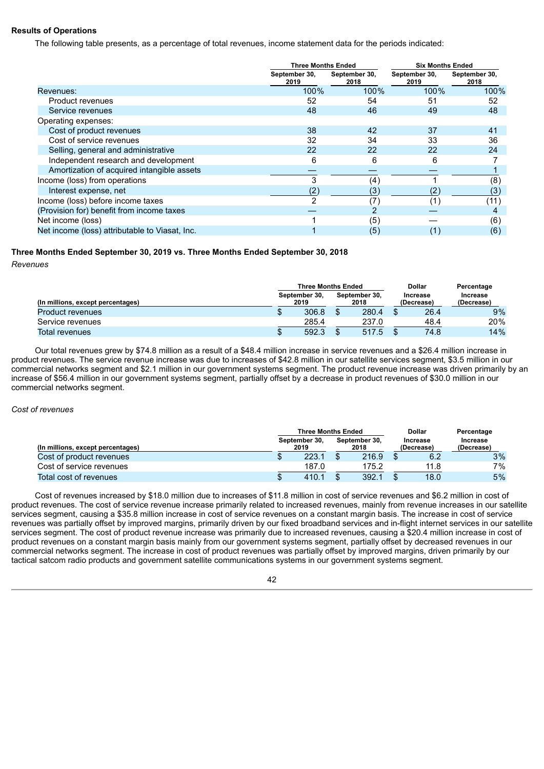# **Results of Operations**

The following table presents, as a percentage of total revenues, income statement data for the periods indicated:

|                                                | <b>Three Months Ended</b> |                       | <b>Six Months Ended</b> |                       |
|------------------------------------------------|---------------------------|-----------------------|-------------------------|-----------------------|
|                                                | September 30,<br>2019     | September 30,<br>2018 | September 30,<br>2019   | September 30,<br>2018 |
| Revenues:                                      | 100%                      | 100%                  | 100%                    | 100%                  |
| <b>Product revenues</b>                        | 52                        | 54                    | 51                      | 52                    |
| Service revenues                               | 48                        | 46                    | 49                      | 48                    |
| Operating expenses:                            |                           |                       |                         |                       |
| Cost of product revenues                       | 38                        | 42                    | 37                      | 41                    |
| Cost of service revenues                       | 32                        | 34                    | 33                      | 36                    |
| Selling, general and administrative            | 22                        | 22                    | 22                      | 24                    |
| Independent research and development           | 6                         | 6                     | 6                       |                       |
| Amortization of acquired intangible assets     |                           |                       |                         |                       |
| Income (loss) from operations                  | 3                         | (4)                   |                         | (8)                   |
| Interest expense, net                          | (2)                       | (3)                   | (2)                     | (3)                   |
| Income (loss) before income taxes              | 2                         | (7)                   |                         | (11)                  |
| (Provision for) benefit from income taxes      |                           | 2                     |                         | 4                     |
| Net income (loss)                              |                           | (5)                   |                         | (6)                   |
| Net income (loss) attributable to Viasat, Inc. |                           | (5)                   | (1)                     | (6)                   |

# **Three Months Ended September 30, 2019 vs. Three Months Ended September 30, 2018**

# *Revenues*

|                                   |  | <b>Three Months Ended</b> |                       | <b>Dollar</b>          |      | Percentage             |  |
|-----------------------------------|--|---------------------------|-----------------------|------------------------|------|------------------------|--|
| (In millions, except percentages) |  | September 30,<br>2019     | September 30.<br>2018 | Increase<br>(Decrease) |      | Increase<br>(Decrease) |  |
| Product revenues                  |  | 306.8                     | 280.4                 |                        | 26.4 | $9\%$                  |  |
| Service revenues                  |  | 285.4                     | 237.0                 |                        | 48.4 | 20%                    |  |
| Total revenues                    |  | 592.3                     | 517.5                 |                        | 74.8 | 14%                    |  |

Our total revenues grew by \$74.8 million as a result of a \$48.4 million increase in service revenues and a \$26.4 million increase in product revenues. The service revenue increase was due to increases of \$42.8 million in our satellite services segment, \$3.5 million in our commercial networks segment and \$2.1 million in our government systems segment. The product revenue increase was driven primarily by an increase of \$56.4 million in our government systems segment, partially offset by a decrease in product revenues of \$30.0 million in our commercial networks segment.

#### *Cost of revenues*

|                                   |                       | <b>Three Months Ended</b> |  |                       | <b>Dollar</b>          |      | Percentage             |  |
|-----------------------------------|-----------------------|---------------------------|--|-----------------------|------------------------|------|------------------------|--|
| (In millions, except percentages) | September 30.<br>2019 |                           |  | September 30.<br>2018 | Increase<br>(Decrease) |      | Increase<br>(Decrease) |  |
| Cost of product revenues          |                       | 223.1                     |  | 216.9                 |                        | 6.2  | 3%                     |  |
| Cost of service revenues          |                       | 187.0                     |  | 175.2                 |                        | 11.8 | 7%                     |  |
| Total cost of revenues            |                       | 410.1                     |  | 392.1                 |                        | 18.0 | 5%                     |  |

Cost of revenues increased by \$18.0 million due to increases of \$11.8 million in cost of service revenues and \$6.2 million in cost of product revenues. The cost of service revenue increase primarily related to increased revenues, mainly from revenue increases in our satellite services segment, causing a \$35.8 million increase in cost of service revenues on a constant margin basis. The increase in cost of service revenues was partially offset by improved margins, primarily driven by our fixed broadband services and in-flight internet services in our satellite services segment. The cost of product revenue increase was primarily due to increased revenues, causing a \$20.4 million increase in cost of product revenues on a constant margin basis mainly from our government systems segment, partially offset by decreased revenues in our commercial networks segment. The increase in cost of product revenues was partially offset by improved margins, driven primarily by our tactical satcom radio products and government satellite communications systems in our government systems segment.

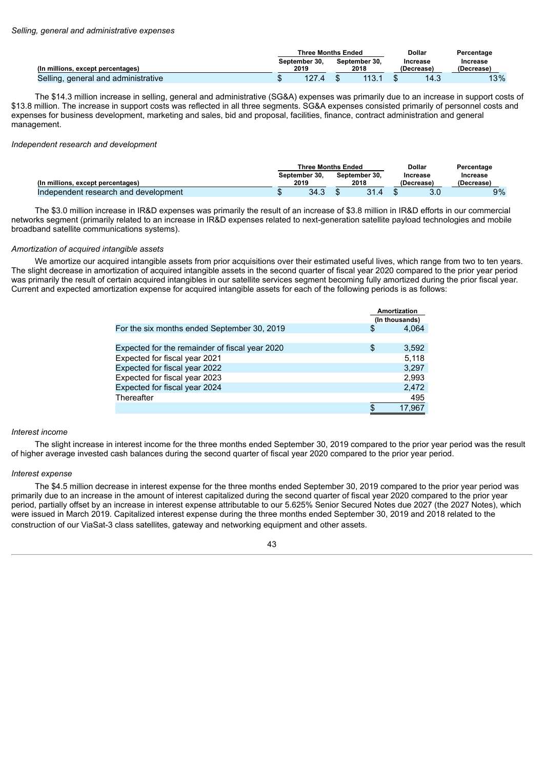|                                     |               | <b>Three Months Ended</b> |     |      |               |            | Dollar   | Percentage      |
|-------------------------------------|---------------|---------------------------|-----|------|---------------|------------|----------|-----------------|
|                                     | September 30. |                           |     |      | September 30. |            | Increase | <b>Increase</b> |
| (In millions, except percentages)   |               | 2019                      |     | 2018 |               | (Decrease) |          | (Decrease)      |
| Selling, general and administrative |               |                           | 197 |      | 113.          |            | 14.3     | 13%             |

The \$14.3 million increase in selling, general and administrative (SG&A) expenses was primarily due to an increase in support costs of \$13.8 million. The increase in support costs was reflected in all three segments. SG&A expenses consisted primarily of personnel costs and expenses for business development, marketing and sales, bid and proposal, facilities, finance, contract administration and general management.

### *Independent research and development*

|                                      | <b>Three Months Ended</b> |      |               |     | <b>Dollar</b>   |  | Percentage |  |
|--------------------------------------|---------------------------|------|---------------|-----|-----------------|--|------------|--|
|                                      | September 30.             |      | September 30. |     | <b>Increase</b> |  | Increase   |  |
| (In millions, except percentages)    | 2019                      |      | 2018          |     | (Decrease)      |  | (Decrease) |  |
| Independent research and development |                           | 34.3 |               | 21. |                 |  | 9%         |  |

The \$3.0 million increase in IR&D expenses was primarily the result of an increase of \$3.8 million in IR&D efforts in our commercial networks segment (primarily related to an increase in IR&D expenses related to next-generation satellite payload technologies and mobile broadband satellite communications systems).

#### *Amortization of acquired intangible assets*

We amortize our acquired intangible assets from prior acquisitions over their estimated useful lives, which range from two to ten years. The slight decrease in amortization of acquired intangible assets in the second quarter of fiscal year 2020 compared to the prior year period was primarily the result of certain acquired intangibles in our satellite services segment becoming fully amortized during the prior fiscal year. Current and expected amortization expense for acquired intangible assets for each of the following periods is as follows:

|                                                | Amortization   |        |
|------------------------------------------------|----------------|--------|
|                                                | (In thousands) |        |
| For the six months ended September 30, 2019    | \$.            | 4.064  |
|                                                |                |        |
| Expected for the remainder of fiscal year 2020 | \$.            | 3.592  |
| Expected for fiscal year 2021                  |                | 5,118  |
| Expected for fiscal year 2022                  |                | 3.297  |
| Expected for fiscal year 2023                  |                | 2.993  |
| Expected for fiscal year 2024                  |                | 2,472  |
| Thereafter                                     |                | 495    |
|                                                | S              | 17.967 |

#### *Interest income*

The slight increase in interest income for the three months ended September 30, 2019 compared to the prior year period was the result of higher average invested cash balances during the second quarter of fiscal year 2020 compared to the prior year period.

#### *Interest expense*

The \$4.5 million decrease in interest expense for the three months ended September 30, 2019 compared to the prior year period was primarily due to an increase in the amount of interest capitalized during the second quarter of fiscal year 2020 compared to the prior year period, partially offset by an increase in interest expense attributable to our 5.625% Senior Secured Notes due 2027 (the 2027 Notes), which were issued in March 2019. Capitalized interest expense during the three months ended September 30, 2019 and 2018 related to the construction of our ViaSat-3 class satellites, gateway and networking equipment and other assets.

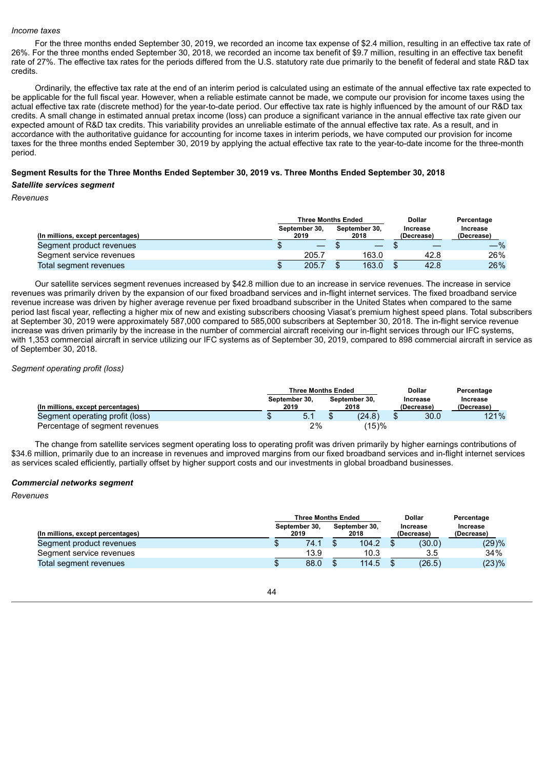#### *Income taxes*

For the three months ended September 30, 2019, we recorded an income tax expense of \$2.4 million, resulting in an effective tax rate of 26%. For the three months ended September 30, 2018, we recorded an income tax benefit of \$9.7 million, resulting in an effective tax benefit rate of 27%. The effective tax rates for the periods differed from the U.S. statutory rate due primarily to the benefit of federal and state R&D tax credits.

Ordinarily, the effective tax rate at the end of an interim period is calculated using an estimate of the annual effective tax rate expected to be applicable for the full fiscal year. However, when a reliable estimate cannot be made, we compute our provision for income taxes using the actual effective tax rate (discrete method) for the year-to-date period. Our effective tax rate is highly influenced by the amount of our R&D tax credits. A small change in estimated annual pretax income (loss) can produce a significant variance in the annual effective tax rate given our expected amount of R&D tax credits. This variability provides an unreliable estimate of the annual effective tax rate. As a result, and in accordance with the authoritative guidance for accounting for income taxes in interim periods, we have computed our provision for income taxes for the three months ended September 30, 2019 by applying the actual effective tax rate to the year-to-date income for the three-month period.

# **Segment Results for the Three Months Ended September 30, 2019 vs. Three Months Ended September 30, 2018**

# *Satellite services segment*

*Revenues*

|                                   | <b>Three Months Ended</b> |       |                       |       |                        |      | Percentage                    |  |
|-----------------------------------|---------------------------|-------|-----------------------|-------|------------------------|------|-------------------------------|--|
| (In millions, except percentages) | September 30.<br>2019     |       | September 30.<br>2018 |       | Increase<br>(Decrease) |      | <b>Increase</b><br>(Decrease) |  |
| Segment product revenues          |                           |       |                       |       |                        |      | $-$ %                         |  |
| Segment service revenues          |                           | 205.7 |                       | 163.0 |                        | 42.8 | 26%                           |  |
| Total segment revenues            |                           | 205.7 |                       | 163.0 |                        | 42.8 | 26%                           |  |

Our satellite services segment revenues increased by \$42.8 million due to an increase in service revenues. The increase in service revenues was primarily driven by the expansion of our fixed broadband services and in-flight internet services. The fixed broadband service revenue increase was driven by higher average revenue per fixed broadband subscriber in the United States when compared to the same period last fiscal year, reflecting a higher mix of new and existing subscribers choosing Viasat's premium highest speed plans. Total subscribers at September 30, 2019 were approximately 587,000 compared to 585,000 subscribers at September 30, 2018. The in-flight service revenue increase was driven primarily by the increase in the number of commercial aircraft receiving our in-flight services through our IFC systems, with 1,353 commercial aircraft in service utilizing our IFC systems as of September 30, 2019, compared to 898 commercial aircraft in service as of September 30, 2018.

#### *Segment operating profit (loss)*

|                                   |               | <b>Three Months Ended</b> | <b>Dollar</b> | Percentage |                 |
|-----------------------------------|---------------|---------------------------|---------------|------------|-----------------|
|                                   | September 30. |                           | September 30. | Increase   | <b>Increase</b> |
| (In millions, except percentages) |               | 2019                      | 2018          | (Decrease) | (Decrease)      |
| Segment operating profit (loss)   |               | 5.1                       | (24.8)        | 30.0       | 121%            |
| Percentage of segment revenues    |               | 2%                        | $(15)$ %      |            |                 |

The change from satellite services segment operating loss to operating profit was driven primarily by higher earnings contributions of \$34.6 million, primarily due to an increase in revenues and improved margins from our fixed broadband services and in-flight internet services as services scaled efficiently, partially offset by higher support costs and our investments in global broadband businesses.

# *Commercial networks segment*

*Revenues*

|                                   | <b>Three Months Ended</b> |      |  |                       |                        |        | Percentage             |  |
|-----------------------------------|---------------------------|------|--|-----------------------|------------------------|--------|------------------------|--|
| (In millions, except percentages) | September 30,<br>2019     |      |  | September 30.<br>2018 | Increase<br>(Decrease) |        | Increase<br>(Decrease) |  |
| Segment product revenues          | J                         | 74.1 |  | 104.2                 |                        | (30.0) | (29)%                  |  |
| Segment service revenues          |                           | 13.9 |  | 10.3                  |                        | 3.5    | 34%                    |  |
| Total segment revenues            |                           | 88.0 |  | 114.5                 |                        | (26.5) | (23)%                  |  |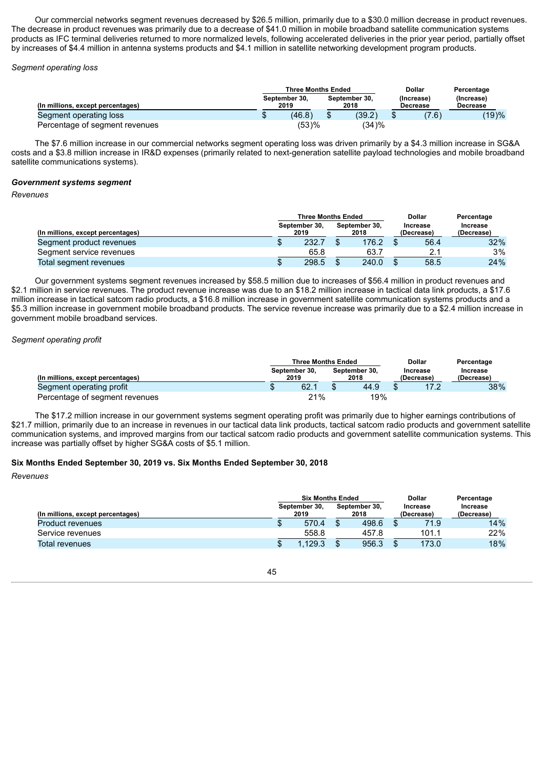Our commercial networks segment revenues decreased by \$26.5 million, primarily due to a \$30.0 million decrease in product revenues. The decrease in product revenues was primarily due to a decrease of \$41.0 million in mobile broadband satellite communication systems products as IFC terminal deliveries returned to more normalized levels, following accelerated deliveries in the prior year period, partially offset by increases of \$4.4 million in antenna systems products and \$4.1 million in satellite networking development program products.

# *Segment operating loss*

|                                   | <b>Three Months Ended</b> |               | <b>Dollar</b> | Percentage |          |                 |
|-----------------------------------|---------------------------|---------------|---------------|------------|----------|-----------------|
|                                   | September 30.             | September 30. |               | (Increase) |          | (Increase)      |
| (In millions, except percentages) | 2019                      |               | 2018          |            | Decrease | <b>Decrease</b> |
| Segment operating loss            | (46.8)                    |               | (39.2)        |            | (7.6)    | (19)%           |
| Percentage of segment revenues    | (53)%                     |               | (34)%         |            |          |                 |

The \$7.6 million increase in our commercial networks segment operating loss was driven primarily by a \$4.3 million increase in SG&A costs and a \$3.8 million increase in IR&D expenses (primarily related to next-generation satellite payload technologies and mobile broadband satellite communications systems).

#### *Government systems segment*

*Revenues*

|                                   |                       | <b>Three Months Ended</b> |                       |       | <b>Dollar</b>          |      | Percentage             |  |
|-----------------------------------|-----------------------|---------------------------|-----------------------|-------|------------------------|------|------------------------|--|
| (In millions, except percentages) | September 30,<br>2019 |                           | September 30.<br>2018 |       | Increase<br>(Decrease) |      | Increase<br>(Decrease) |  |
| Segment product revenues          | Ψ                     | 232.7                     |                       | 176.2 |                        | 56.4 | 32%                    |  |
| Segment service revenues          |                       | 65.8                      |                       | 63.7  |                        |      | 3%                     |  |
| Total segment revenues            | w                     | 298.5                     |                       | 240.0 |                        | 58.5 | 24%                    |  |

Our government systems segment revenues increased by \$58.5 million due to increases of \$56.4 million in product revenues and \$2.1 million in service revenues. The product revenue increase was due to an \$18.2 million increase in tactical data link products, a \$17.6 million increase in tactical satcom radio products, a \$16.8 million increase in government satellite communication systems products and a \$5.3 million increase in government mobile broadband products. The service revenue increase was primarily due to a \$2.4 million increase in government mobile broadband services.

#### *Segment operating profit*

|                                   | <b>Three Months Ended</b> |                       | <b>Dollar</b>          | Percentage             |  |
|-----------------------------------|---------------------------|-----------------------|------------------------|------------------------|--|
| (In millions, except percentages) | September 30.<br>2019     | September 30.<br>2018 | Increase<br>(Decrease) | Increase<br>(Decrease) |  |
| Segment operating profit          | 62.                       | 44.9                  | 17.2                   | 38%                    |  |
| Percentage of segment revenues    | 21%                       | 19%                   |                        |                        |  |

The \$17.2 million increase in our government systems segment operating profit was primarily due to higher earnings contributions of \$21.7 million, primarily due to an increase in revenues in our tactical data link products, tactical satcom radio products and government satellite communication systems, and improved margins from our tactical satcom radio products and government satellite communication systems. This increase was partially offset by higher SG&A costs of \$5.1 million.

# **Six Months Ended September 30, 2019 vs. Six Months Ended September 30, 2018**

#### *Revenues*

|                                   | <b>Six Months Ended</b> |         |                       |       |                               |       | Percentage             |  |
|-----------------------------------|-------------------------|---------|-----------------------|-------|-------------------------------|-------|------------------------|--|
| (In millions, except percentages) | September 30,<br>2019   |         | September 30.<br>2018 |       | <b>Increase</b><br>(Decrease) |       | Increase<br>(Decrease) |  |
| Product revenues                  |                         | 570.4   | \$.                   | 498.6 |                               | 71.9  | 14%                    |  |
| Service revenues                  |                         | 558.8   |                       | 457.8 |                               | 101.1 | 22%                    |  |
| Total revenues                    |                         | 1.129.3 | æ                     | 956.3 |                               | 173.0 | 18%                    |  |

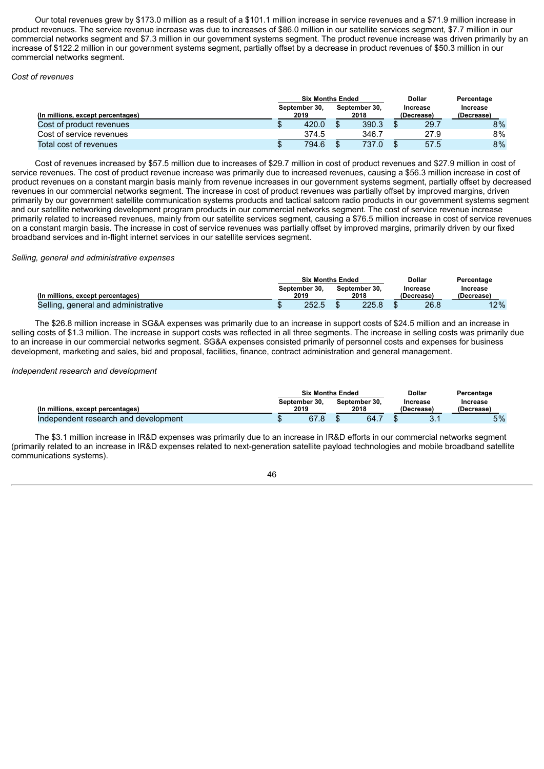Our total revenues grew by \$173.0 million as a result of a \$101.1 million increase in service revenues and a \$71.9 million increase in product revenues. The service revenue increase was due to increases of \$86.0 million in our satellite services segment, \$7.7 million in our commercial networks segment and \$7.3 million in our government systems segment. The product revenue increase was driven primarily by an increase of \$122.2 million in our government systems segment, partially offset by a decrease in product revenues of \$50.3 million in our commercial networks segment.

#### *Cost of revenues*

|                                                               |                       | <b>Six Months Ended</b> |                       |       | Dollar                        |      | Percentage                    |  |
|---------------------------------------------------------------|-----------------------|-------------------------|-----------------------|-------|-------------------------------|------|-------------------------------|--|
| (In millions, except percentages)<br>Cost of product revenues | September 30.<br>2019 |                         | September 30,<br>2018 |       | <b>Increase</b><br>(Decrease) |      | <b>Increase</b><br>(Decrease) |  |
|                                                               | \$                    | 420.0                   |                       | 390.3 |                               | 29.7 | 8%                            |  |
| Cost of service revenues                                      |                       | 374.5                   |                       | 346.7 |                               | 27.9 | 8%                            |  |
| Total cost of revenues                                        |                       | 794.6                   |                       | 737.0 |                               | 57.5 | 8%                            |  |

Cost of revenues increased by \$57.5 million due to increases of \$29.7 million in cost of product revenues and \$27.9 million in cost of service revenues. The cost of product revenue increase was primarily due to increased revenues, causing a \$56.3 million increase in cost of product revenues on a constant margin basis mainly from revenue increases in our government systems segment, partially offset by decreased revenues in our commercial networks segment. The increase in cost of product revenues was partially offset by improved margins, driven primarily by our government satellite communication systems products and tactical satcom radio products in our government systems segment and our satellite networking development program products in our commercial networks segment. The cost of service revenue increase primarily related to increased revenues, mainly from our satellite services segment, causing a \$76.5 million increase in cost of service revenues on a constant margin basis. The increase in cost of service revenues was partially offset by improved margins, primarily driven by our fixed broadband services and in-flight internet services in our satellite services segment.

#### *Selling, general and administrative expenses*

|                                     |               | <b>Six Months Ended</b> |       |  |               |            | <b>Dollar</b> | Percentage |  |
|-------------------------------------|---------------|-------------------------|-------|--|---------------|------------|---------------|------------|--|
|                                     | September 30. |                         |       |  | September 30. |            | Increase      | Increase   |  |
| (in millions, except percentages)   | 2019          |                         |       |  | 2018          | (Decrease) |               | (Decrease) |  |
| Selling, general and administrative |               |                         | 252.5 |  | 225.8         |            | 26.8          | 12%        |  |

The \$26.8 million increase in SG&A expenses was primarily due to an increase in support costs of \$24.5 million and an increase in selling costs of \$1.3 million. The increase in support costs was reflected in all three segments. The increase in selling costs was primarily due to an increase in our commercial networks segment. SG&A expenses consisted primarily of personnel costs and expenses for business development, marketing and sales, bid and proposal, facilities, finance, contract administration and general management.

# *Independent research and development*

|                                      |                       | <b>Six Months Ended</b> |  |                       | <b>Dollar</b> | Percentage             |                               |  |
|--------------------------------------|-----------------------|-------------------------|--|-----------------------|---------------|------------------------|-------------------------------|--|
| (In millions, except percentages)    | September 30.<br>2019 |                         |  | September 30.<br>2018 |               | Increase<br>(Decrease) | <b>Increase</b><br>(Decrease) |  |
| Independent research and development |                       | 67.8                    |  | 64.                   |               |                        | 5%                            |  |

The \$3.1 million increase in IR&D expenses was primarily due to an increase in IR&D efforts in our commercial networks segment (primarily related to an increase in IR&D expenses related to next-generation satellite payload technologies and mobile broadband satellite communications systems).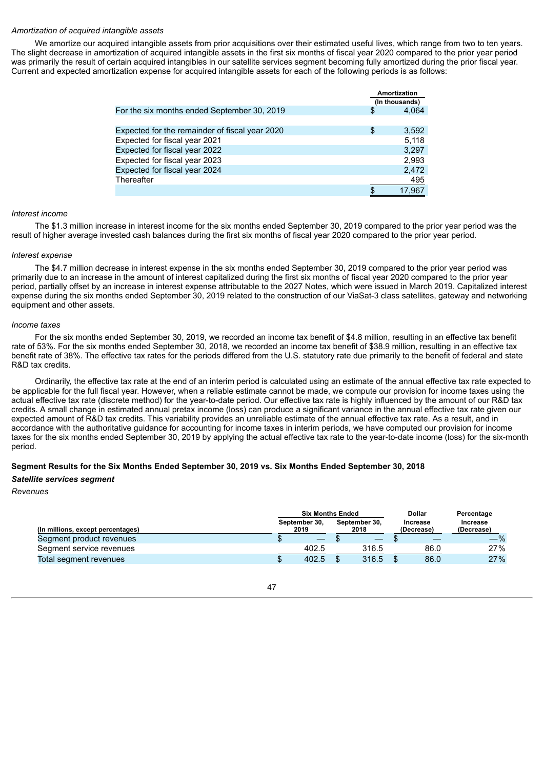#### *Amortization of acquired intangible assets*

We amortize our acquired intangible assets from prior acquisitions over their estimated useful lives, which range from two to ten years. The slight decrease in amortization of acquired intangible assets in the first six months of fiscal year 2020 compared to the prior year period was primarily the result of certain acquired intangibles in our satellite services segment becoming fully amortized during the prior fiscal year. Current and expected amortization expense for acquired intangible assets for each of the following periods is as follows:

|                                                |     | Amortization<br>(In thousands) |
|------------------------------------------------|-----|--------------------------------|
| For the six months ended September 30, 2019    | \$. | 4.064                          |
|                                                |     |                                |
| Expected for the remainder of fiscal year 2020 | S   | 3,592                          |
| Expected for fiscal year 2021                  |     | 5.118                          |
| Expected for fiscal year 2022                  |     | 3,297                          |
| Expected for fiscal year 2023                  |     | 2,993                          |
| Expected for fiscal year 2024                  |     | 2,472                          |
| Thereafter                                     |     | 495                            |
|                                                |     | 17.967                         |

#### *Interest income*

The \$1.3 million increase in interest income for the six months ended September 30, 2019 compared to the prior year period was the result of higher average invested cash balances during the first six months of fiscal year 2020 compared to the prior year period.

# *Interest expense*

The \$4.7 million decrease in interest expense in the six months ended September 30, 2019 compared to the prior year period was primarily due to an increase in the amount of interest capitalized during the first six months of fiscal year 2020 compared to the prior year period, partially offset by an increase in interest expense attributable to the 2027 Notes, which were issued in March 2019. Capitalized interest expense during the six months ended September 30, 2019 related to the construction of our ViaSat-3 class satellites, gateway and networking equipment and other assets.

#### *Income taxes*

For the six months ended September 30, 2019, we recorded an income tax benefit of \$4.8 million, resulting in an effective tax benefit rate of 53%. For the six months ended September 30, 2018, we recorded an income tax benefit of \$38.9 million, resulting in an effective tax benefit rate of 38%. The effective tax rates for the periods differed from the U.S. statutory rate due primarily to the benefit of federal and state R&D tax credits.

Ordinarily, the effective tax rate at the end of an interim period is calculated using an estimate of the annual effective tax rate expected to be applicable for the full fiscal year. However, when a reliable estimate cannot be made, we compute our provision for income taxes using the actual effective tax rate (discrete method) for the year-to-date period. Our effective tax rate is highly influenced by the amount of our R&D tax credits. A small change in estimated annual pretax income (loss) can produce a significant variance in the annual effective tax rate given our expected amount of R&D tax credits. This variability provides an unreliable estimate of the annual effective tax rate. As a result, and in accordance with the authoritative guidance for accounting for income taxes in interim periods, we have computed our provision for income taxes for the six months ended September 30, 2019 by applying the actual effective tax rate to the year-to-date income (loss) for the six-month period.

# **Segment Results for the Six Months Ended September 30, 2019 vs. Six Months Ended September 30, 2018**

# *Satellite services segment*

#### *Revenues*

|                                   |                       | <b>Six Months Ended</b> |                       | <b>Dollar</b> | Percentage             |      |                        |
|-----------------------------------|-----------------------|-------------------------|-----------------------|---------------|------------------------|------|------------------------|
| (In millions, except percentages) | September 30.<br>2019 |                         | September 30.<br>2018 |               | Increase<br>(Decrease) |      | Increase<br>(Decrease) |
| Segment product revenues          |                       |                         |                       | –             |                        |      | $-\%$                  |
| Segment service revenues          |                       | 402.5                   |                       | 316.5         |                        | 86.0 | 27%                    |
| Total segment revenues            |                       | 402.5                   |                       | 316.5         |                        | 86.0 | 27%                    |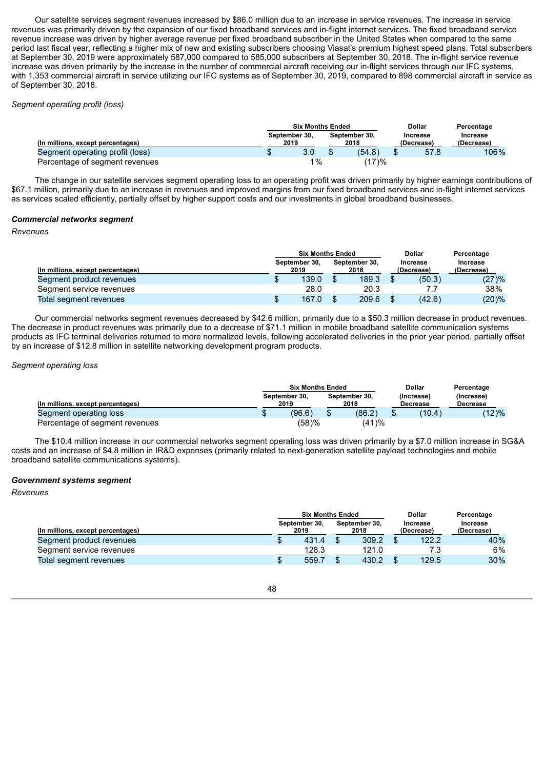Our satellite services segment revenues increased by \$86.0 million due to an increase in service revenues. The increase in service revenues was primarily driven by the expansion of our fixed broadband services and in-flight internet services. The fixed broadband service revenue increase was driven by higher average revenue per fixed broadband subscriber in the United States when compared to the same period last fiscal year, reflecting a higher mix of new and existing subscribers choosing Viasat's premium highest speed plans. Total subscribers at September 30, 2019 were approximately 587,000 compared to 585,000 subscribers at September 30, 2018. The in-flight service revenue increase was driven primarily by the increase in the number of commercial aircraft receiving our in-flight services through our IFC systems, with 1,353 commercial aircraft in service utilizing our IFC systems as of September 30, 2019, compared to 898 commercial aircraft in service as of September 30, 2018.

# *Segment operating profit (loss)*

|                                   | <b>Six Months Ended</b> |               |        |            | <b>Dollar</b> | Percentage      |
|-----------------------------------|-------------------------|---------------|--------|------------|---------------|-----------------|
|                                   | September 30.           | September 30. |        | Increase   |               | <b>Increase</b> |
| (In millions, except percentages) | 2018<br>2019            |               |        | (Decrease) |               | (Decrease)      |
| Segment operating profit (loss)   | 3.0                     |               | (54.8) |            | 57.8          | 106%            |
| Percentage of segment revenues    | $1\%$                   |               | (17)%  |            |               |                 |

The change in our satellite services segment operating loss to an operating profit was driven primarily by higher earnings contributions of \$67.1 million, primarily due to an increase in revenues and improved margins from our fixed broadband services and in-flight internet services as services scaled efficiently, partially offset by higher support costs and our investments in global broadband businesses.

# *Commercial networks segment*

*Revenues*

|                                   |  | <b>Six Months Ended</b> |  |                       | Dollar                 | Percentage             |  |  |
|-----------------------------------|--|-------------------------|--|-----------------------|------------------------|------------------------|--|--|
| (In millions, except percentages) |  | September 30,<br>2019   |  | September 30.<br>2018 | Increase<br>(Decrease) | Increase<br>(Decrease) |  |  |
| Segment product revenues          |  | 139.0                   |  | 189.3                 | (50.3)                 | (27)%                  |  |  |
| Segment service revenues          |  | 28.0                    |  | 20.3                  |                        | 38%                    |  |  |
| Total segment revenues            |  | 167.0                   |  | 209.6                 | (42.6)                 | $(20)\%$               |  |  |

Our commercial networks segment revenues decreased by \$42.6 million, primarily due to a \$50.3 million decrease in product revenues. The decrease in product revenues was primarily due to a decrease of \$71.1 million in mobile broadband satellite communication systems products as IFC terminal deliveries returned to more normalized levels, following accelerated deliveries in the prior year period, partially offset by an increase of \$12.8 million in satellite networking development program products.

#### *Segment operating loss*

|                                   | <b>Six Months Ended</b>        |  |        |          | <b>Dollar</b> | Percentage |  |  |
|-----------------------------------|--------------------------------|--|--------|----------|---------------|------------|--|--|
|                                   | September 30.<br>September 30. |  |        |          | (Increase)    | (Increase) |  |  |
| (In millions, except percentages) | 2019<br>2018                   |  |        | Decrease |               | Decrease   |  |  |
| Segment operating loss            | (96.6)                         |  | (86.2) |          | (10.4)        | (12)%      |  |  |
| Percentage of segment revenues    | (58)%                          |  | (41)%  |          |               |            |  |  |

The \$10.4 million increase in our commercial networks segment operating loss was driven primarily by a \$7.0 million increase in SG&A costs and an increase of \$4.8 million in IR&D expenses (primarily related to next-generation satellite payload technologies and mobile broadband satellite communications systems).

#### *Government systems segment*

*Revenues*

|                                   |                       | <b>Six Months Ended</b> |   |                       | <b>Dollar</b>          |       | Percentage             |  |  |
|-----------------------------------|-----------------------|-------------------------|---|-----------------------|------------------------|-------|------------------------|--|--|
| (In millions, except percentages) | September 30,<br>2019 |                         |   | September 30.<br>2018 | Increase<br>(Decrease) |       | Increase<br>(Decrease) |  |  |
| Segment product revenues          |                       | 431.4                   |   | 309.2                 |                        | 122.2 | 40%                    |  |  |
| Segment service revenues          |                       | 128.3                   |   | 121.0                 |                        | 7.3   | 6%                     |  |  |
| Total segment revenues            |                       | 559.7                   | œ | 430.2                 |                        | 129.5 | 30%                    |  |  |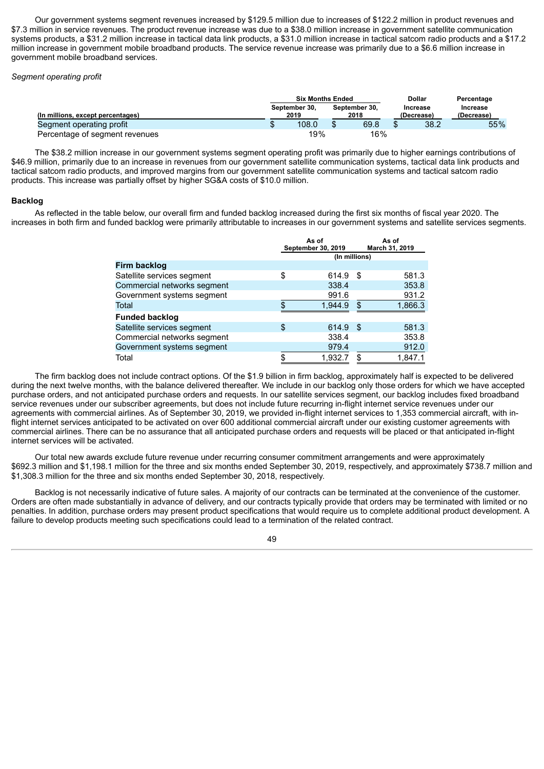Our government systems segment revenues increased by \$129.5 million due to increases of \$122.2 million in product revenues and \$7.3 million in service revenues. The product revenue increase was due to a \$38.0 million increase in government satellite communication systems products, a \$31.2 million increase in tactical data link products, a \$31.0 million increase in tactical satcom radio products and a \$17.2 million increase in government mobile broadband products. The service revenue increase was primarily due to a \$6.6 million increase in government mobile broadband services.

*Segment operating profit*

|                                   |  | <b>Six Months Ended</b> |               |      | Dollar     | Percentage |                 |  |
|-----------------------------------|--|-------------------------|---------------|------|------------|------------|-----------------|--|
|                                   |  | September 30.           | September 30. |      | Increase   |            | <b>Increase</b> |  |
| (In millions, except percentages) |  | 2019<br>2018            |               |      | (Decrease) | (Decrease) |                 |  |
| Segment operating profit          |  | 108.0                   |               | 69.8 |            | 38.2       | 55%             |  |
| Percentage of segment revenues    |  | 19%                     |               | 16%  |            |            |                 |  |

The \$38.2 million increase in our government systems segment operating profit was primarily due to higher earnings contributions of \$46.9 million, primarily due to an increase in revenues from our government satellite communication systems, tactical data link products and tactical satcom radio products, and improved margins from our government satellite communication systems and tactical satcom radio products. This increase was partially offset by higher SG&A costs of \$10.0 million.

# **Backlog**

As reflected in the table below, our overall firm and funded backlog increased during the first six months of fiscal year 2020. The increases in both firm and funded backlog were primarily attributable to increases in our government systems and satellite services segments.

|                             | As of<br>September 30, 2019 |    | As of<br>March 31, 2019 |  |  |  |  |
|-----------------------------|-----------------------------|----|-------------------------|--|--|--|--|
|                             | (In millions)               |    |                         |  |  |  |  |
| Firm backlog                |                             |    |                         |  |  |  |  |
| Satellite services segment  | \$<br>614.9                 | \$ | 581.3                   |  |  |  |  |
| Commercial networks segment | 338.4                       |    | 353.8                   |  |  |  |  |
| Government systems segment  | 991.6                       |    | 931.2                   |  |  |  |  |
| Total                       | \$<br>1,944.9               | \$ | 1,866.3                 |  |  |  |  |
| <b>Funded backlog</b>       |                             |    |                         |  |  |  |  |
| Satellite services segment  | \$<br>614.9                 | \$ | 581.3                   |  |  |  |  |
| Commercial networks segment | 338.4                       |    | 353.8                   |  |  |  |  |
| Government systems segment  | 979.4                       |    | 912.0                   |  |  |  |  |
| Total                       | \$<br>1.932.7               | \$ | 1.847.1                 |  |  |  |  |

The firm backlog does not include contract options. Of the \$1.9 billion in firm backlog, approximately half is expected to be delivered during the next twelve months, with the balance delivered thereafter. We include in our backlog only those orders for which we have accepted purchase orders, and not anticipated purchase orders and requests. In our satellite services segment, our backlog includes fixed broadband service revenues under our subscriber agreements, but does not include future recurring in-flight internet service revenues under our agreements with commercial airlines. As of September 30, 2019, we provided in-flight internet services to 1,353 commercial aircraft, with inflight internet services anticipated to be activated on over 600 additional commercial aircraft under our existing customer agreements with commercial airlines. There can be no assurance that all anticipated purchase orders and requests will be placed or that anticipated in-flight internet services will be activated.

Our total new awards exclude future revenue under recurring consumer commitment arrangements and were approximately \$692.3 million and \$1,198.1 million for the three and six months ended September 30, 2019, respectively, and approximately \$738.7 million and \$1,308.3 million for the three and six months ended September 30, 2018, respectively.

Backlog is not necessarily indicative of future sales. A majority of our contracts can be terminated at the convenience of the customer. Orders are often made substantially in advance of delivery, and our contracts typically provide that orders may be terminated with limited or no penalties. In addition, purchase orders may present product specifications that would require us to complete additional product development. A failure to develop products meeting such specifications could lead to a termination of the related contract.

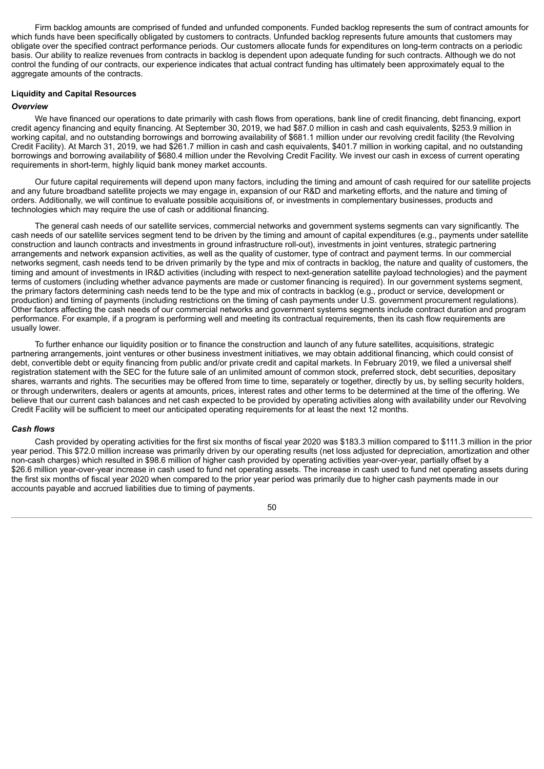Firm backlog amounts are comprised of funded and unfunded components. Funded backlog represents the sum of contract amounts for which funds have been specifically obligated by customers to contracts. Unfunded backlog represents future amounts that customers may obligate over the specified contract performance periods. Our customers allocate funds for expenditures on long-term contracts on a periodic basis. Our ability to realize revenues from contracts in backlog is dependent upon adequate funding for such contracts. Although we do not control the funding of our contracts, our experience indicates that actual contract funding has ultimately been approximately equal to the aggregate amounts of the contracts.

# **Liquidity and Capital Resources**

#### *Overview*

We have financed our operations to date primarily with cash flows from operations, bank line of credit financing, debt financing, export credit agency financing and equity financing. At September 30, 2019, we had \$87.0 million in cash and cash equivalents, \$253.9 million in working capital, and no outstanding borrowings and borrowing availability of \$681.1 million under our revolving credit facility (the Revolving Credit Facility). At March 31, 2019, we had \$261.7 million in cash and cash equivalents, \$401.7 million in working capital, and no outstanding borrowings and borrowing availability of \$680.4 million under the Revolving Credit Facility. We invest our cash in excess of current operating requirements in short-term, highly liquid bank money market accounts.

Our future capital requirements will depend upon many factors, including the timing and amount of cash required for our satellite projects and any future broadband satellite projects we may engage in, expansion of our R&D and marketing efforts, and the nature and timing of orders. Additionally, we will continue to evaluate possible acquisitions of, or investments in complementary businesses, products and technologies which may require the use of cash or additional financing.

The general cash needs of our satellite services, commercial networks and government systems segments can vary significantly. The cash needs of our satellite services segment tend to be driven by the timing and amount of capital expenditures (e.g., payments under satellite construction and launch contracts and investments in ground infrastructure roll-out), investments in joint ventures, strategic partnering arrangements and network expansion activities, as well as the quality of customer, type of contract and payment terms. In our commercial networks segment, cash needs tend to be driven primarily by the type and mix of contracts in backlog, the nature and quality of customers, the timing and amount of investments in IR&D activities (including with respect to next-generation satellite payload technologies) and the payment terms of customers (including whether advance payments are made or customer financing is required). In our government systems segment, the primary factors determining cash needs tend to be the type and mix of contracts in backlog (e.g., product or service, development or production) and timing of payments (including restrictions on the timing of cash payments under U.S. government procurement regulations). Other factors affecting the cash needs of our commercial networks and government systems segments include contract duration and program performance. For example, if a program is performing well and meeting its contractual requirements, then its cash flow requirements are usually lower.

To further enhance our liquidity position or to finance the construction and launch of any future satellites, acquisitions, strategic partnering arrangements, joint ventures or other business investment initiatives, we may obtain additional financing, which could consist of debt, convertible debt or equity financing from public and/or private credit and capital markets. In February 2019, we filed a universal shelf registration statement with the SEC for the future sale of an unlimited amount of common stock, preferred stock, debt securities, depositary shares, warrants and rights. The securities may be offered from time to time, separately or together, directly by us, by selling security holders, or through underwriters, dealers or agents at amounts, prices, interest rates and other terms to be determined at the time of the offering. We believe that our current cash balances and net cash expected to be provided by operating activities along with availability under our Revolving Credit Facility will be sufficient to meet our anticipated operating requirements for at least the next 12 months.

#### *Cash flows*

Cash provided by operating activities for the first six months of fiscal year 2020 was \$183.3 million compared to \$111.3 million in the prior year period. This \$72.0 million increase was primarily driven by our operating results (net loss adjusted for depreciation, amortization and other non-cash charges) which resulted in \$98.6 million of higher cash provided by operating activities year-over-year, partially offset by a \$26.6 million year-over-year increase in cash used to fund net operating assets. The increase in cash used to fund net operating assets during the first six months of fiscal year 2020 when compared to the prior year period was primarily due to higher cash payments made in our accounts payable and accrued liabilities due to timing of payments.

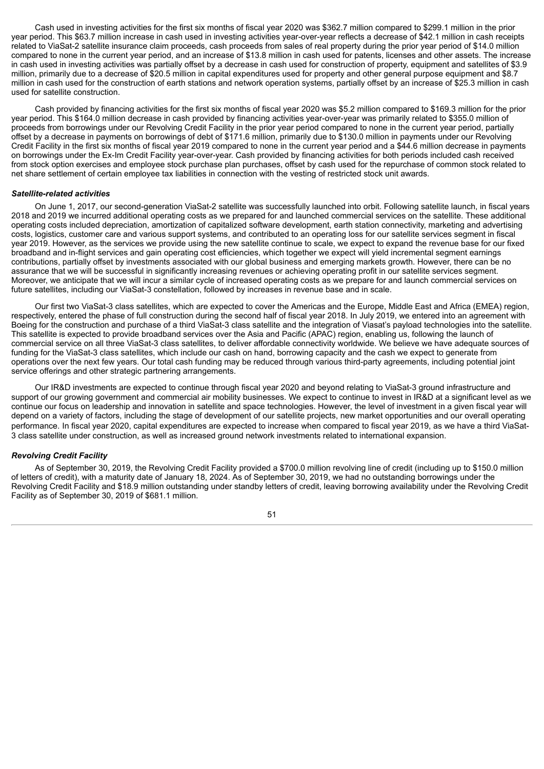Cash used in investing activities for the first six months of fiscal year 2020 was \$362.7 million compared to \$299.1 million in the prior year period. This \$63.7 million increase in cash used in investing activities year-over-year reflects a decrease of \$42.1 million in cash receipts related to ViaSat-2 satellite insurance claim proceeds, cash proceeds from sales of real property during the prior year period of \$14.0 million compared to none in the current year period, and an increase of \$13.8 million in cash used for patents, licenses and other assets. The increase in cash used in investing activities was partially offset by a decrease in cash used for construction of property, equipment and satellites of \$3.9 million, primarily due to a decrease of \$20.5 million in capital expenditures used for property and other general purpose equipment and \$8.7 million in cash used for the construction of earth stations and network operation systems, partially offset by an increase of \$25.3 million in cash used for satellite construction.

Cash provided by financing activities for the first six months of fiscal year 2020 was \$5.2 million compared to \$169.3 million for the prior year period. This \$164.0 million decrease in cash provided by financing activities year-over-year was primarily related to \$355.0 million of proceeds from borrowings under our Revolving Credit Facility in the prior year period compared to none in the current year period, partially offset by a decrease in payments on borrowings of debt of \$171.6 million, primarily due to \$130.0 million in payments under our Revolving Credit Facility in the first six months of fiscal year 2019 compared to none in the current year period and a \$44.6 million decrease in payments on borrowings under the Ex-Im Credit Facility year-over-year. Cash provided by financing activities for both periods included cash received from stock option exercises and employee stock purchase plan purchases, offset by cash used for the repurchase of common stock related to net share settlement of certain employee tax liabilities in connection with the vesting of restricted stock unit awards.

#### *Satellite-related activities*

On June 1, 2017, our second-generation ViaSat-2 satellite was successfully launched into orbit. Following satellite launch, in fiscal years 2018 and 2019 we incurred additional operating costs as we prepared for and launched commercial services on the satellite. These additional operating costs included depreciation, amortization of capitalized software development, earth station connectivity, marketing and advertising costs, logistics, customer care and various support systems, and contributed to an operating loss for our satellite services segment in fiscal year 2019. However, as the services we provide using the new satellite continue to scale, we expect to expand the revenue base for our fixed broadband and in-flight services and gain operating cost efficiencies, which together we expect will yield incremental segment earnings contributions, partially offset by investments associated with our global business and emerging markets growth. However, there can be no assurance that we will be successful in significantly increasing revenues or achieving operating profit in our satellite services segment. Moreover, we anticipate that we will incur a similar cycle of increased operating costs as we prepare for and launch commercial services on future satellites, including our ViaSat-3 constellation, followed by increases in revenue base and in scale.

Our first two ViaSat-3 class satellites, which are expected to cover the Americas and the Europe, Middle East and Africa (EMEA) region, respectively, entered the phase of full construction during the second half of fiscal year 2018. In July 2019, we entered into an agreement with Boeing for the construction and purchase of a third ViaSat-3 class satellite and the integration of Viasat's payload technologies into the satellite. This satellite is expected to provide broadband services over the Asia and Pacific (APAC) region, enabling us, following the launch of commercial service on all three ViaSat-3 class satellites, to deliver affordable connectivity worldwide. We believe we have adequate sources of funding for the ViaSat-3 class satellites, which include our cash on hand, borrowing capacity and the cash we expect to generate from operations over the next few years. Our total cash funding may be reduced through various third-party agreements, including potential joint service offerings and other strategic partnering arrangements.

Our IR&D investments are expected to continue through fiscal year 2020 and beyond relating to ViaSat-3 ground infrastructure and support of our growing government and commercial air mobility businesses. We expect to continue to invest in IR&D at a significant level as we continue our focus on leadership and innovation in satellite and space technologies. However, the level of investment in a given fiscal year will depend on a variety of factors, including the stage of development of our satellite projects, new market opportunities and our overall operating performance. In fiscal year 2020, capital expenditures are expected to increase when compared to fiscal year 2019, as we have a third ViaSat-3 class satellite under construction, as well as increased ground network investments related to international expansion.

#### *Revolving Credit Facility*

As of September 30, 2019, the Revolving Credit Facility provided a \$700.0 million revolving line of credit (including up to \$150.0 million of letters of credit), with a maturity date of January 18, 2024. As of September 30, 2019, we had no outstanding borrowings under the Revolving Credit Facility and \$18.9 million outstanding under standby letters of credit, leaving borrowing availability under the Revolving Credit Facility as of September 30, 2019 of \$681.1 million.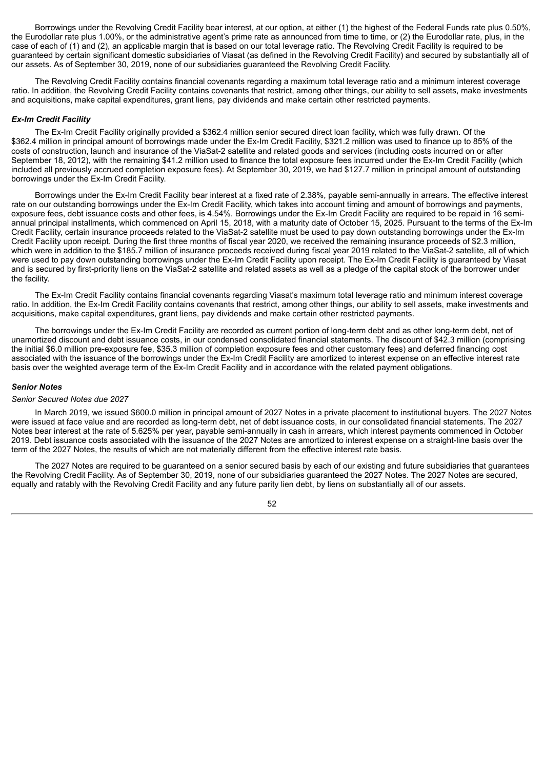Borrowings under the Revolving Credit Facility bear interest, at our option, at either (1) the highest of the Federal Funds rate plus 0.50%, the Eurodollar rate plus 1.00%, or the administrative agent's prime rate as announced from time to time, or (2) the Eurodollar rate, plus, in the case of each of (1) and (2), an applicable margin that is based on our total leverage ratio. The Revolving Credit Facility is required to be guaranteed by certain significant domestic subsidiaries of Viasat (as defined in the Revolving Credit Facility) and secured by substantially all of our assets. As of September 30, 2019, none of our subsidiaries guaranteed the Revolving Credit Facility.

The Revolving Credit Facility contains financial covenants regarding a maximum total leverage ratio and a minimum interest coverage ratio. In addition, the Revolving Credit Facility contains covenants that restrict, among other things, our ability to sell assets, make investments and acquisitions, make capital expenditures, grant liens, pay dividends and make certain other restricted payments.

# *Ex-Im Credit Facility*

The Ex-Im Credit Facility originally provided a \$362.4 million senior secured direct loan facility, which was fully drawn. Of the \$362.4 million in principal amount of borrowings made under the Ex-Im Credit Facility, \$321.2 million was used to finance up to 85% of the costs of construction, launch and insurance of the ViaSat-2 satellite and related goods and services (including costs incurred on or after September 18, 2012), with the remaining \$41.2 million used to finance the total exposure fees incurred under the Ex-Im Credit Facility (which included all previously accrued completion exposure fees). At September 30, 2019, we had \$127.7 million in principal amount of outstanding borrowings under the Ex-Im Credit Facility.

Borrowings under the Ex-Im Credit Facility bear interest at a fixed rate of 2.38%, payable semi-annually in arrears. The effective interest rate on our outstanding borrowings under the Ex-Im Credit Facility, which takes into account timing and amount of borrowings and payments, exposure fees, debt issuance costs and other fees, is 4.54%. Borrowings under the Ex-Im Credit Facility are required to be repaid in 16 semiannual principal installments, which commenced on April 15, 2018, with a maturity date of October 15, 2025. Pursuant to the terms of the Ex-Im Credit Facility, certain insurance proceeds related to the ViaSat-2 satellite must be used to pay down outstanding borrowings under the Ex-Im Credit Facility upon receipt. During the first three months of fiscal year 2020, we received the remaining insurance proceeds of \$2.3 million, which were in addition to the \$185.7 million of insurance proceeds received during fiscal year 2019 related to the ViaSat-2 satellite, all of which were used to pay down outstanding borrowings under the Ex-Im Credit Facility upon receipt. The Ex-Im Credit Facility is guaranteed by Viasat and is secured by first-priority liens on the ViaSat-2 satellite and related assets as well as a pledge of the capital stock of the borrower under the facility.

The Ex-Im Credit Facility contains financial covenants regarding Viasat's maximum total leverage ratio and minimum interest coverage ratio. In addition, the Ex-Im Credit Facility contains covenants that restrict, among other things, our ability to sell assets, make investments and acquisitions, make capital expenditures, grant liens, pay dividends and make certain other restricted payments.

The borrowings under the Ex-Im Credit Facility are recorded as current portion of long-term debt and as other long-term debt, net of unamortized discount and debt issuance costs, in our condensed consolidated financial statements. The discount of \$42.3 million (comprising the initial \$6.0 million pre-exposure fee, \$35.3 million of completion exposure fees and other customary fees) and deferred financing cost associated with the issuance of the borrowings under the Ex-Im Credit Facility are amortized to interest expense on an effective interest rate basis over the weighted average term of the Ex-Im Credit Facility and in accordance with the related payment obligations.

# *Senior Notes*

#### *Senior Secured Notes due 2027*

In March 2019, we issued \$600.0 million in principal amount of 2027 Notes in a private placement to institutional buyers. The 2027 Notes were issued at face value and are recorded as long-term debt, net of debt issuance costs, in our consolidated financial statements. The 2027 Notes bear interest at the rate of 5.625% per year, payable semi-annually in cash in arrears, which interest payments commenced in October 2019. Debt issuance costs associated with the issuance of the 2027 Notes are amortized to interest expense on a straight-line basis over the term of the 2027 Notes, the results of which are not materially different from the effective interest rate basis.

The 2027 Notes are required to be guaranteed on a senior secured basis by each of our existing and future subsidiaries that guarantees the Revolving Credit Facility. As of September 30, 2019, none of our subsidiaries guaranteed the 2027 Notes. The 2027 Notes are secured, equally and ratably with the Revolving Credit Facility and any future parity lien debt, by liens on substantially all of our assets.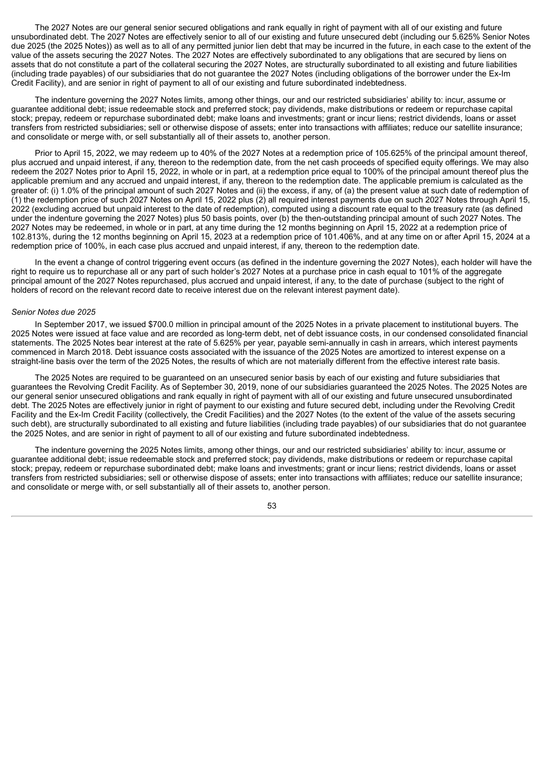The 2027 Notes are our general senior secured obligations and rank equally in right of payment with all of our existing and future unsubordinated debt. The 2027 Notes are effectively senior to all of our existing and future unsecured debt (including our 5.625% Senior Notes due 2025 (the 2025 Notes)) as well as to all of any permitted junior lien debt that may be incurred in the future, in each case to the extent of the value of the assets securing the 2027 Notes. The 2027 Notes are effectively subordinated to any obligations that are secured by liens on assets that do not constitute a part of the collateral securing the 2027 Notes, are structurally subordinated to all existing and future liabilities (including trade payables) of our subsidiaries that do not guarantee the 2027 Notes (including obligations of the borrower under the Ex-Im Credit Facility), and are senior in right of payment to all of our existing and future subordinated indebtedness.

The indenture governing the 2027 Notes limits, among other things, our and our restricted subsidiaries' ability to: incur, assume or guarantee additional debt; issue redeemable stock and preferred stock; pay dividends, make distributions or redeem or repurchase capital stock; prepay, redeem or repurchase subordinated debt; make loans and investments; grant or incur liens; restrict dividends, loans or asset transfers from restricted subsidiaries; sell or otherwise dispose of assets; enter into transactions with affiliates; reduce our satellite insurance; and consolidate or merge with, or sell substantially all of their assets to, another person.

Prior to April 15, 2022, we may redeem up to 40% of the 2027 Notes at a redemption price of 105.625% of the principal amount thereof, plus accrued and unpaid interest, if any, thereon to the redemption date, from the net cash proceeds of specified equity offerings. We may also redeem the 2027 Notes prior to April 15, 2022, in whole or in part, at a redemption price equal to 100% of the principal amount thereof plus the applicable premium and any accrued and unpaid interest, if any, thereon to the redemption date. The applicable premium is calculated as the greater of: (i) 1.0% of the principal amount of such 2027 Notes and (ii) the excess, if any, of (a) the present value at such date of redemption of (1) the redemption price of such 2027 Notes on April 15, 2022 plus (2) all required interest payments due on such 2027 Notes through April 15, 2022 (excluding accrued but unpaid interest to the date of redemption), computed using a discount rate equal to the treasury rate (as defined under the indenture governing the 2027 Notes) plus 50 basis points, over (b) the then-outstanding principal amount of such 2027 Notes. The 2027 Notes may be redeemed, in whole or in part, at any time during the 12 months beginning on April 15, 2022 at a redemption price of 102.813%, during the 12 months beginning on April 15, 2023 at a redemption price of 101.406%, and at any time on or after April 15, 2024 at a redemption price of 100%, in each case plus accrued and unpaid interest, if any, thereon to the redemption date.

In the event a change of control triggering event occurs (as defined in the indenture governing the 2027 Notes), each holder will have the right to require us to repurchase all or any part of such holder's 2027 Notes at a purchase price in cash equal to 101% of the aggregate principal amount of the 2027 Notes repurchased, plus accrued and unpaid interest, if any, to the date of purchase (subject to the right of holders of record on the relevant record date to receive interest due on the relevant interest payment date).

#### *Senior Notes due 2025*

In September 2017, we issued \$700.0 million in principal amount of the 2025 Notes in a private placement to institutional buyers. The 2025 Notes were issued at face value and are recorded as long-term debt, net of debt issuance costs, in our condensed consolidated financial statements. The 2025 Notes bear interest at the rate of 5.625% per year, payable semi-annually in cash in arrears, which interest payments commenced in March 2018. Debt issuance costs associated with the issuance of the 2025 Notes are amortized to interest expense on a straight-line basis over the term of the 2025 Notes, the results of which are not materially different from the effective interest rate basis.

The 2025 Notes are required to be guaranteed on an unsecured senior basis by each of our existing and future subsidiaries that guarantees the Revolving Credit Facility. As of September 30, 2019, none of our subsidiaries guaranteed the 2025 Notes. The 2025 Notes are our general senior unsecured obligations and rank equally in right of payment with all of our existing and future unsecured unsubordinated debt. The 2025 Notes are effectively junior in right of payment to our existing and future secured debt, including under the Revolving Credit Facility and the Ex-Im Credit Facility (collectively, the Credit Facilities) and the 2027 Notes (to the extent of the value of the assets securing such debt), are structurally subordinated to all existing and future liabilities (including trade payables) of our subsidiaries that do not guarantee the 2025 Notes, and are senior in right of payment to all of our existing and future subordinated indebtedness.

The indenture governing the 2025 Notes limits, among other things, our and our restricted subsidiaries' ability to: incur, assume or guarantee additional debt; issue redeemable stock and preferred stock; pay dividends, make distributions or redeem or repurchase capital stock; prepay, redeem or repurchase subordinated debt; make loans and investments; grant or incur liens; restrict dividends, loans or asset transfers from restricted subsidiaries; sell or otherwise dispose of assets; enter into transactions with affiliates; reduce our satellite insurance; and consolidate or merge with, or sell substantially all of their assets to, another person.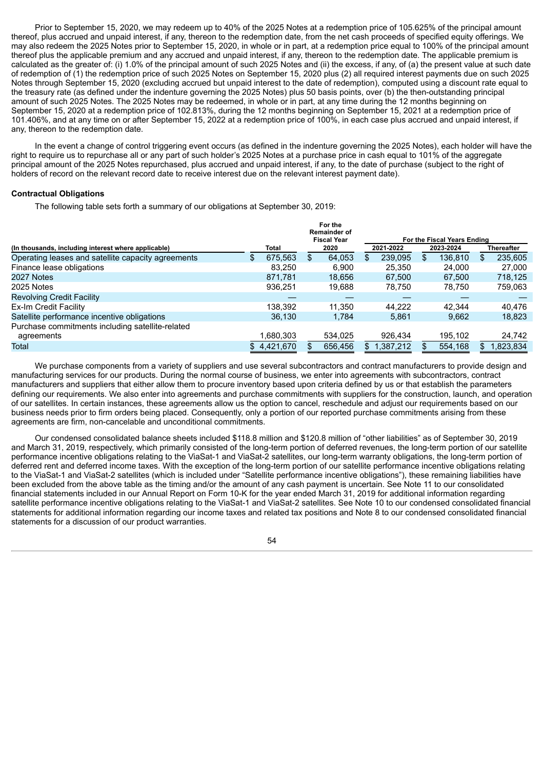Prior to September 15, 2020, we may redeem up to 40% of the 2025 Notes at a redemption price of 105.625% of the principal amount thereof, plus accrued and unpaid interest, if any, thereon to the redemption date, from the net cash proceeds of specified equity offerings. We may also redeem the 2025 Notes prior to September 15, 2020, in whole or in part, at a redemption price equal to 100% of the principal amount thereof plus the applicable premium and any accrued and unpaid interest, if any, thereon to the redemption date. The applicable premium is calculated as the greater of: (i) 1.0% of the principal amount of such 2025 Notes and (ii) the excess, if any, of (a) the present value at such date of redemption of (1) the redemption price of such 2025 Notes on September 15, 2020 plus (2) all required interest payments due on such 2025 Notes through September 15, 2020 (excluding accrued but unpaid interest to the date of redemption), computed using a discount rate equal to the treasury rate (as defined under the indenture governing the 2025 Notes) plus 50 basis points, over (b) the then-outstanding principal amount of such 2025 Notes. The 2025 Notes may be redeemed, in whole or in part, at any time during the 12 months beginning on September 15, 2020 at a redemption price of 102.813%, during the 12 months beginning on September 15, 2021 at a redemption price of 101.406%, and at any time on or after September 15, 2022 at a redemption price of 100%, in each case plus accrued and unpaid interest, if any, thereon to the redemption date.

In the event a change of control triggering event occurs (as defined in the indenture governing the 2025 Notes), each holder will have the right to require us to repurchase all or any part of such holder's 2025 Notes at a purchase price in cash equal to 101% of the aggregate principal amount of the 2025 Notes repurchased, plus accrued and unpaid interest, if any, to the date of purchase (subject to the right of holders of record on the relevant record date to receive interest due on the relevant interest payment date).

# **Contractual Obligations**

The following table sets forth a summary of our obligations at September 30, 2019:

|                                                     |           |   | For the<br><b>Remainder of</b> |   |                             |     |           |  |                   |
|-----------------------------------------------------|-----------|---|--------------------------------|---|-----------------------------|-----|-----------|--|-------------------|
|                                                     |           |   | <b>Fiscal Year</b>             |   | For the Fiscal Years Ending |     |           |  |                   |
| (In thousands, including interest where applicable) | Total     |   | 2020                           |   | 2021-2022                   |     | 2023-2024 |  | <b>Thereafter</b> |
| Operating leases and satellite capacity agreements  | 675,563   | S | 64,053                         | S | 239.095                     | \$. | 136,810   |  | 235,605           |
| Finance lease obligations                           | 83.250    |   | 6,900                          |   | 25,350                      |     | 24.000    |  | 27,000            |
| 2027 Notes                                          | 871.781   |   | 18,656                         |   | 67,500                      |     | 67.500    |  | 718,125           |
| 2025 Notes                                          | 936,251   |   | 19.688                         |   | 78.750                      |     | 78.750    |  | 759,063           |
| <b>Revolving Credit Facility</b>                    |           |   |                                |   |                             |     |           |  |                   |
| Ex-Im Credit Facility                               | 138.392   |   | 11.350                         |   | 44.222                      |     | 42.344    |  | 40,476            |
| Satellite performance incentive obligations         | 36.130    |   | 1.784                          |   | 5.861                       |     | 9,662     |  | 18,823            |
| Purchase commitments including satellite-related    |           |   |                                |   |                             |     |           |  |                   |
| agreements                                          | 1,680,303 |   | 534,025                        |   | 926,434                     |     | 195,102   |  | 24,742            |
| Total                                               | 4,421,670 |   | 656,456                        |   | 1,387,212                   |     | 554.168   |  | 1,823,834         |

We purchase components from a variety of suppliers and use several subcontractors and contract manufacturers to provide design and manufacturing services for our products. During the normal course of business, we enter into agreements with subcontractors, contract manufacturers and suppliers that either allow them to procure inventory based upon criteria defined by us or that establish the parameters defining our requirements. We also enter into agreements and purchase commitments with suppliers for the construction, launch, and operation of our satellites. In certain instances, these agreements allow us the option to cancel, reschedule and adjust our requirements based on our business needs prior to firm orders being placed. Consequently, only a portion of our reported purchase commitments arising from these agreements are firm, non-cancelable and unconditional commitments.

Our condensed consolidated balance sheets included \$118.8 million and \$120.8 million of "other liabilities" as of September 30, 2019 and March 31, 2019, respectively, which primarily consisted of the long-term portion of deferred revenues, the long-term portion of our satellite performance incentive obligations relating to the ViaSat-1 and ViaSat-2 satellites, our long-term warranty obligations, the long-term portion of deferred rent and deferred income taxes. With the exception of the long-term portion of our satellite performance incentive obligations relating to the ViaSat-1 and ViaSat-2 satellites (which is included under "Satellite performance incentive obligations"), these remaining liabilities have been excluded from the above table as the timing and/or the amount of any cash payment is uncertain. See Note 11 to our consolidated financial statements included in our Annual Report on Form 10-K for the year ended March 31, 2019 for additional information regarding satellite performance incentive obligations relating to the ViaSat-1 and ViaSat-2 satellites. See Note 10 to our condensed consolidated financial statements for additional information regarding our income taxes and related tax positions and Note 8 to our condensed consolidated financial statements for a discussion of our product warranties.

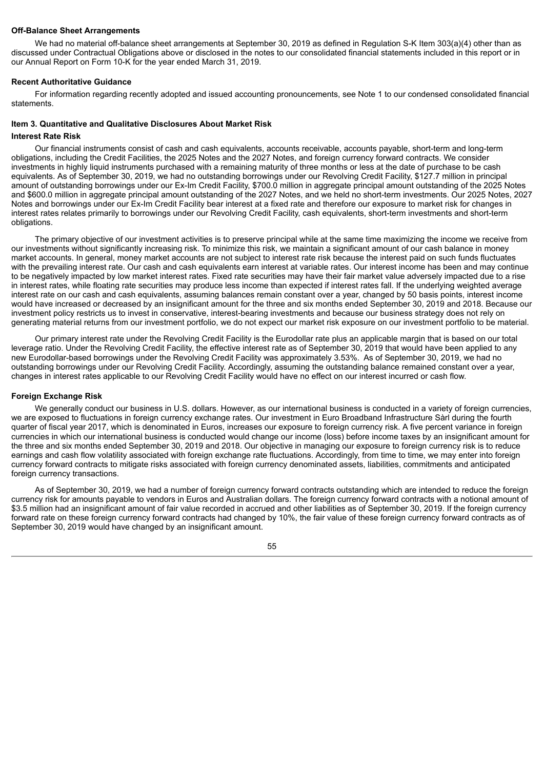#### **Off-Balance Sheet Arrangements**

We had no material off-balance sheet arrangements at September 30, 2019 as defined in Regulation S-K Item 303(a)(4) other than as discussed under Contractual Obligations above or disclosed in the notes to our consolidated financial statements included in this report or in our Annual Report on Form 10-K for the year ended March 31, 2019.

#### **Recent Authoritative Guidance**

For information regarding recently adopted and issued accounting pronouncements, see Note 1 to our condensed consolidated financial statements.

# <span id="page-54-0"></span>**Item 3. Quantitative and Qualitative Disclosures About Market Risk**

#### **Interest Rate Risk**

Our financial instruments consist of cash and cash equivalents, accounts receivable, accounts payable, short-term and long-term obligations, including the Credit Facilities, the 2025 Notes and the 2027 Notes, and foreign currency forward contracts. We consider investments in highly liquid instruments purchased with a remaining maturity of three months or less at the date of purchase to be cash equivalents. As of September 30, 2019, we had no outstanding borrowings under our Revolving Credit Facility, \$127.7 million in principal amount of outstanding borrowings under our Ex-Im Credit Facility, \$700.0 million in aggregate principal amount outstanding of the 2025 Notes and \$600.0 million in aggregate principal amount outstanding of the 2027 Notes, and we held no short-term investments. Our 2025 Notes, 2027 Notes and borrowings under our Ex-Im Credit Facility bear interest at a fixed rate and therefore our exposure to market risk for changes in interest rates relates primarily to borrowings under our Revolving Credit Facility, cash equivalents, short-term investments and short-term obligations.

The primary objective of our investment activities is to preserve principal while at the same time maximizing the income we receive from our investments without significantly increasing risk. To minimize this risk, we maintain a significant amount of our cash balance in money market accounts. In general, money market accounts are not subject to interest rate risk because the interest paid on such funds fluctuates with the prevailing interest rate. Our cash and cash equivalents earn interest at variable rates. Our interest income has been and may continue to be negatively impacted by low market interest rates. Fixed rate securities may have their fair market value adversely impacted due to a rise in interest rates, while floating rate securities may produce less income than expected if interest rates fall. If the underlying weighted average interest rate on our cash and cash equivalents, assuming balances remain constant over a year, changed by 50 basis points, interest income would have increased or decreased by an insignificant amount for the three and six months ended September 30, 2019 and 2018. Because our investment policy restricts us to invest in conservative, interest-bearing investments and because our business strategy does not rely on generating material returns from our investment portfolio, we do not expect our market risk exposure on our investment portfolio to be material.

Our primary interest rate under the Revolving Credit Facility is the Eurodollar rate plus an applicable margin that is based on our total leverage ratio. Under the Revolving Credit Facility, the effective interest rate as of September 30, 2019 that would have been applied to any new Eurodollar-based borrowings under the Revolving Credit Facility was approximately 3.53%. As of September 30, 2019, we had no outstanding borrowings under our Revolving Credit Facility. Accordingly, assuming the outstanding balance remained constant over a year, changes in interest rates applicable to our Revolving Credit Facility would have no effect on our interest incurred or cash flow.

# **Foreign Exchange Risk**

We generally conduct our business in U.S. dollars. However, as our international business is conducted in a variety of foreign currencies, we are exposed to fluctuations in foreign currency exchange rates. Our investment in Euro Broadband Infrastructure Sàrl during the fourth quarter of fiscal year 2017, which is denominated in Euros, increases our exposure to foreign currency risk. A five percent variance in foreign currencies in which our international business is conducted would change our income (loss) before income taxes by an insignificant amount for the three and six months ended September 30, 2019 and 2018. Our objective in managing our exposure to foreign currency risk is to reduce earnings and cash flow volatility associated with foreign exchange rate fluctuations. Accordingly, from time to time, we may enter into foreign currency forward contracts to mitigate risks associated with foreign currency denominated assets, liabilities, commitments and anticipated foreign currency transactions.

As of September 30, 2019, we had a number of foreign currency forward contracts outstanding which are intended to reduce the foreign currency risk for amounts payable to vendors in Euros and Australian dollars. The foreign currency forward contracts with a notional amount of \$3.5 million had an insignificant amount of fair value recorded in accrued and other liabilities as of September 30, 2019. If the foreign currency forward rate on these foreign currency forward contracts had changed by 10%, the fair value of these foreign currency forward contracts as of September 30, 2019 would have changed by an insignificant amount.

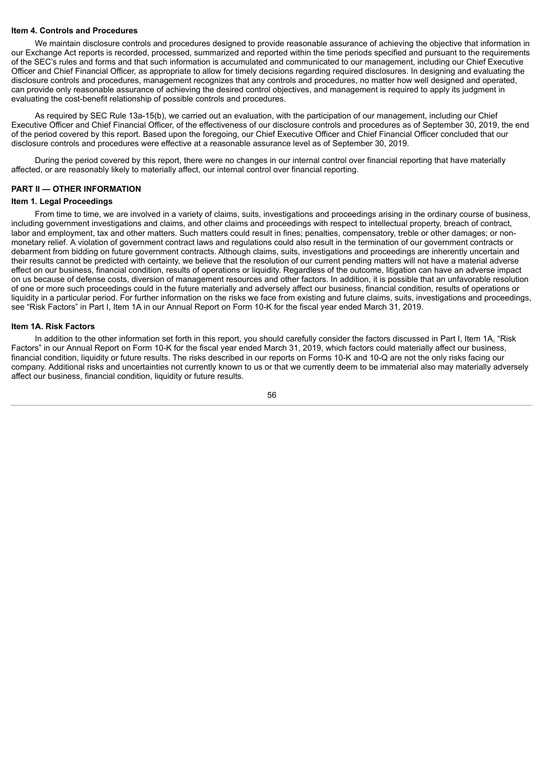#### <span id="page-55-0"></span>**Item 4. Controls and Procedures**

We maintain disclosure controls and procedures designed to provide reasonable assurance of achieving the objective that information in our Exchange Act reports is recorded, processed, summarized and reported within the time periods specified and pursuant to the requirements of the SEC's rules and forms and that such information is accumulated and communicated to our management, including our Chief Executive Officer and Chief Financial Officer, as appropriate to allow for timely decisions regarding required disclosures. In designing and evaluating the disclosure controls and procedures, management recognizes that any controls and procedures, no matter how well designed and operated, can provide only reasonable assurance of achieving the desired control objectives, and management is required to apply its judgment in evaluating the cost-benefit relationship of possible controls and procedures.

As required by SEC Rule 13a-15(b), we carried out an evaluation, with the participation of our management, including our Chief Executive Officer and Chief Financial Officer, of the effectiveness of our disclosure controls and procedures as of September 30, 2019, the end of the period covered by this report. Based upon the foregoing, our Chief Executive Officer and Chief Financial Officer concluded that our disclosure controls and procedures were effective at a reasonable assurance level as of September 30, 2019.

During the period covered by this report, there were no changes in our internal control over financial reporting that have materially affected, or are reasonably likely to materially affect, our internal control over financial reporting.

# <span id="page-55-1"></span>**PART II — OTHER INFORMATION**

# <span id="page-55-2"></span>**Item 1. Legal Proceedings**

From time to time, we are involved in a variety of claims, suits, investigations and proceedings arising in the ordinary course of business, including government investigations and claims, and other claims and proceedings with respect to intellectual property, breach of contract, labor and employment, tax and other matters. Such matters could result in fines; penalties, compensatory, treble or other damages; or nonmonetary relief. A violation of government contract laws and regulations could also result in the termination of our government contracts or debarment from bidding on future government contracts. Although claims, suits, investigations and proceedings are inherently uncertain and their results cannot be predicted with certainty, we believe that the resolution of our current pending matters will not have a material adverse effect on our business, financial condition, results of operations or liquidity. Regardless of the outcome, litigation can have an adverse impact on us because of defense costs, diversion of management resources and other factors. In addition, it is possible that an unfavorable resolution of one or more such proceedings could in the future materially and adversely affect our business, financial condition, results of operations or liquidity in a particular period. For further information on the risks we face from existing and future claims, suits, investigations and proceedings, see "Risk Factors" in Part I, Item 1A in our Annual Report on Form 10-K for the fiscal year ended March 31, 2019.

#### <span id="page-55-3"></span>**Item 1A. Risk Factors**

In addition to the other information set forth in this report, you should carefully consider the factors discussed in Part I, Item 1A, "Risk Factors" in our Annual Report on Form 10-K for the fiscal year ended March 31, 2019, which factors could materially affect our business, financial condition, liquidity or future results. The risks described in our reports on Forms 10-K and 10-Q are not the only risks facing our company. Additional risks and uncertainties not currently known to us or that we currently deem to be immaterial also may materially adversely affect our business, financial condition, liquidity or future results.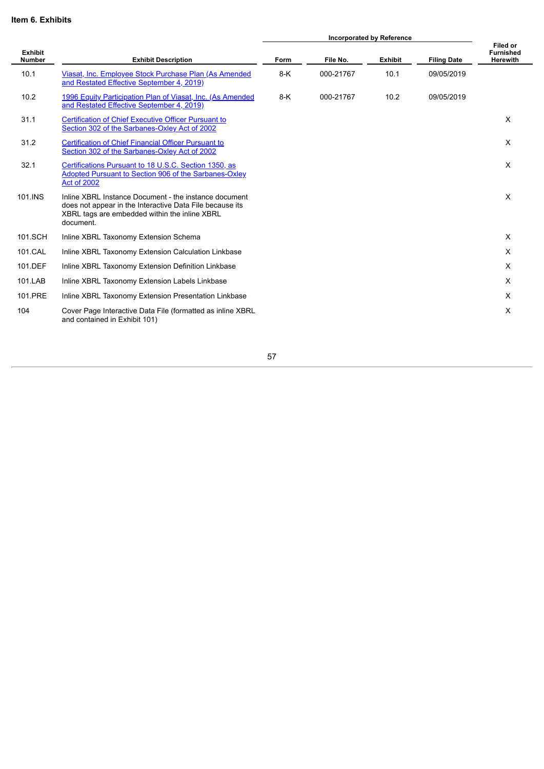# <span id="page-56-0"></span>**Item 6. Exhibits**

| <b>Exhibit</b><br>Number | <b>Exhibit Description</b>                                                                                                                                                      | Form  | File No.  | <b>Exhibit</b> | <b>Filing Date</b> | Filed or<br><b>Furnished</b><br><b>Herewith</b> |
|--------------------------|---------------------------------------------------------------------------------------------------------------------------------------------------------------------------------|-------|-----------|----------------|--------------------|-------------------------------------------------|
| 10.1                     | Viasat, Inc. Employee Stock Purchase Plan (As Amended<br>and Restated Effective September 4, 2019)                                                                              | $8-K$ | 000-21767 | 10.1           | 09/05/2019         |                                                 |
| 10.2                     | 1996 Equity Participation Plan of Viasat, Inc. (As Amended<br>and Restated Effective September 4, 2019)                                                                         | $8-K$ | 000-21767 | 10.2           | 09/05/2019         |                                                 |
| 31.1                     | <b>Certification of Chief Executive Officer Pursuant to</b><br>Section 302 of the Sarbanes-Oxley Act of 2002                                                                    |       |           |                |                    | X                                               |
| 31.2                     | <b>Certification of Chief Financial Officer Pursuant to</b><br>Section 302 of the Sarbanes-Oxley Act of 2002                                                                    |       |           |                |                    | X                                               |
| 32.1                     | Certifications Pursuant to 18 U.S.C. Section 1350, as<br>Adopted Pursuant to Section 906 of the Sarbanes-Oxley<br><b>Act of 2002</b>                                            |       |           |                |                    | $\times$                                        |
| 101.INS                  | Inline XBRL Instance Document - the instance document<br>does not appear in the Interactive Data File because its<br>XBRL tags are embedded within the inline XBRL<br>document. |       |           |                |                    | X                                               |
| 101.SCH                  | Inline XBRL Taxonomy Extension Schema                                                                                                                                           |       |           |                |                    | $\mathsf{X}$                                    |
| 101.CAL                  | Inline XBRL Taxonomy Extension Calculation Linkbase                                                                                                                             |       |           |                |                    | X                                               |
| 101.DEF                  | Inline XBRL Taxonomy Extension Definition Linkbase                                                                                                                              |       |           |                |                    | $\times$                                        |
| 101.LAB                  | Inline XBRL Taxonomy Extension Labels Linkbase                                                                                                                                  |       |           |                |                    | Χ                                               |
| 101.PRE                  | Inline XBRL Taxonomy Extension Presentation Linkbase                                                                                                                            |       |           |                |                    | X                                               |
| 104                      | Cover Page Interactive Data File (formatted as inline XBRL<br>and contained in Exhibit 101)                                                                                     |       |           |                |                    | X                                               |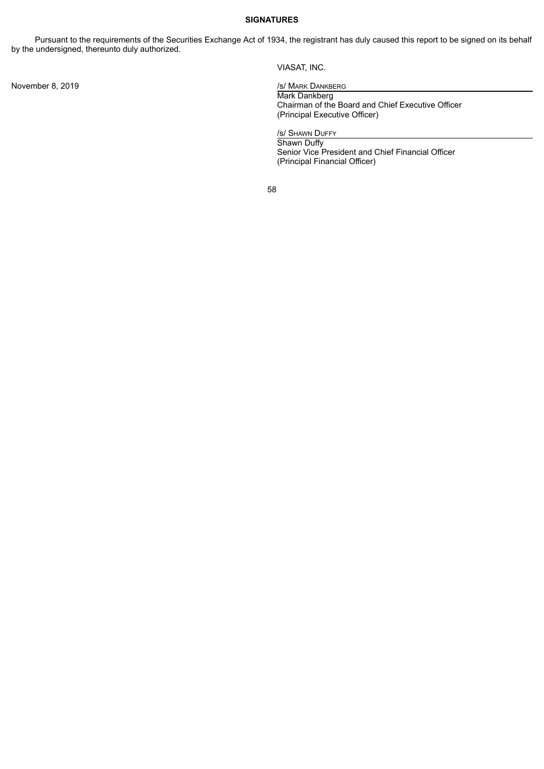# **SIGNATURES**

<span id="page-57-0"></span>Pursuant to the requirements of the Securities Exchange Act of 1934, the registrant has duly caused this report to be signed on its behalf by the undersigned, thereunto duly authorized.

November 8, 2019 / November 8, 2019

VIASAT, INC.

Mark Dankberg Chairman of the Board and Chief Executive Officer (Principal Executive Officer)

/s/ SHAWN DUFFY

Shawn Duffy Senior Vice President and Chief Financial Officer (Principal Financial Officer)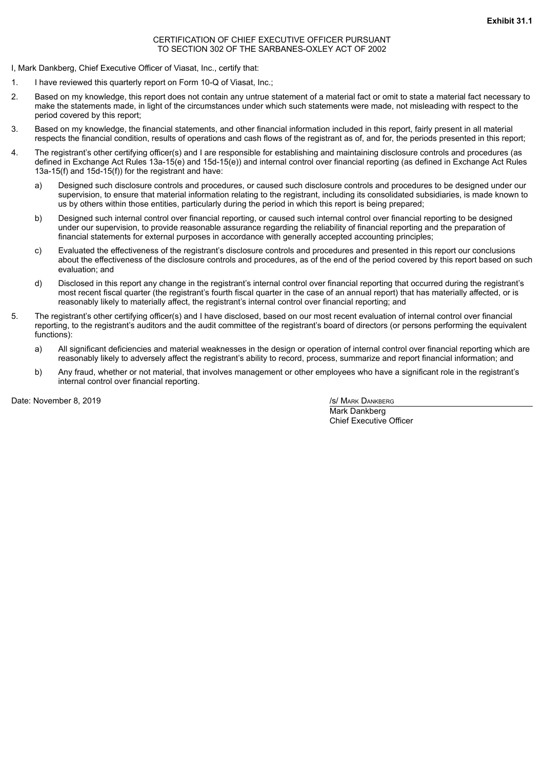# CERTIFICATION OF CHIEF EXECUTIVE OFFICER PURSUANT TO SECTION 302 OF THE SARBANES-OXLEY ACT OF 2002

<span id="page-58-0"></span>I, Mark Dankberg, Chief Executive Officer of Viasat, Inc., certify that:

- 1. I have reviewed this quarterly report on Form 10-Q of Viasat, Inc.;
- 2. Based on my knowledge, this report does not contain any untrue statement of a material fact or omit to state a material fact necessary to make the statements made, in light of the circumstances under which such statements were made, not misleading with respect to the period covered by this report;
- 3. Based on my knowledge, the financial statements, and other financial information included in this report, fairly present in all material respects the financial condition, results of operations and cash flows of the registrant as of, and for, the periods presented in this report;
- 4. The registrant's other certifying officer(s) and I are responsible for establishing and maintaining disclosure controls and procedures (as defined in Exchange Act Rules 13a-15(e) and 15d-15(e)) and internal control over financial reporting (as defined in Exchange Act Rules 13a-15(f) and 15d-15(f)) for the registrant and have:
	- a) Designed such disclosure controls and procedures, or caused such disclosure controls and procedures to be designed under our supervision, to ensure that material information relating to the registrant, including its consolidated subsidiaries, is made known to us by others within those entities, particularly during the period in which this report is being prepared;
	- b) Designed such internal control over financial reporting, or caused such internal control over financial reporting to be designed under our supervision, to provide reasonable assurance regarding the reliability of financial reporting and the preparation of financial statements for external purposes in accordance with generally accepted accounting principles;
	- c) Evaluated the effectiveness of the registrant's disclosure controls and procedures and presented in this report our conclusions about the effectiveness of the disclosure controls and procedures, as of the end of the period covered by this report based on such evaluation; and
	- d) Disclosed in this report any change in the registrant's internal control over financial reporting that occurred during the registrant's most recent fiscal quarter (the registrant's fourth fiscal quarter in the case of an annual report) that has materially affected, or is reasonably likely to materially affect, the registrant's internal control over financial reporting; and
- 5. The registrant's other certifying officer(s) and I have disclosed, based on our most recent evaluation of internal control over financial reporting, to the registrant's auditors and the audit committee of the registrant's board of directors (or persons performing the equivalent functions):
	- a) All significant deficiencies and material weaknesses in the design or operation of internal control over financial reporting which are reasonably likely to adversely affect the registrant's ability to record, process, summarize and report financial information; and
	- b) Any fraud, whether or not material, that involves management or other employees who have a significant role in the registrant's internal control over financial reporting.

**Date: November 8, 2019** *November 8, 2019* 

Mark Dankberg Chief Executive Officer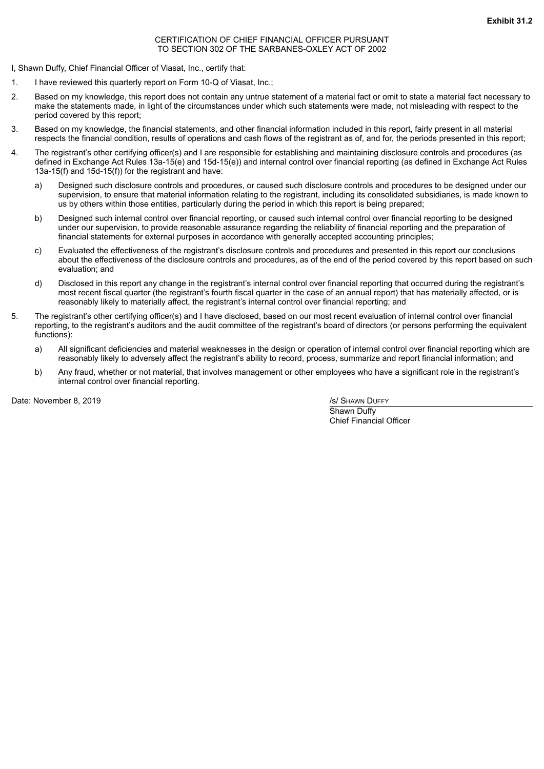# CERTIFICATION OF CHIEF FINANCIAL OFFICER PURSUANT TO SECTION 302 OF THE SARBANES-OXLEY ACT OF 2002

<span id="page-59-0"></span>I, Shawn Duffy, Chief Financial Officer of Viasat, Inc., certify that:

- 1. I have reviewed this quarterly report on Form 10-Q of Viasat, Inc.;
- 2. Based on my knowledge, this report does not contain any untrue statement of a material fact or omit to state a material fact necessary to make the statements made, in light of the circumstances under which such statements were made, not misleading with respect to the period covered by this report;
- 3. Based on my knowledge, the financial statements, and other financial information included in this report, fairly present in all material respects the financial condition, results of operations and cash flows of the registrant as of, and for, the periods presented in this report;
- 4. The registrant's other certifying officer(s) and I are responsible for establishing and maintaining disclosure controls and procedures (as defined in Exchange Act Rules 13a-15(e) and 15d-15(e)) and internal control over financial reporting (as defined in Exchange Act Rules 13a-15(f) and 15d-15(f)) for the registrant and have:
	- a) Designed such disclosure controls and procedures, or caused such disclosure controls and procedures to be designed under our supervision, to ensure that material information relating to the registrant, including its consolidated subsidiaries, is made known to us by others within those entities, particularly during the period in which this report is being prepared;
	- b) Designed such internal control over financial reporting, or caused such internal control over financial reporting to be designed under our supervision, to provide reasonable assurance regarding the reliability of financial reporting and the preparation of financial statements for external purposes in accordance with generally accepted accounting principles;
	- c) Evaluated the effectiveness of the registrant's disclosure controls and procedures and presented in this report our conclusions about the effectiveness of the disclosure controls and procedures, as of the end of the period covered by this report based on such evaluation; and
	- d) Disclosed in this report any change in the registrant's internal control over financial reporting that occurred during the registrant's most recent fiscal quarter (the registrant's fourth fiscal quarter in the case of an annual report) that has materially affected, or is reasonably likely to materially affect, the registrant's internal control over financial reporting; and
- 5. The registrant's other certifying officer(s) and I have disclosed, based on our most recent evaluation of internal control over financial reporting, to the registrant's auditors and the audit committee of the registrant's board of directors (or persons performing the equivalent functions):
	- a) All significant deficiencies and material weaknesses in the design or operation of internal control over financial reporting which are reasonably likely to adversely affect the registrant's ability to record, process, summarize and report financial information; and
	- b) Any fraud, whether or not material, that involves management or other employees who have a significant role in the registrant's internal control over financial reporting.

Date: November 8, 2019 /s/ State of the State of the State of the State of the State of the State of the State of the State of the State of the State of the State of the State of the State of the State of the State of the

Shawn Duffy Chief Financial Officer